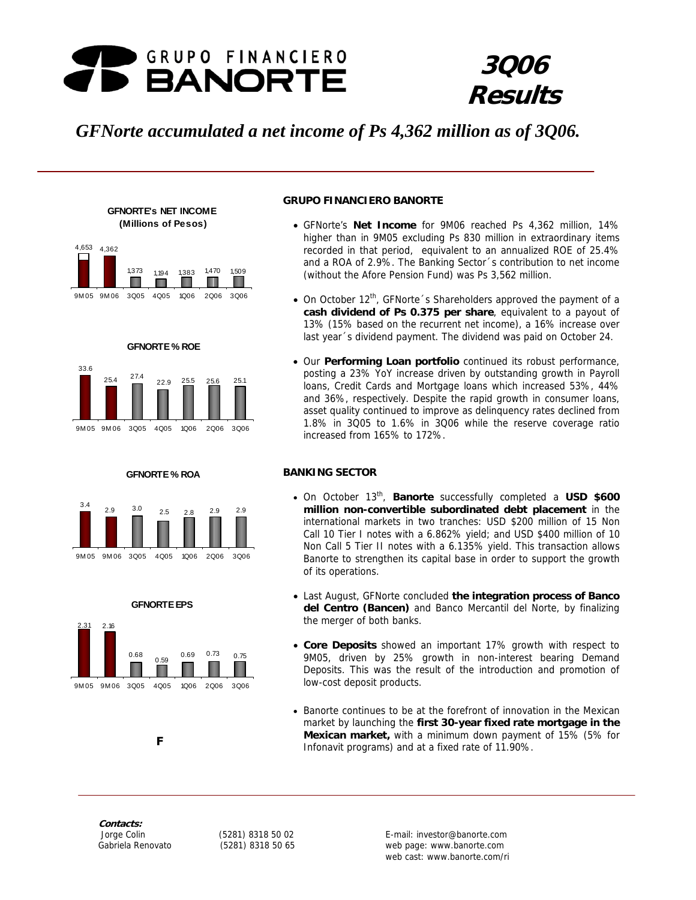

# **3Q06 Results**

# *GFNorte accumulated a net income of Ps 4,362 million as of 3Q06.*



**GFNORTE's NET INCOME** 







#### **GFNORTE % ROA**





#### **GRUPO FINANCIERO BANORTE**

- GFNorte's **Net Income** for 9M06 reached Ps 4,362 million, 14% higher than in 9M05 excluding Ps 830 million in extraordinary items recorded in that period, equivalent to an annualized ROE of 25.4% and a ROA of 2.9%. The Banking Sector´s contribution to net income (without the Afore Pension Fund) was Ps 3,562 million.
- On October 12<sup>th</sup>, GFNorte 's Shareholders approved the payment of a **cash dividend of Ps 0.375 per share**, equivalent to a payout of 13% (15% based on the recurrent net income), a 16% increase over last year´s dividend payment. The dividend was paid on October 24.
- Our **Performing Loan portfolio** continued its robust performance, posting a 23% YoY increase driven by outstanding growth in Payroll loans, Credit Cards and Mortgage loans which increased 53%, 44% and 36%, respectively. Despite the rapid growth in consumer loans, asset quality continued to improve as delinquency rates declined from 1.8% in 3Q05 to 1.6% in 3Q06 while the reserve coverage ratio increased from 165% to 172%.

### **BANKING SECTOR**

- On October 13th, **Banorte** successfully completed a **USD \$600 million non-convertible subordinated debt placement** in the international markets in two tranches: USD \$200 million of 15 Non Call 10 Tier I notes with a 6.862% yield; and USD \$400 million of 10 Non Call 5 Tier II notes with a 6.135% yield. This transaction allows Banorte to strengthen its capital base in order to support the growth of its operations.
- Last August, GFNorte concluded **the integration process of Banco del Centro (Bancen)** and Banco Mercantil del Norte, by finalizing the merger of both banks.
- **Core Deposits** showed an important 17% growth with respect to 9M05, driven by 25% growth in non-interest bearing Demand Deposits. This was the result of the introduction and promotion of low-cost deposit products.
- Banorte continues to be at the forefront of innovation in the Mexican market by launching the **first 30-year fixed rate mortgage in the Mexican market,** with a minimum down payment of 15% (5% for Infonavit programs) and at a fixed rate of 11.90%.

**Contacts:** 

**F F** 

web cast: www.banorte.com/ri Jorge Colin (5281) 8318 50 02 E-mail: investor@banorte.com Gabriela Renovato (5281) 8318 50 65 web page: www.banorte.com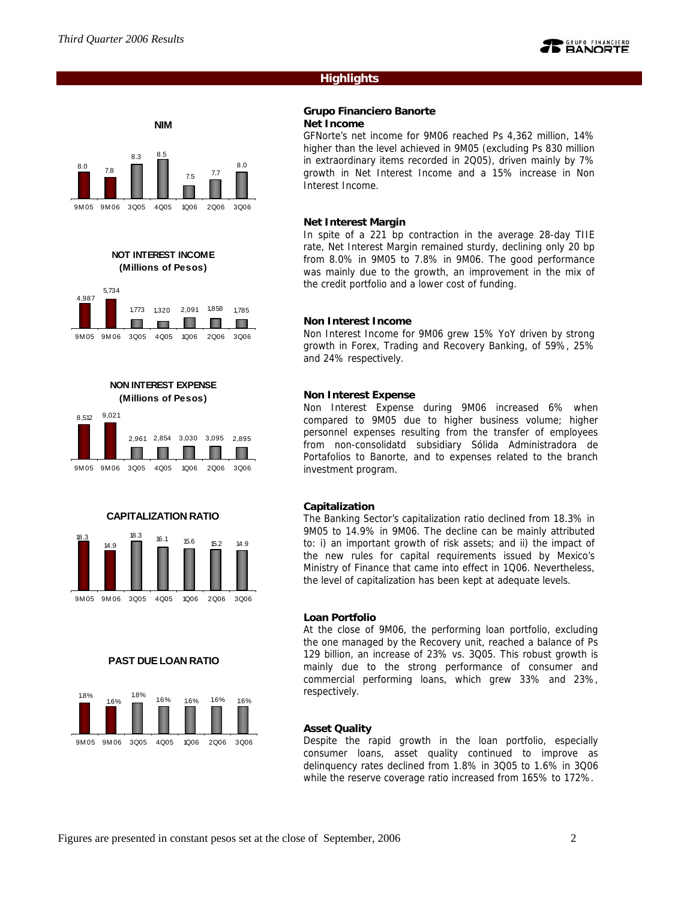

# **Highlights**

#### **Grupo Financiero Banorte Net Income**

GFNorte's net income for 9M06 reached Ps 4,362 million, 14% higher than the level achieved in 9M05 (excluding Ps 830 million in extraordinary items recorded in 2Q05), driven mainly by 7% growth in Net Interest Income and a 15% increase in Non Interest Income.

#### **Net Interest Margin**

In spite of a 221 bp contraction in the average 28-day TIIE rate, Net Interest Margin remained sturdy, declining only 20 bp from 8.0% in 9M05 to 7.8% in 9M06. The good performance was mainly due to the growth, an improvement in the mix of the credit portfolio and a lower cost of funding.

### **Non Interest Income**

Non Interest Income for 9M06 grew 15% YoY driven by strong growth in Forex, Trading and Recovery Banking, of 59%, 25% and 24% respectively.

### **Non Interest Expense**

Non Interest Expense during 9M06 increased 6% when compared to 9M05 due to higher business volume; higher personnel expenses resulting from the transfer of employees from non-consolidatd subsidiary Sólida Administradora de Portafolios to Banorte, and to expenses related to the branch investment program.

### **Capitalization**

The Banking Sector's capitalization ratio declined from 18.3% in 9M05 to 14.9% in 9M06. The decline can be mainly attributed to: i) an important growth of risk assets; and ii) the impact of the new rules for capital requirements issued by Mexico's Ministry of Finance that came into effect in 1Q06. Nevertheless, the level of capitalization has been kept at adequate levels.

### **Loan Portfolio**

At the close of 9M06, the performing loan portfolio, excluding the one managed by the Recovery unit, reached a balance of Ps 129 billion, an increase of 23% vs. 3Q05. This robust growth is mainly due to the strong performance of consumer and commercial performing loans, which grew 33% and 23%, respectively.

### **Asset Quality**

Despite the rapid growth in the loan portfolio, especially consumer loans, asset quality continued to improve as delinquency rates declined from 1.8% in 3Q05 to 1.6% in 3Q06 while the reserve coverage ratio increased from 165% to 172%.



Figures are presented in constant pesos set at the close of September, 2006 2

# **NON INTEREST EXPENSE (Millions of Pesos)**

9M 05 9M 06 3Q05 4Q05 1Q06 2Q06 3Q06







**PAST DUE LOAN RATIO**

1.6% 1.6% 1.6% 1.6% 1.8% 1.6% 1.8%

9M 05 9M 06 3Q05 4Q05 1Q06 2Q06 3Q06



**NIM**

**NOT INTEREST INCOME (Millions of Pesos)**

5,734

4,987

1,773 1,320 2,091 1,858 1,785

n a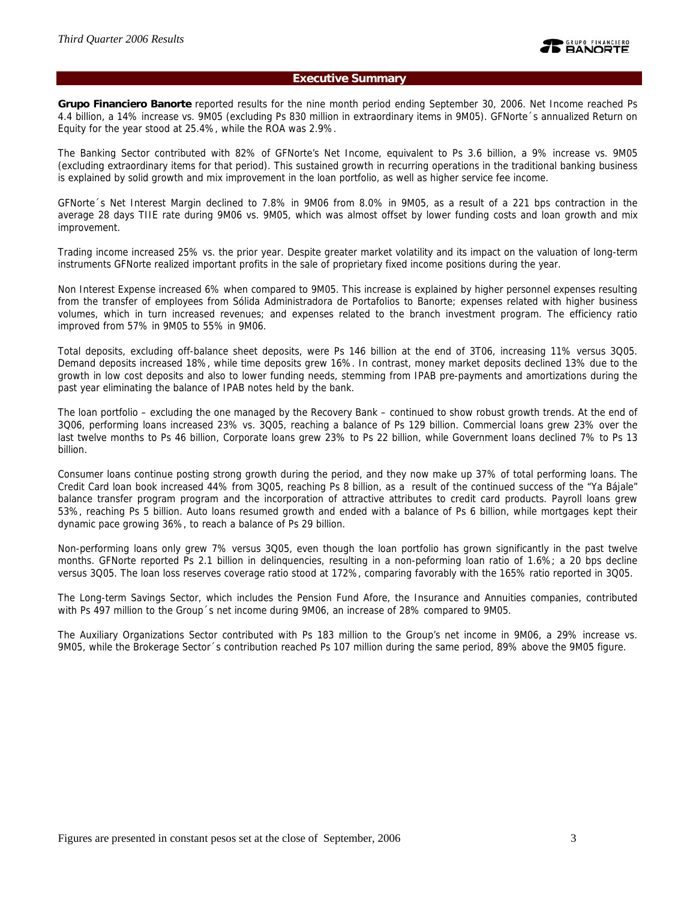### **Executive Summary**

**Grupo Financiero Banorte** reported results for the nine month period ending September 30, 2006. Net Income reached Ps 4.4 billion, a 14% increase vs. 9M05 (excluding Ps 830 million in extraordinary items in 9M05). GFNorte´s annualized Return on Equity for the year stood at 25.4%, while the ROA was 2.9%.

The Banking Sector contributed with 82% of GFNorte's Net Income, equivalent to Ps 3.6 billion, a 9% increase vs. 9M05 (excluding extraordinary items for that period). This sustained growth in recurring operations in the traditional banking business is explained by solid growth and mix improvement in the loan portfolio, as well as higher service fee income.

GFNorte´s Net Interest Margin declined to 7.8% in 9M06 from 8.0% in 9M05, as a result of a 221 bps contraction in the average 28 days TIIE rate during 9M06 vs. 9M05, which was almost offset by lower funding costs and loan growth and mix improvement.

Trading income increased 25% vs. the prior year. Despite greater market volatility and its impact on the valuation of long-term instruments GFNorte realized important profits in the sale of proprietary fixed income positions during the year.

Non Interest Expense increased 6% when compared to 9M05. This increase is explained by higher personnel expenses resulting from the transfer of employees from Sólida Administradora de Portafolios to Banorte; expenses related with higher business volumes, which in turn increased revenues; and expenses related to the branch investment program. The efficiency ratio improved from 57% in 9M05 to 55% in 9M06.

Total deposits, excluding off-balance sheet deposits, were Ps 146 billion at the end of 3T06, increasing 11% versus 3Q05. Demand deposits increased 18%, while time deposits grew 16%. In contrast, money market deposits declined 13% due to the growth in low cost deposits and also to lower funding needs, stemming from IPAB pre-payments and amortizations during the past year eliminating the balance of IPAB notes held by the bank.

The loan portfolio – excluding the one managed by the Recovery Bank – continued to show robust growth trends. At the end of 3Q06, performing loans increased 23% vs. 3Q05, reaching a balance of Ps 129 billion. Commercial loans grew 23% over the last twelve months to Ps 46 billion, Corporate loans grew 23% to Ps 22 billion, while Government loans declined 7% to Ps 13 billion.

Consumer loans continue posting strong growth during the period, and they now make up 37% of total performing loans. The Credit Card loan book increased 44% from 3Q05, reaching Ps 8 billion, as a result of the continued success of the "Ya Bájale" balance transfer program program and the incorporation of attractive attributes to credit card products. Payroll loans grew 53%, reaching Ps 5 billion. Auto loans resumed growth and ended with a balance of Ps 6 billion, while mortgages kept their dynamic pace growing 36%, to reach a balance of Ps 29 billion.

Non-performing loans only grew 7% versus 3Q05, even though the loan portfolio has grown significantly in the past twelve months. GFNorte reported Ps 2.1 billion in delinquencies, resulting in a non-peforming loan ratio of 1.6%; a 20 bps decline versus 3Q05. The loan loss reserves coverage ratio stood at 172%, comparing favorably with the 165% ratio reported in 3Q05.

The Long-term Savings Sector, which includes the Pension Fund Afore, the Insurance and Annuities companies, contributed with Ps 497 million to the Group´s net income during 9M06, an increase of 28% compared to 9M05.

The Auxiliary Organizations Sector contributed with Ps 183 million to the Group's net income in 9M06, a 29% increase vs. 9M05, while the Brokerage Sector´s contribution reached Ps 107 million during the same period, 89% above the 9M05 figure.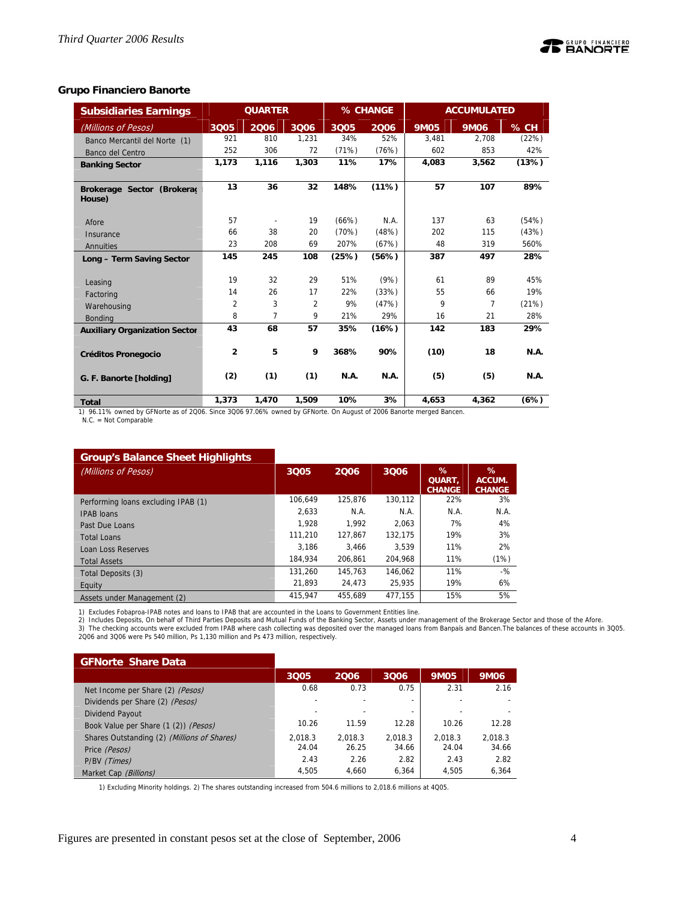### **Grupo Financiero Banorte**

| <b>Subsidiaries Earnings</b>         |                | <b>QUARTER</b> |                |             | % CHANGE    |             | <b>ACCUMULATED</b> |             |
|--------------------------------------|----------------|----------------|----------------|-------------|-------------|-------------|--------------------|-------------|
| (Millions of Pesos)                  | 3Q05           | 2006           | 3Q06           | 3Q05        | 2006        | <b>9M05</b> | <b>9M06</b>        | % CH        |
| Banco Mercantil del Norte (1)        | 921            | 810            | 1,231          | 34%         | 52%         | 3,481       | 2,708              | (22%)       |
| Banco del Centro                     | 252            | 306            | 72             | (71%)       | (76%)       | 602         | 853                | 42%         |
| <b>Banking Sector</b>                | 1,173          | 1,116          | 1,303          | 11%         | 17%         | 4,083       | 3,562              | (13%)       |
|                                      |                |                |                |             |             |             |                    |             |
| Brokerage Sector (Brokerad<br>House) | 13             | 36             | 32             | 148%        | (11%)       | 57          | 107                | 89%         |
| Afore                                | 57             |                | 19             | (66%)       | N.A.        | 137         | 63                 | (54%)       |
| Insurance                            | 66             | 38             | 20             | (70%)       | (48%)       | 202         | 115                | (43%)       |
| Annuities                            | 23             | 208            | 69             | 207%        | (67%)       | 48          | 319                | 560%        |
| Long - Term Saving Sector            | 145            | 245            | 108            | (25%)       | (56%)       | 387         | 497                | 28%         |
|                                      | 19             | 32             | 29             | 51%         | (9%)        | 61          | 89                 | 45%         |
| Leasing<br>Factoring                 | 14             | 26             | 17             | 22%         | (33%)       | 55          | 66                 | 19%         |
| Warehousing                          | $\overline{2}$ | 3              | $\overline{2}$ | 9%          | (47%)       | 9           | 7                  | (21%)       |
| <b>Bonding</b>                       | 8              | 7              | 9              | 21%         | 29%         | 16          | 21                 | 28%         |
| <b>Auxiliary Organization Sector</b> | 43             | 68             | 57             | 35%         | (16%)       | 142         | 183                | 29%         |
| <b>Créditos Pronegocio</b>           | $\overline{2}$ | 5              | 9              | 368%        | 90%         | (10)        | 18                 | <b>N.A.</b> |
| G. F. Banorte [holding]              | (2)            | (1)            | (1)            | <b>N.A.</b> | <b>N.A.</b> | (5)         | (5)                | <b>N.A.</b> |
| Total                                | 1.373          | 1.470          | 1.509          | 10%         | 3%          | 4.653       | 4.362              | (6%)        |

**Total 1,373 1,470 1,509 10% 3% 4,653 4,362 (6%)**<br>1) 96.11% owned by GFNorte as of 2006. Since 3006 97.06% owned by GFNorte. On August of 2006 Banorte merged Bancen. N.C. = Not Comparable

### **Group's Balance Sheet Highlights**

| (Millions of Pesos)                 | 3Q05    | 2006    | 3006    | %<br>QUART.<br><b>CHANGE</b> | %<br>ACCUM.<br><b>CHANGE</b> |
|-------------------------------------|---------|---------|---------|------------------------------|------------------------------|
| Performing loans excluding IPAB (1) | 106.649 | 125.876 | 130.112 | 22%                          | 3%                           |
| <b>IPAB</b> loans                   | 2.633   | N.A.    | N.A.    | N.A.                         | N.A.                         |
| Past Due Loans                      | 1.928   | 1.992   | 2.063   | 7%                           | 4%                           |
| <b>Total Loans</b>                  | 111.210 | 127.867 | 132.175 | 19%                          | 3%                           |
| Loan Loss Reserves                  | 3.186   | 3.466   | 3.539   | 11%                          | 2%                           |
| <b>Total Assets</b>                 | 184.934 | 206.861 | 204.968 | 11%                          | (1%)                         |
| Total Deposits (3)                  | 131.260 | 145.763 | 146.062 | 11%                          | $-$ %                        |
| Equity                              | 21.893  | 24.473  | 25.935  | 19%                          | 6%                           |
| Assets under Management (2)         | 415.947 | 455.689 | 477.155 | 15%                          | 5%                           |

1) Excludes Fobaproa-IPAB notes and loans to IPAB that are accounted in the Loans to Government Entities line.

2) Includes Deposits, On behalf of Third Parties Deposits and Mutual Funds of the Banking Sector, Assets under management of the Brokerage Sector and those of the Afore.<br>3) The checking accounts were excluded from IPAB whe

| <b>GFNorte Share Data</b>                   |         |         |                          |             |         |
|---------------------------------------------|---------|---------|--------------------------|-------------|---------|
|                                             | 3Q05    | 2006    | 3006                     | <b>9M05</b> | 9M06    |
| Net Income per Share (2) (Pesos)            | 0.68    | 0.73    | 0.75                     | 2.31        | 2.16    |
| Dividends per Share (2) (Pesos)             |         |         |                          |             |         |
| Dividend Payout                             |         |         | $\overline{\phantom{0}}$ |             |         |
| Book Value per Share (1 (2)) (Pesos)        | 10.26   | 11.59   | 12.28                    | 10.26       | 12.28   |
| Shares Outstanding (2) (Millions of Shares) | 2.018.3 | 2.018.3 | 2.018.3                  | 2.018.3     | 2.018.3 |
| Price (Pesos)                               | 24.04   | 26.25   | 34.66                    | 24.04       | 34.66   |
| P/BV (Times)                                | 2.43    | 2.26    | 2.82                     | 2.43        | 2.82    |
| Market Cap (Billions)                       | 4.505   | 4.660   | 6,364                    | 4.505       | 6.364   |

1) Excluding Minority holdings. 2) The shares outstanding increased from 504.6 millions to 2,018.6 millions at 4Q05.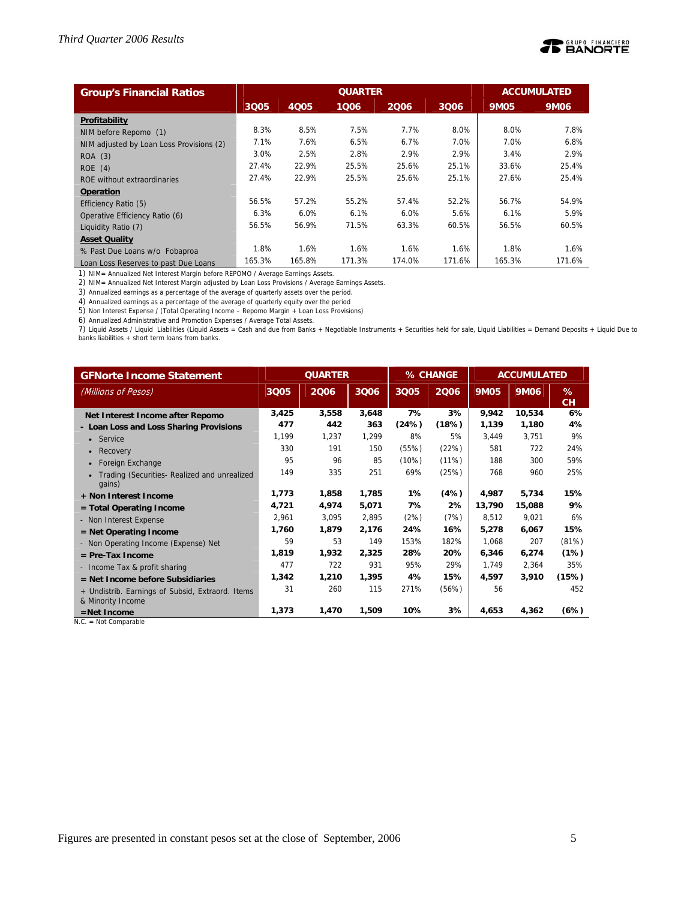

| <b>Group's Financial Ratios</b>          |        |             |        | <b>ACCUMULATED</b> |        |             |        |
|------------------------------------------|--------|-------------|--------|--------------------|--------|-------------|--------|
|                                          | 3Q05   | <b>4Q05</b> | 1006   | 2006               | 3006   | <b>9M05</b> | 9M06   |
| Profitability                            |        |             |        |                    |        |             |        |
| NIM before Repomo (1)                    | 8.3%   | 8.5%        | 7.5%   | 7.7%               | 8.0%   | 8.0%        | 7.8%   |
| NIM adjusted by Loan Loss Provisions (2) | 7.1%   | 7.6%        | 6.5%   | 6.7%               | 7.0%   | 7.0%        | 6.8%   |
| ROA (3)                                  | 3.0%   | 2.5%        | 2.8%   | 2.9%               | 2.9%   | 3.4%        | 2.9%   |
| ROE(4)                                   | 27.4%  | 22.9%       | 25.5%  | 25.6%              | 25.1%  | 33.6%       | 25.4%  |
| ROE without extraordinaries              | 27.4%  | 22.9%       | 25.5%  | 25.6%              | 25.1%  | 27.6%       | 25.4%  |
| <b>Operation</b>                         |        |             |        |                    |        |             |        |
| Efficiency Ratio (5)                     | 56.5%  | 57.2%       | 55.2%  | 57.4%              | 52.2%  | 56.7%       | 54.9%  |
| Operative Efficiency Ratio (6)           | 6.3%   | 6.0%        | 6.1%   | 6.0%               | 5.6%   | 6.1%        | 5.9%   |
| Liquidity Ratio (7)                      | 56.5%  | 56.9%       | 71.5%  | 63.3%              | 60.5%  | 56.5%       | 60.5%  |
| <b>Asset Quality</b>                     |        |             |        |                    |        |             |        |
| % Past Due Loans w/o Fobaproa            | 1.8%   | 1.6%        | 1.6%   | 1.6%               | 1.6%   | 1.8%        | 1.6%   |
| Loan Loss Reserves to past Due Loans     | 165.3% | 165.8%      | 171.3% | 174.0%             | 171.6% | 165.3%      | 171.6% |

1) NIM= Annualized Net Interest Margin before REPOMO / Average Earnings Assets.

2) NIM= Annualized Net Interest Margin adjusted by Loan Loss Provisions / Average Earnings Assets.

3) Annualized earnings as a percentage of the average of quarterly assets over the period.

4) Annualized earnings as a percentage of the average of quarterly equity over the period

5) Non Interest Expense / (Total Operating Income – Repomo Margin + Loan Loss Provisions)

6) Annualized Administrative and Promotion Expenses / Average Total Assets.

7) Liquid Assets / Liquid Liabilities (Liquid Assets = Cash and due from Banks + Negotiable Instruments + Securities held for sale, Liquid Liabilities = Demand Deposits + Liquid Due to banks liabilities + short term loans from banks.

| <b>GFNorte Income Statement</b>                                       | <b>QUARTER</b> |       |       |       | % CHANGE | <b>ACCUMULATED</b> |        |                |
|-----------------------------------------------------------------------|----------------|-------|-------|-------|----------|--------------------|--------|----------------|
| (Millions of Pesos)                                                   | 3Q05           | 2006  | 3006  | 3Q05  | 2006     | <b>9M05</b>        | 9M06   | %<br><b>CH</b> |
| Net Interest Income after Repomo                                      | 3,425          | 3,558 | 3,648 | 7%    | 3%       | 9,942              | 10,534 | 6%             |
| - Loan Loss and Loss Sharing Provisions                               | 477            | 442   | 363   | (24%) | (18%)    | 1,139              | 1,180  | 4%             |
| • Service                                                             | 1.199          | 1.237 | 1,299 | 8%    | 5%       | 3,449              | 3,751  | 9%             |
| Recovery<br>$\bullet$                                                 | 330            | 191   | 150   | (55%) | (22%)    | 581                | 722    | 24%            |
| Foreign Exchange                                                      | 95             | 96    | 85    | (10%) | (11%)    | 188                | 300    | 59%            |
| Trading (Securities- Realized and unrealized<br>qains)                | 149            | 335   | 251   | 69%   | (25%)    | 768                | 960    | 25%            |
| + Non Interest Income                                                 | 1,773          | 1,858 | 1,785 | 1%    | (4%)     | 4,987              | 5,734  | 15%            |
| $=$ Total Operating Income                                            | 4,721          | 4,974 | 5,071 | 7%    | 2%       | 13,790             | 15,088 | 9%             |
| - Non Interest Expense                                                | 2,961          | 3,095 | 2,895 | (2%)  | (7%)     | 8,512              | 9,021  | 6%             |
| $=$ Net Operating Income                                              | 1,760          | 1,879 | 2,176 | 24%   | 16%      | 5,278              | 6,067  | 15%            |
| - Non Operating Income (Expense) Net                                  | 59             | 53    | 149   | 153%  | 182%     | 1,068              | 207    | (81%)          |
| $=$ Pre-Tax Income                                                    | 1,819          | 1,932 | 2,325 | 28%   | 20%      | 6,346              | 6,274  | (1%)           |
| - Income Tax & profit sharing                                         | 477            | 722   | 931   | 95%   | 29%      | 1,749              | 2,364  | 35%            |
| $=$ Net Income before Subsidiaries                                    | 1,342          | 1,210 | 1,395 | 4%    | 15%      | 4,597              | 3,910  | (15%)          |
| + Undistrib. Earnings of Subsid, Extraord. Items<br>& Minority Income | 31             | 260   | 115   | 271%  | (56%)    | 56                 |        | 452            |
| $=$ Net Income                                                        | 1.373          | 1,470 | 1,509 | 10%   | 3%       | 4,653              | 4,362  | (6%)           |

N.C. = Not Comparable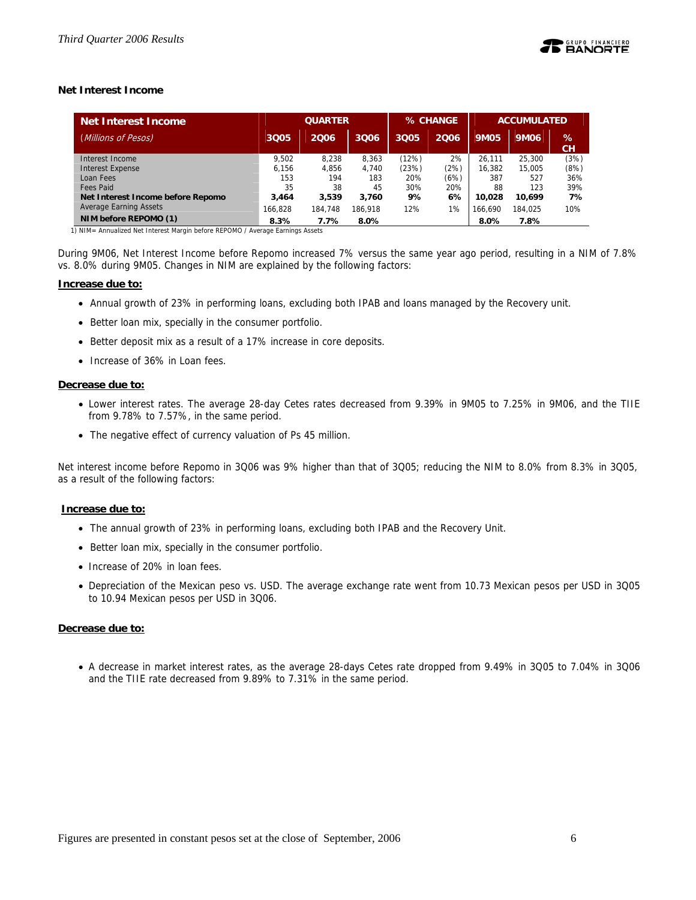### **Net Interest Income**

| Net Interest Income               |         | <b>QUARTER</b> |         |       | % CHANGE |             | <b>ACCUMULATED</b> |         |  |  |
|-----------------------------------|---------|----------------|---------|-------|----------|-------------|--------------------|---------|--|--|
| Millions of Pesos)                | 3Q05    | 2006           | 3006    | 3005  | 2006     | <b>9M05</b> | 9M06               | %<br>CН |  |  |
| Interest Income                   | 9.502   | 8.238          | 8.363   | (12%) | 2%       | 26.111      | 25,300             | (3%)    |  |  |
| Interest Expense                  | 6.156   | 4.856          | 4.740   | (23%) | (2%)     | 16,382      | 15,005             | (8%)    |  |  |
| Loan Fees                         | 153     | 194            | 183     | 20%   | (6%)     | 387         | 527                | 36%     |  |  |
| Fees Paid                         | 35      | 38             | 45      | 30%   | 20%      | 88          | 123                | 39%     |  |  |
| Net Interest Income before Repomo | 3.464   | 3,539          | 3.760   | 9%    | 6%       | 10.028      | 10.699             | 7%      |  |  |
| <b>Average Earning Assets</b>     | 166.828 | 184.748        | 186.918 | 12%   | 1%       | 166.690     | 184.025            | 10%     |  |  |
| NIM before REPOMO (1)             | 8.3%    | 7.7%           | 8.0%    |       |          | 8.0%        | 7.8%               |         |  |  |

1) NIM= Annualized Net Interest Margin before REPOMO / Average Earnings Assets

During 9M06, Net Interest Income before Repomo increased 7% versus the same year ago period, resulting in a NIM of 7.8% vs. 8.0% during 9M05. Changes in NIM are explained by the following factors:

#### **Increase due to:**

- Annual growth of 23% in performing loans, excluding both IPAB and loans managed by the Recovery unit.
- Better loan mix, specially in the consumer portfolio.
- Better deposit mix as a result of a 17% increase in core deposits.
- Increase of 36% in Loan fees.

# **Decrease due to:**

- Lower interest rates. The average 28-day Cetes rates decreased from 9.39% in 9M05 to 7.25% in 9M06, and the TIIE from 9.78% to 7.57%, in the same period.
- The negative effect of currency valuation of Ps 45 million.

Net interest income before Repomo in 3Q06 was 9% higher than that of 3Q05; reducing the NIM to 8.0% from 8.3% in 3Q05, as a result of the following factors:

### **Increase due to:**

- The annual growth of 23% in performing loans, excluding both IPAB and the Recovery Unit.
- Better loan mix, specially in the consumer portfolio.
- Increase of 20% in loan fees.
- Depreciation of the Mexican peso vs. USD. The average exchange rate went from 10.73 Mexican pesos per USD in 3Q05 to 10.94 Mexican pesos per USD in 3Q06.

### **Decrease due to:**

• A decrease in market interest rates, as the average 28-days Cetes rate dropped from 9.49% in 3Q05 to 7.04% in 3Q06 and the TIIE rate decreased from 9.89% to 7.31% in the same period.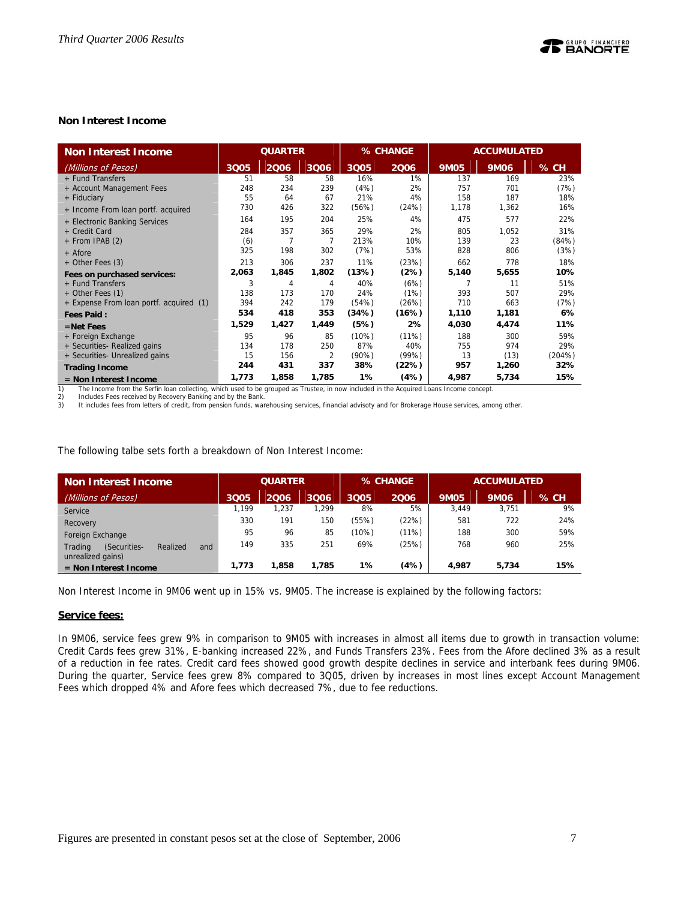### **Non Interest Income**

| <b>Non Interest Income</b>              | <b>QUARTER</b> |       |       | % CHANGE |       |             | <b>ACCUMULATED</b> |        |
|-----------------------------------------|----------------|-------|-------|----------|-------|-------------|--------------------|--------|
| (Millions of Pesos)                     | 3Q05           | 2006  | 3006  | 3Q05     | 2006  | <b>9M05</b> | <b>9M06</b>        | % CH   |
| + Fund Transfers                        | 51             | 58    | 58    | 16%      | 1%    | 137         | 169                | 23%    |
| + Account Management Fees               | 248            | 234   | 239   | (4%)     | 2%    | 757         | 701                | (7%)   |
| + Fiduciary                             | 55             | 64    | 67    | 21%      | 4%    | 158         | 187                | 18%    |
| + Income From loan portf. acquired      | 730            | 426   | 322   | (56%)    | (24%) | 1,178       | 1,362              | 16%    |
| + Electronic Banking Services           | 164            | 195   | 204   | 25%      | 4%    | 475         | 577                | 22%    |
| + Credit Card                           | 284            | 357   | 365   | 29%      | 2%    | 805         | 1.052              | 31%    |
| $+$ From IPAB (2)                       | (6)            | 7     |       | 213%     | 10%   | 139         | 23                 | (84%)  |
| + Afore                                 | 325            | 198   | 302   | (7%)     | 53%   | 828         | 806                | (3%)   |
| + Other Fees (3)                        | 213            | 306   | 237   | 11%      | (23%) | 662         | 778                | 18%    |
| Fees on purchased services:             | 2,063          | 1,845 | 1,802 | (13%)    | (2%)  | 5,140       | 5,655              | 10%    |
| + Fund Transfers                        | 3              | 4     | 4     | 40%      | (6%)  | 7           | 11                 | 51%    |
| + Other Fees (1)                        | 138            | 173   | 170   | 24%      | (1%)  | 393         | 507                | 29%    |
| + Expense From loan portf. acquired (1) | 394            | 242   | 179   | (54%)    | (26%) | 710         | 663                | (7%)   |
| <b>Fees Paid:</b>                       | 534            | 418   | 353   | (34%)    | (16%) | 1,110       | 1,181              | 6%     |
| $=$ Net Fees                            | 1,529          | 1,427 | 1,449 | (5%)     | 2%    | 4,030       | 4,474              | 11%    |
| + Foreign Exchange                      | 95             | 96    | 85    | (10%)    | (11%) | 188         | 300                | 59%    |
| + Securities- Realized gains            | 134            | 178   | 250   | 87%      | 40%   | 755         | 974                | 29%    |
| + Securities- Unrealized gains          | 15             | 156   | 2     | (90%)    | (99%) | 13          | (13)               | (204%) |
| <b>Trading Income</b>                   | 244            | 431   | 337   | 38%      | (22%) | 957         | 1,260              | 32%    |
| $=$ Non Interest Income                 | 1,773          | 1,858 | 1,785 | 1%       | (4%)  | 4,987       | 5,734              | 15%    |

1) The Income from the Serfin loan collecting, which used to be grouped as Trustee, in now included in the Acquired Loans Income concept.

2) Includes Fees received by Recovery Banking and by the Bank. 3) It includes fees from letters of credit, from pension funds, warehousing services, financial advisoty and for Brokerage House services, among other.

The following talbe sets forth a breakdown of Non Interest Income:

| Non Interest Income                                             | <b>QUARTER</b> |       |       | % CHANGE |       | <b>ACCUMULATED</b> |             |        |
|-----------------------------------------------------------------|----------------|-------|-------|----------|-------|--------------------|-------------|--------|
| (Millions of Pesos)                                             | 3Q05           | 2006  | 3006  | 3Q05     | 2006  | <b>9M05</b>        | <b>9M06</b> | $%$ CH |
| Service                                                         | 1.199          | 1,237 | 1.299 | 8%       | 5%    | 3.449              | 3.751       | 9%     |
| Recovery                                                        | 330            | 191   | 150   | (55%)    | (22%) | 581                | 722         | 24%    |
| Foreign Exchange                                                | 95             | 96    | 85    | (10%)    | (11%) | 188                | 300         | 59%    |
| Trading<br>(Securities-<br>Realized<br>and<br>unrealized gains) | 149            | 335   | 251   | 69%      | (25%) | 768                | 960         | 25%    |
| $=$ Non Interest Income                                         | 1.773          | .858  | 1,785 | 1%       | (4%)  | 4.987              | 5.734       | 15%    |

Non Interest Income in 9M06 went up in 15% vs. 9M05. The increase is explained by the following factors:

### **Service fees:**

In 9M06, service fees grew 9% in comparison to 9M05 with increases in almost all items due to growth in transaction volume: Credit Cards fees grew 31%, E-banking increased 22%, and Funds Transfers 23%. Fees from the Afore declined 3% as a result of a reduction in fee rates. Credit card fees showed good growth despite declines in service and interbank fees during 9M06. During the quarter, Service fees grew 8% compared to 3Q05, driven by increases in most lines except Account Management Fees which dropped 4% and Afore fees which decreased 7%, due to fee reductions.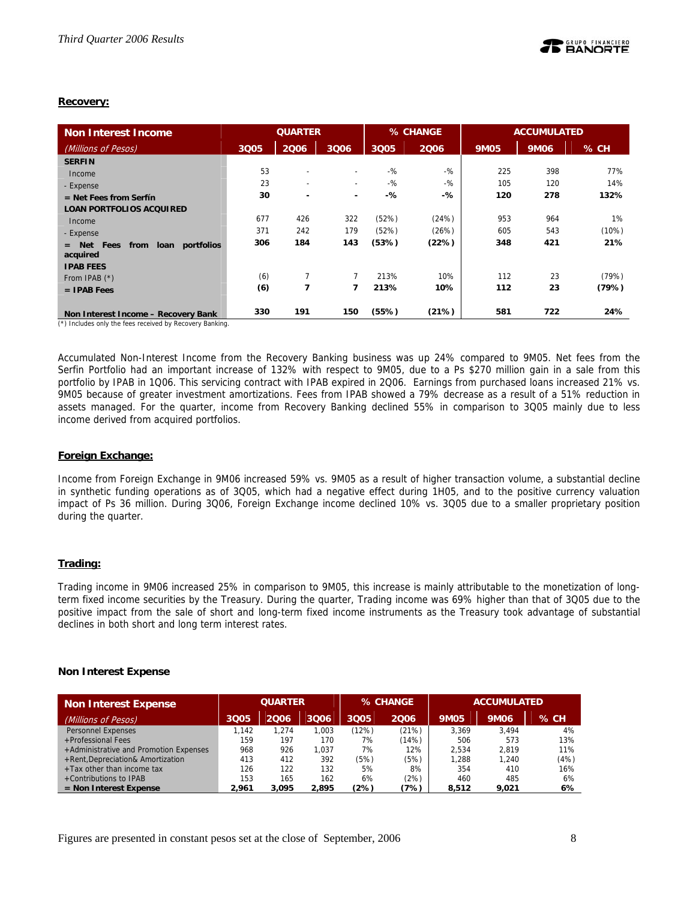### **Recovery:**

| <b>Non Interest Income</b>                                                                      | <b>QUARTER</b> |                          |                          |        | % CHANGE |             | <b>ACCUMULATED</b> |        |  |
|-------------------------------------------------------------------------------------------------|----------------|--------------------------|--------------------------|--------|----------|-------------|--------------------|--------|--|
| (Millions of Pesos)                                                                             | 3Q05           | 2006                     | 3Q06                     | 3Q05   | 2006     | <b>9M05</b> | 9M06               | $%$ CH |  |
| <b>SERFIN</b>                                                                                   |                |                          |                          |        |          |             |                    |        |  |
| Income                                                                                          | 53             | $\overline{\phantom{0}}$ | ۰                        | $-$ %  | $-$ %    | 225         | 398                | 77%    |  |
| - Expense                                                                                       | 23             | $\overline{\phantom{a}}$ | $\overline{\phantom{a}}$ | $-9/2$ | $-9/6$   | 105         | 120                | 14%    |  |
| $=$ Net Fees from Serfín                                                                        | 30             | $\overline{\phantom{a}}$ | ٠                        | -%     | -%       | 120         | 278                | 132%   |  |
| <b>LOAN PORTFOLIOS ACQUIRED</b>                                                                 |                |                          |                          |        |          |             |                    |        |  |
| Income                                                                                          | 677            | 426                      | 322                      | (52%)  | (24%)    | 953         | 964                | 1%     |  |
| - Expense                                                                                       | 371            | 242                      | 179                      | (52%)  | (26%)    | 605         | 543                | (10%)  |  |
| portfolios<br>Net Fees<br>loan<br>from<br>$=$<br>acquired                                       | 306            | 184                      | 143                      | (53%)  | (22%)    | 348         | 421                | 21%    |  |
| <b>IPAB FEES</b>                                                                                |                |                          |                          |        |          |             |                    |        |  |
| From IPAB $(*)$                                                                                 | (6)            | $\overline{7}$           | 7                        | 213%   | 10%      | 112         | 23                 | (79%)  |  |
| $=$ IPAB Fees                                                                                   | (6)            | 7                        | 7                        | 213%   | 10%      | 112         | 23                 | (79%)  |  |
| Non Interest Income - Recovery Bank<br>(*) Includes only the fees received by Recovery Banking. | 330            | 191                      | 150                      | (55%)  | (21%)    | 581         | 722                | 24%    |  |

Accumulated Non-Interest Income from the Recovery Banking business was up 24% compared to 9M05. Net fees from the Serfin Portfolio had an important increase of 132% with respect to 9M05, due to a Ps \$270 million gain in a sale from this portfolio by IPAB in 1Q06. This servicing contract with IPAB expired in 2Q06. Earnings from purchased loans increased 21% vs. 9M05 because of greater investment amortizations. Fees from IPAB showed a 79% decrease as a result of a 51% reduction in assets managed. For the quarter, income from Recovery Banking declined 55% in comparison to 3Q05 mainly due to less income derived from acquired portfolios.

### **Foreign Exchange:**

Income from Foreign Exchange in 9M06 increased 59% vs. 9M05 as a result of higher transaction volume, a substantial decline in synthetic funding operations as of 3Q05, which had a negative effect during 1H05, and to the positive currency valuation impact of Ps 36 million. During 3Q06, Foreign Exchange income declined 10% vs. 3Q05 due to a smaller proprietary position during the quarter.

### **Trading:**

Trading income in 9M06 increased 25% in comparison to 9M05, this increase is mainly attributable to the monetization of longterm fixed income securities by the Treasury. During the quarter, Trading income was 69% higher than that of 3Q05 due to the positive impact from the sale of short and long-term fixed income instruments as the Treasury took advantage of substantial declines in both short and long term interest rates.

# **Non Interest Expense**

| <b>Non Interest Expense</b>            | <b>QUARTER</b> |       |       |       | % CHANGE | <b>ACCUMULATED</b> |       |        |
|----------------------------------------|----------------|-------|-------|-------|----------|--------------------|-------|--------|
| (Millions of Pesos)                    | 3Q05           | 2006  | 3006  | 3Q05  | 2006     | <b>9M05</b>        | 9M06  | $%$ CH |
| Personnel Expenses                     | 1,142          | 1.274 | 1.003 | (12%) | (21%)    | 3.369              | 3.494 | 4%     |
| +Professional Fees                     | 159            | 197   | 170   | 7%    | (14%)    | 506                | 573   | 13%    |
| +Administrative and Promotion Expenses | 968            | 926   | 1.037 | 7%    | 12%      | 2.534              | 2.819 | 11%    |
| +Rent, Depreciation& Amortization      | 413            | 412   | 392   | (5%)  | (5%)     | 1.288              | 1.240 | (4%)   |
| +Tax other than income tax             | 126            | 122   | 132   | 5%    | 8%       | 354                | 410   | 16%    |
| +Contributions to IPAB                 | 153            | 165   | 162   | 6%    | (2%)     | 460                | 485   | 6%     |
| $=$ Non Interest Expense               | 2.961          | 3.095 | 2.895 | (2%)  | (7%)     | 8.512              | 9.021 | 6%     |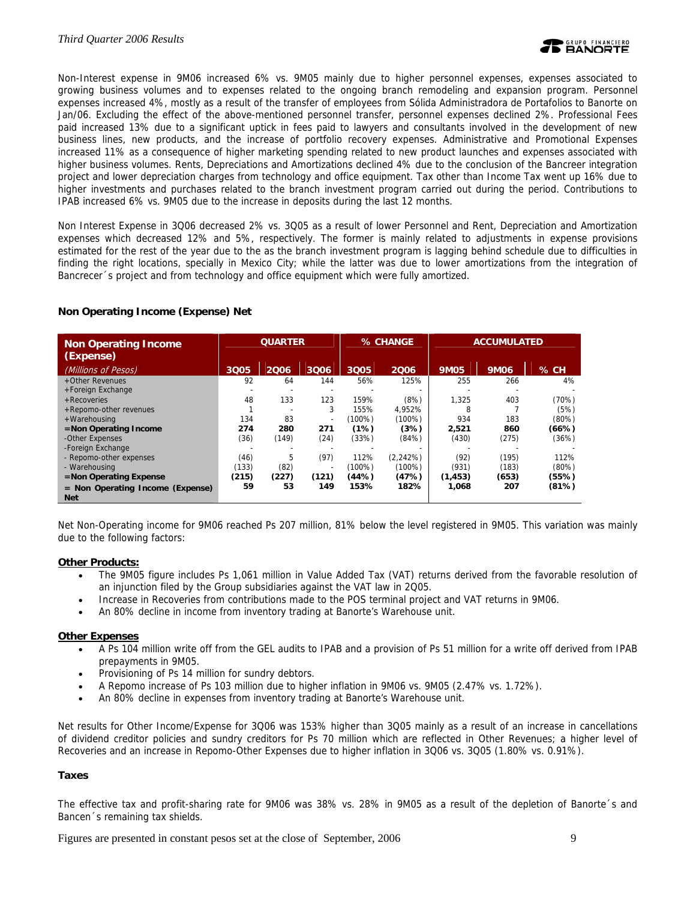Non-Interest expense in 9M06 increased 6% vs. 9M05 mainly due to higher personnel expenses, expenses associated to growing business volumes and to expenses related to the ongoing branch remodeling and expansion program. Personnel expenses increased 4%, mostly as a result of the transfer of employees from Sólida Administradora de Portafolios to Banorte on Jan/06. Excluding the effect of the above-mentioned personnel transfer, personnel expenses declined 2%. Professional Fees paid increased 13% due to a significant uptick in fees paid to lawyers and consultants involved in the development of new business lines, new products, and the increase of portfolio recovery expenses. Administrative and Promotional Expenses increased 11% as a consequence of higher marketing spending related to new product launches and expenses associated with higher business volumes. Rents, Depreciations and Amortizations declined 4% due to the conclusion of the Bancreer integration project and lower depreciation charges from technology and office equipment. Tax other than Income Tax went up 16% due to higher investments and purchases related to the branch investment program carried out during the period. Contributions to IPAB increased 6% vs. 9M05 due to the increase in deposits during the last 12 months.

Non Interest Expense in 3Q06 decreased 2% vs. 3Q05 as a result of lower Personnel and Rent, Depreciation and Amortization expenses which decreased 12% and 5%, respectively. The former is mainly related to adjustments in expense provisions estimated for the rest of the year due to the as the branch investment program is lagging behind schedule due to difficulties in finding the right locations, specially in Mexico City; while the latter was due to lower amortizations from the integration of Bancrecer´s project and from technology and office equipment which were fully amortized.

### **Non Operating Income (Expense) Net**

| <b>Non Operating Income</b><br>(Expense)         | <b>QUARTER</b> |       | % CHANGE                 |        | <b>ACCUMULATED</b> |             |             |          |
|--------------------------------------------------|----------------|-------|--------------------------|--------|--------------------|-------------|-------------|----------|
| (Millions of Pesos)                              | 3005           | 2006  | 3006                     | 3Q05   | 2006               | <b>9M05</b> | <b>9M06</b> | $%$ CH   |
| +Other Revenues                                  | 92             | 64    | 144                      | 56%    | 125%               | 255         | 266         | 4%       |
| +Foreign Exchange                                |                |       |                          |        |                    |             |             |          |
| $+$ Recoveries                                   | 48             | 133   | 123                      | 159%   | (8%)               | 1.325       | 403         | (70%)    |
| +Repomo-other revenues                           |                |       | 3                        | 155%   | 4.952%             | 8           |             | (5%)     |
| +Warehousing                                     | 134            | 83    | $\overline{\phantom{a}}$ | (100%) | $(100\%)$          | 934         | 183         | $(80\%)$ |
| =Non Operating Income                            | 274            | 280   | 271                      | (1%)   | (3%)               | 2,521       | 860         | (66%)    |
| -Other Expenses                                  | (36)           | (149) | (24)                     | (33%)  | (84%)              | (430)       | (275)       | (36%)    |
| -Foreign Exchange                                |                |       |                          |        |                    |             |             |          |
| - Repomo-other expenses                          | (46)           | 5     | (97)                     | 112%   | (2,242%)           | (92)        | (195)       | 112%     |
| - Warehousing                                    | (133)          | (82)  |                          | (100%) | $(100\%)$          | (931)       | (183)       | $(80\%)$ |
| $=$ Non Operating Expense                        | (215)          | (227) | (121)                    | (44%)  | (47%)              | (1, 453)    | (653)       | (55%)    |
| $=$ Non Operating Income (Expense)<br><b>Net</b> | 59             | 53    | 149                      | 153%   | 182%               | 1,068       | 207         | (81%)    |

Net Non-Operating income for 9M06 reached Ps 207 million, 81% below the level registered in 9M05. This variation was mainly due to the following factors:

# **Other Products:**

- The 9M05 figure includes Ps 1,061 million in Value Added Tax (VAT) returns derived from the favorable resolution of an injunction filed by the Group subsidiaries against the VAT law in 2Q05.
- Increase in Recoveries from contributions made to the POS terminal project and VAT returns in 9M06.
- An 80% decline in income from inventory trading at Banorte's Warehouse unit.

### **Other Expenses**

- A Ps 104 million write off from the GEL audits to IPAB and a provision of Ps 51 million for a write off derived from IPAB prepayments in 9M05.
- Provisioning of Ps 14 million for sundry debtors.
- A Repomo increase of Ps 103 million due to higher inflation in 9M06 vs. 9M05 (2.47% vs. 1.72%).
- An 80% decline in expenses from inventory trading at Banorte's Warehouse unit.

Net results for Other Income/Expense for 3Q06 was 153% higher than 3Q05 mainly as a result of an increase in cancellations of dividend creditor policies and sundry creditors for Ps 70 million which are reflected in Other Revenues; a higher level of Recoveries and an increase in Repomo-Other Expenses due to higher inflation in 3Q06 vs. 3Q05 (1.80% vs. 0.91%).

### **Taxes**

The effective tax and profit-sharing rate for 9M06 was 38% vs. 28% in 9M05 as a result of the depletion of Banorte´s and Bancen´s remaining tax shields.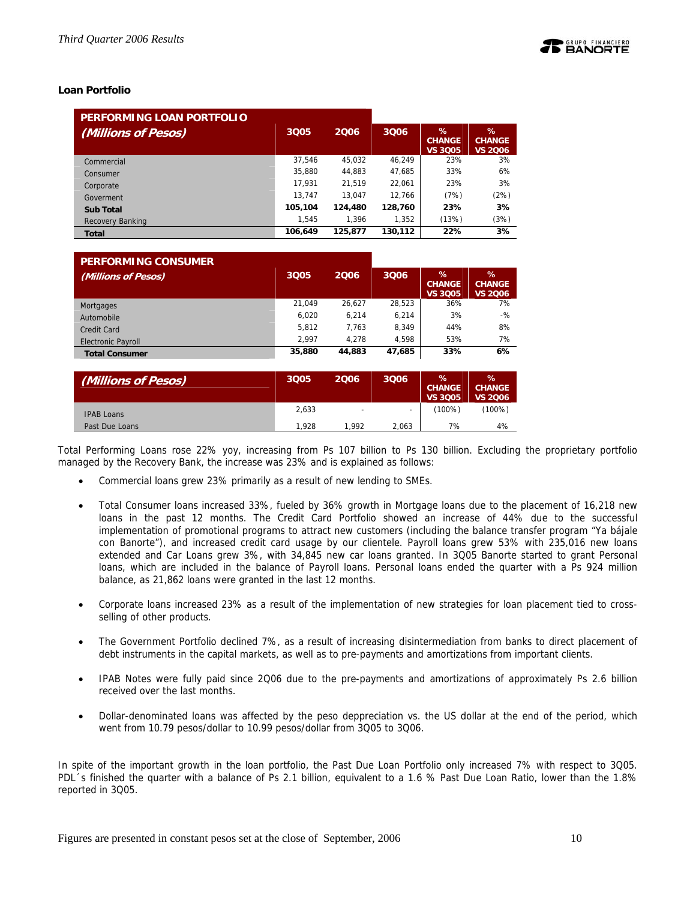### **Loan Portfolio**

| PERFORMING LOAN PORTFOLIO |         |         |         |                                         |                                      |
|---------------------------|---------|---------|---------|-----------------------------------------|--------------------------------------|
| (Millions of Pesos)       | 3005    | 2006    | 3006    | $\%$<br><b>CHANGE</b><br><b>VS 3Q05</b> | ℅<br><b>CHANGE</b><br><b>VS 2006</b> |
| Commercial                | 37.546  | 45.032  | 46.249  | 23%                                     | 3%                                   |
| Consumer                  | 35,880  | 44.883  | 47.685  | 33%                                     | 6%                                   |
| Corporate                 | 17.931  | 21.519  | 22,061  | 23%                                     | 3%                                   |
| Goverment                 | 13.747  | 13.047  | 12.766  | (7%)                                    | (2%)                                 |
| <b>Sub Total</b>          | 105,104 | 124,480 | 128,760 | 23%                                     | 3%                                   |
| Recovery Banking          | 1,545   | 1.396   | 1.352   | (13%)                                   | (3%)                                 |
| <b>Total</b>              | 106,649 | 125,877 | 130.112 | 22%                                     | 3%                                   |

| <b>PERFORMING CONSUMER</b> |        |        |        |                                         |                                         |
|----------------------------|--------|--------|--------|-----------------------------------------|-----------------------------------------|
| (Millions of Pesos)        | 3Q05   | 2006   | 3006   | $\%$<br><b>CHANGE</b><br><b>VS 3005</b> | $\%$<br><b>CHANGE</b><br><b>VS 2006</b> |
| Mortgages                  | 21.049 | 26.627 | 28.523 | 36%                                     | 7%                                      |
| Automobile                 | 6.020  | 6.214  | 6.214  | 3%                                      | $-$ %                                   |
| Credit Card                | 5.812  | 7.763  | 8.349  | 44%                                     | 8%                                      |
| <b>Electronic Payroll</b>  | 2.997  | 4.278  | 4.598  | 53%                                     | 7%                                      |
| <b>Total Consumer</b>      | 35,880 | 44,883 | 47,685 | 33%                                     | 6%                                      |

| (Millions of Pesos) | 3Q05  | 2006                     | 3Q06  | $\%$<br><b>CHANGE</b><br><b>VS 3005</b> | $\%$<br><b>CHANGE</b><br><b>VS 2006</b> |
|---------------------|-------|--------------------------|-------|-----------------------------------------|-----------------------------------------|
| <b>IPAB Loans</b>   | 2,633 | $\overline{\phantom{0}}$ |       | (100%)                                  | (100%)                                  |
| Past Due Loans      | 1.928 | 1.992                    | 2.063 | 7%                                      | 4%                                      |

Total Performing Loans rose 22% yoy, increasing from Ps 107 billion to Ps 130 billion. Excluding the proprietary portfolio managed by the Recovery Bank, the increase was 23% and is explained as follows:

- Commercial loans grew 23% primarily as a result of new lending to SMEs.
- Total Consumer loans increased 33%, fueled by 36% growth in Mortgage loans due to the placement of 16,218 new loans in the past 12 months. The Credit Card Portfolio showed an increase of 44% due to the successful implementation of promotional programs to attract new customers (including the balance transfer program "Ya bájale con Banorte"), and increased credit card usage by our clientele. Payroll loans grew 53% with 235,016 new loans extended and Car Loans grew 3%, with 34,845 new car loans granted. In 3Q05 Banorte started to grant Personal loans, which are included in the balance of Payroll loans. Personal loans ended the quarter with a Ps 924 million balance, as 21,862 loans were granted in the last 12 months.
- Corporate loans increased 23% as a result of the implementation of new strategies for loan placement tied to crossselling of other products.
- The Government Portfolio declined 7%, as a result of increasing disintermediation from banks to direct placement of debt instruments in the capital markets, as well as to pre-payments and amortizations from important clients.
- IPAB Notes were fully paid since 2Q06 due to the pre-payments and amortizations of approximately Ps 2.6 billion received over the last months.
- Dollar-denominated loans was affected by the peso deppreciation vs. the US dollar at the end of the period, which went from 10.79 pesos/dollar to 10.99 pesos/dollar from 3Q05 to 3Q06.

In spite of the important growth in the loan portfolio, the Past Due Loan Portfolio only increased 7% with respect to 3Q05. PDL´s finished the quarter with a balance of Ps 2.1 billion, equivalent to a 1.6 % Past Due Loan Ratio, lower than the 1.8% reported in 3Q05.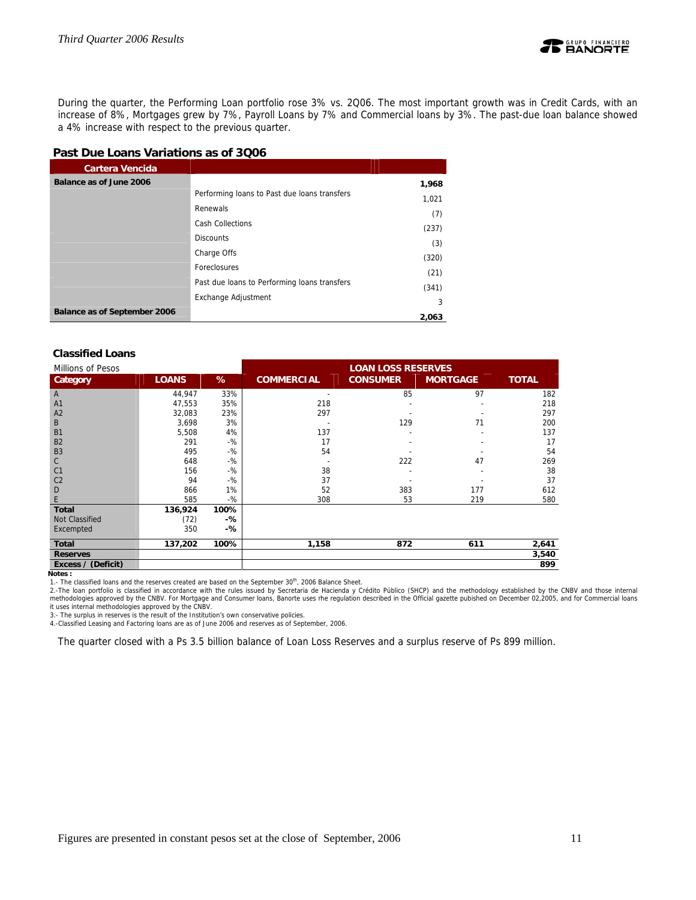

During the quarter, the Performing Loan portfolio rose 3% vs. 2Q06. The most important growth was in Credit Cards, with an increase of 8%, Mortgages grew by 7%, Payroll Loans by 7% and Commercial loans by 3%. The past-due loan balance showed a 4% increase with respect to the previous quarter.

# **Past Due Loans Variations as of 3Q06**

| <b>Cartera Vencida</b>       |                                              |       |
|------------------------------|----------------------------------------------|-------|
| Balance as of June 2006      |                                              | 1,968 |
|                              | Performing loans to Past due loans transfers | 1,021 |
|                              | Renewals                                     | (7)   |
|                              | <b>Cash Collections</b>                      | (237) |
|                              | <b>Discounts</b>                             | (3)   |
|                              | Charge Offs                                  | (320) |
|                              | Foreclosures                                 | (21)  |
|                              | Past due loans to Performing loans transfers |       |
|                              | Exchange Adjustment                          | (341) |
| Balance as of September 2006 |                                              | 3     |
|                              |                                              | 2,063 |

### **Classified Loans**

| Millions of Pesos     |              |       | <b>LOAN LOSS RESERVES</b> |                 |                 |              |
|-----------------------|--------------|-------|---------------------------|-----------------|-----------------|--------------|
| Category              | <b>LOANS</b> | %     | <b>COMMERCIAL</b>         | <b>CONSUMER</b> | <b>MORTGAGE</b> | <b>TOTAL</b> |
| A                     | 44,947       | 33%   | $\overline{\phantom{a}}$  | 85              | 97              | 182          |
| A <sub>1</sub>        | 47,553       | 35%   | 218                       |                 |                 | 218          |
| A2                    | 32,083       | 23%   | 297                       |                 |                 | 297          |
| B                     | 3,698        | 3%    |                           | 129             | 71              | 200          |
| <b>B1</b>             | 5.508        | 4%    | 137                       |                 |                 | 137          |
| <b>B2</b>             | 291          | $-$ % | 17                        |                 |                 | 17           |
| B <sub>3</sub>        | 495          | $-$ % | 54                        |                 |                 | 54           |
| $\mathsf{C}$          | 648          | $-$ % |                           | 222             | 47              | 269          |
| C <sub>1</sub>        | 156          | $-$ % | 38                        |                 |                 | 38           |
| C <sub>2</sub>        | 94           | $-$ % | 37                        |                 |                 | 37           |
| D                     | 866          | 1%    | 52                        | 383             | 177             | 612          |
| E                     | 585          | $-$ % | 308                       | 53              | 219             | 580          |
| <b>Total</b>          | 136,924      | 100%  |                           |                 |                 |              |
| <b>Not Classified</b> | (72)         | -%    |                           |                 |                 |              |
| Excempted             | 350          | -%    |                           |                 |                 |              |
| Total                 | 137,202      | 100%  | 1,158                     | 872             | 611             | 2,641        |
| <b>Reserves</b>       |              |       |                           |                 |                 | 3,540        |
| Excess / (Deficit)    |              |       |                           |                 |                 | 899          |

**Notes :** 

1.- The classified loans and the reserves created are based on the September 30<sup>th</sup>, 2006 Balance Sheet.

2.-The loan portfolio is classified in accordance with the rules issued by Secretaria de Hacienda y Crédito Público (SHCP) and the methodology established by the CNBV and those internal<br>methodologies approved by the CNBV.

3.- The surplus in reserves is the result of the Institution's own conservative policies.

4.-Classified Leasing and Factoring loans are as of June 2006 and reserves as of September, 2006.

The quarter closed with a Ps 3.5 billion balance of Loan Loss Reserves and a surplus reserve of Ps 899 million.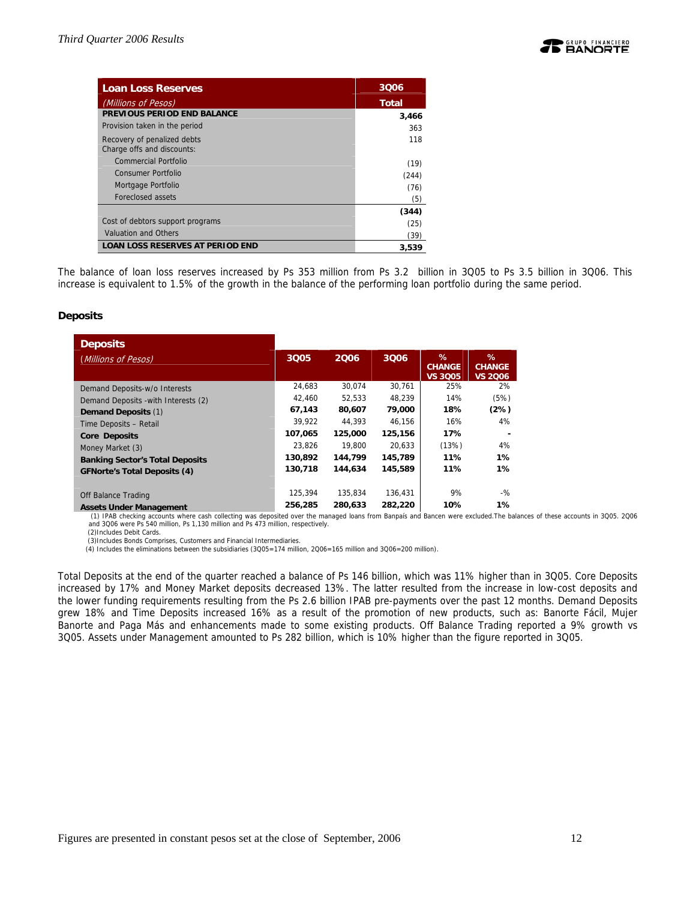

| <b>Loan Loss Reserves</b>                                 | 3006         |
|-----------------------------------------------------------|--------------|
| (Millions of Pesos)                                       | <b>Total</b> |
| PREVIOUS PERIOD END BALANCE                               | 3,466        |
| Provision taken in the period                             | 363          |
| Recovery of penalized debts<br>Charge offs and discounts: | 118          |
| Commercial Portfolio                                      | (19)         |
| Consumer Portfolio                                        | (244)        |
| Mortgage Portfolio                                        | (76)         |
| Foreclosed assets                                         | (5)          |
|                                                           | (344)        |
| Cost of debtors support programs                          | (25)         |
| <b>Valuation and Others</b>                               | (39)         |
| <b>LOAN LOSS RESERVES AT PERIOD END</b>                   | 3.539        |

The balance of loan loss reserves increased by Ps 353 million from Ps 3.2 billion in 3Q05 to Ps 3.5 billion in 3Q06. This increase is equivalent to 1.5% of the growth in the balance of the performing loan portfolio during the same period.

### **Deposits**

| <b>Deposits</b>                        |         |         |         |                                      |                                         |
|----------------------------------------|---------|---------|---------|--------------------------------------|-----------------------------------------|
| (Millions of Pesos)                    | 3Q05    | 2006    | 3006    | %<br><b>CHANGE</b><br><b>VS 3005</b> | $\%$<br><b>CHANGE</b><br><b>VS 2006</b> |
| Demand Deposits-w/o Interests          | 24.683  | 30.074  | 30,761  | 25%                                  | 2%                                      |
| Demand Deposits - with Interests (2)   | 42,460  | 52.533  | 48,239  | 14%                                  | (5%)                                    |
| <b>Demand Deposits (1)</b>             | 67,143  | 80,607  | 79,000  | 18%                                  | (2%)                                    |
| Time Deposits - Retail                 | 39.922  | 44.393  | 46.156  | 16%                                  | 4%                                      |
| <b>Core Deposits</b>                   | 107,065 | 125,000 | 125,156 | 17%                                  |                                         |
| Money Market (3)                       | 23.826  | 19,800  | 20.633  | (13%)                                | 4%                                      |
| <b>Banking Sector's Total Deposits</b> | 130,892 | 144,799 | 145,789 | 11%                                  | $1\%$                                   |
| <b>GFNorte's Total Deposits (4)</b>    | 130,718 | 144.634 | 145,589 | 11%                                  | $1\%$                                   |
|                                        |         |         |         |                                      |                                         |
| Off Balance Trading                    | 125,394 | 135.834 | 136.431 | 9%                                   | $-$ %                                   |
| <b>Assets Under Management</b>         | 256,285 | 280.633 | 282,220 | 10%                                  | 1%                                      |

 (1) IPAB checking accounts where cash collecting was deposited over the managed loans from Banpaís and Bancen were excluded.The balances of these accounts in 3Q05. 2Q06 and 3Q06 were Ps 540 million, Ps 1,130 million and Ps 473 million, respectively.

(2)Includes Debit Cards. (3)Includes Bonds Comprises, Customers and Financial Intermediaries.

(4) Includes the eliminations between the subsidiaries (3Q05=174 million, 2Q06=165 million and 3Q06=200 million).

Total Deposits at the end of the quarter reached a balance of Ps 146 billion, which was 11% higher than in 3Q05. Core Deposits increased by 17% and Money Market deposits decreased 13%. The latter resulted from the increase in low-cost deposits and the lower funding requirements resulting from the Ps 2.6 billion IPAB pre-payments over the past 12 months. Demand Deposits grew 18% and Time Deposits increased 16% as a result of the promotion of new products, such as: Banorte Fácil, Mujer Banorte and Paga Más and enhancements made to some existing products. Off Balance Trading reported a 9% growth vs 3Q05. Assets under Management amounted to Ps 282 billion, which is 10% higher than the figure reported in 3Q05.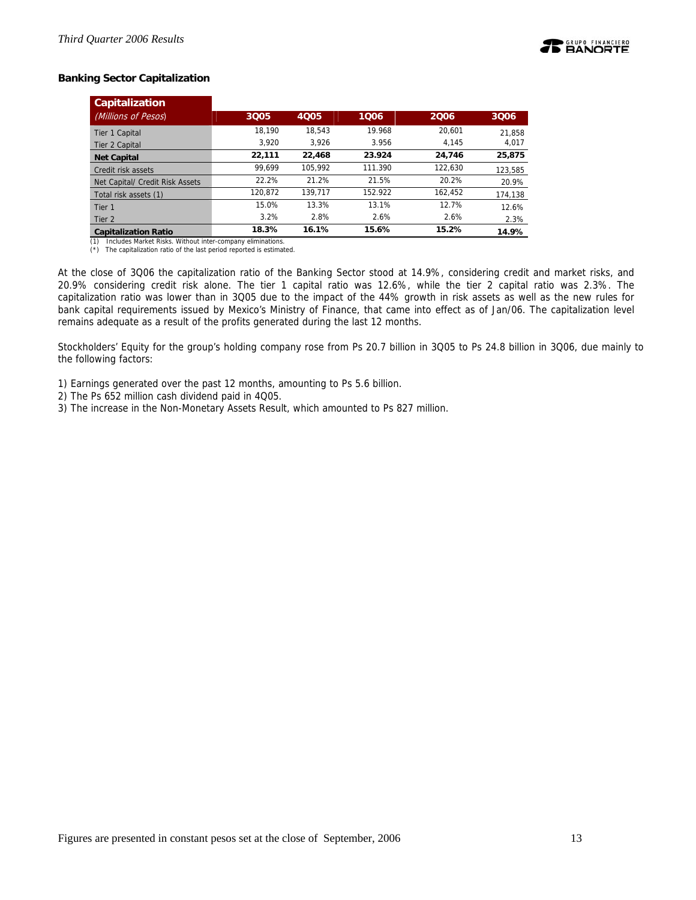

# **Banking Sector Capitalization**

| <b>Capitalization</b>           |         |         |         |         |         |
|---------------------------------|---------|---------|---------|---------|---------|
| (Millions of Pesos)             | 3005    | 4005    | 1006    | 2006    | 3006    |
| Tier 1 Capital                  | 18.190  | 18,543  | 19.968  | 20.601  | 21,858  |
| Tier 2 Capital                  | 3.920   | 3.926   | 3.956   | 4.145   | 4,017   |
| <b>Net Capital</b>              | 22,111  | 22,468  | 23.924  | 24.746  | 25,875  |
| Credit risk assets              | 99.699  | 105.992 | 111.390 | 122.630 | 123,585 |
| Net Capital/ Credit Risk Assets | 22.2%   | 21.2%   | 21.5%   | 20.2%   | 20.9%   |
| Total risk assets (1)           | 120.872 | 139.717 | 152.922 | 162.452 | 174,138 |
| Tier 1                          | 15.0%   | 13.3%   | 13.1%   | 12.7%   | 12.6%   |
| Tier 2                          | 3.2%    | 2.8%    | 2.6%    | 2.6%    | 2.3%    |
| <b>Capitalization Ratio</b>     | 18.3%   | 16.1%   | 15.6%   | 15.2%   | 14.9%   |

(1) Includes Market Risks. Without inter-company eliminations. (\*) The capitalization ratio of the last period reported is estimated.

At the close of 3Q06 the capitalization ratio of the Banking Sector stood at 14.9%, considering credit and market risks, and 20.9% considering credit risk alone. The tier 1 capital ratio was 12.6%, while the tier 2 capital ratio was 2.3%. The capitalization ratio was lower than in 3Q05 due to the impact of the 44% growth in risk assets as well as the new rules for bank capital requirements issued by Mexico's Ministry of Finance, that came into effect as of Jan/06. The capitalization level remains adequate as a result of the profits generated during the last 12 months.

Stockholders' Equity for the group's holding company rose from Ps 20.7 billion in 3Q05 to Ps 24.8 billion in 3Q06, due mainly to the following factors:

1) Earnings generated over the past 12 months, amounting to Ps 5.6 billion.

- 2) The Ps 652 million cash dividend paid in 4Q05.
- 3) The increase in the Non-Monetary Assets Result, which amounted to Ps 827 million.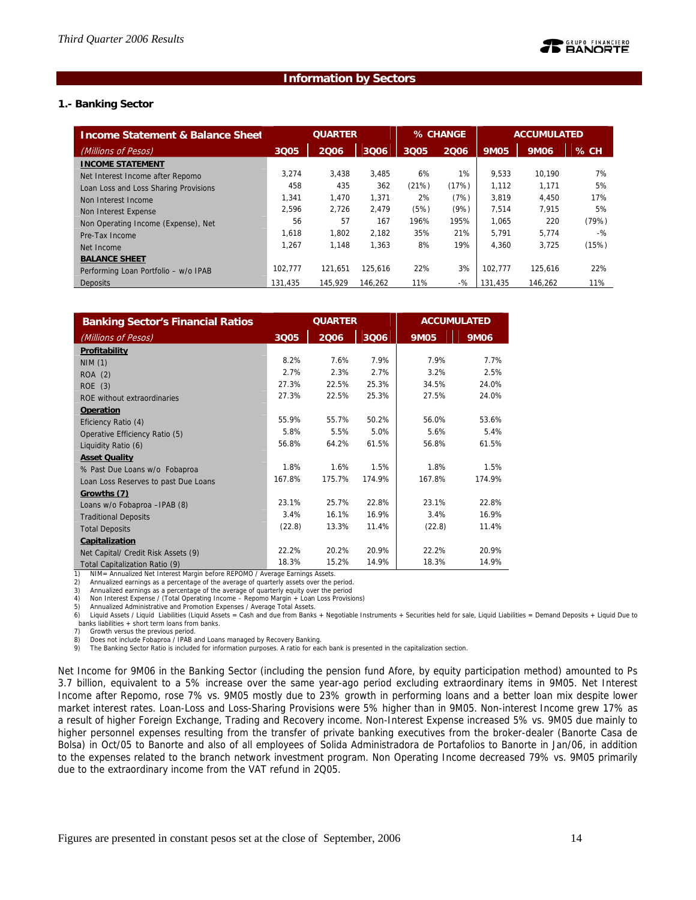### **Information by Sectors**

### **1.- Banking Sector**

| <b>Income Statement &amp; Balance Sheet</b> | <b>QUARTER</b> |         | % CHANGE |       | <b>ACCUMULATED</b> |             |         |       |
|---------------------------------------------|----------------|---------|----------|-------|--------------------|-------------|---------|-------|
| (Millions of Pesos)                         | 3Q05           | 2006    | 3006     | 3Q05  | 2006               | <b>9M05</b> | 9M06    | % CH  |
| <b>INCOME STATEMENT</b>                     |                |         |          |       |                    |             |         |       |
| Net Interest Income after Repomo            | 3.274          | 3,438   | 3.485    | 6%    | 1%                 | 9,533       | 10.190  | 7%    |
| Loan Loss and Loss Sharing Provisions       | 458            | 435     | 362      | (21%) | (17%)              | 1.112       | 1.171   | 5%    |
| Non Interest Income                         | 1.341          | 1.470   | 1.371    | 2%    | (7%)               | 3.819       | 4.450   | 17%   |
| Non Interest Expense                        | 2.596          | 2.726   | 2.479    | (5%)  | (9%)               | 7.514       | 7.915   | 5%    |
| Non Operating Income (Expense), Net         | 56             | 57      | 167      | 196%  | 195%               | 1.065       | 220     | (79%) |
| Pre-Tax Income                              | 1.618          | 1.802   | 2.182    | 35%   | 21%                | 5.791       | 5.774   | $-$ % |
| Net Income                                  | 1.267          | 1.148   | 1.363    | 8%    | 19%                | 4.360       | 3,725   | (15%) |
| <b>BALANCE SHEET</b>                        |                |         |          |       |                    |             |         |       |
| Performing Loan Portfolio - w/o IPAB        | 102.777        | 121.651 | 125.616  | 22%   | 3%                 | 102.777     | 125.616 | 22%   |
| Deposits                                    | 131.435        | 145.929 | 146.262  | 11%   | $-$ %              | 131.435     | 146.262 | 11%   |

| <b>Banking Sector's Financial Ratios</b> | <b>QUARTER</b> |        |        |             | <b>ACCUMULATED</b> |
|------------------------------------------|----------------|--------|--------|-------------|--------------------|
| (Millions of Pesos)                      | 3Q05           | 2006   | 3Q06   | <b>9M05</b> | <b>9M06</b>        |
| Profitability                            |                |        |        |             |                    |
| NIM(1)                                   | 8.2%           | 7.6%   | 7.9%   | 7.9%        | 7.7%               |
| ROA (2)                                  | 2.7%           | 2.3%   | 2.7%   | 3.2%        | 2.5%               |
| ROE(3)                                   | 27.3%          | 22.5%  | 25.3%  | 34.5%       | 24.0%              |
| ROE without extraordinaries              | 27.3%          | 22.5%  | 25.3%  | 27.5%       | 24.0%              |
| Operation                                |                |        |        |             |                    |
| Eficiency Ratio (4)                      | 55.9%          | 55.7%  | 50.2%  | 56.0%       | 53.6%              |
| Operative Efficiency Ratio (5)           | 5.8%           | 5.5%   | 5.0%   | 5.6%        | 5.4%               |
| Liquidity Ratio (6)                      | 56.8%          | 64.2%  | 61.5%  | 56.8%       | 61.5%              |
| <b>Asset Quality</b>                     |                |        |        |             |                    |
| % Past Due Loans w/o Fobaproa            | 1.8%           | 1.6%   | 1.5%   | 1.8%        | 1.5%               |
| Loan Loss Reserves to past Due Loans     | 167.8%         | 175.7% | 174.9% | 167.8%      | 174.9%             |
| Growths (7)                              |                |        |        |             |                    |
| Loans w/o Fobaproa -IPAB (8)             | 23.1%          | 25.7%  | 22.8%  | 23.1%       | 22.8%              |
| <b>Traditional Deposits</b>              | 3.4%           | 16.1%  | 16.9%  | 3.4%        | 16.9%              |
| <b>Total Deposits</b>                    | (22.8)         | 13.3%  | 11.4%  | (22.8)      | 11.4%              |
| Capitalization                           |                |        |        |             |                    |
| Net Capital/ Credit Risk Assets (9)      | 22.2%          | 20.2%  | 20.9%  | 22.2%       | 20.9%              |
| Total Capitalization Ratio (9)           | 18.3%          | 15.2%  | 14.9%  | 18.3%       | 14.9%              |

1) NIM= Annualized Net Interest Margin before REPOMO / Average Earnings Assets.<br>2) Annualized earnings as a percentage of the average of guarterly assets over the p

Annualized earnings as a percentage of the average of quarterly assets over the period.

3) Annualized earnings as a percentage of the average of quarterly equity over the period 4) Non Interest Expense / (Total Operating Income – Repomo Margin + Loan Loss Provisions)

5) Annualized Administrative and Promotion Expenses / Average Total Assets.

6) Liquid Assets / Liquid Liabilities (Liquid Assets = Cash and due from Banks + Negotiable Instruments + Securities held for sale, Liquid Liabilities = Demand Deposits + Liquid Due to banks liabilities + short term loans from banks.

7) Growth versus the previous period.

8) Does not include Fobaproa / IPAB and Loans managed by Recovery Banking.<br>9) The Banking Sector Ratio is included for information purposes. A ratio for each bank is presented in the capitalization section.

Net Income for 9M06 in the Banking Sector (including the pension fund Afore, by equity participation method) amounted to Ps 3.7 billion, equivalent to a 5% increase over the same year-ago period excluding extraordinary items in 9M05. Net Interest Income after Repomo, rose 7% vs. 9M05 mostly due to 23% growth in performing loans and a better loan mix despite lower market interest rates. Loan-Loss and Loss-Sharing Provisions were 5% higher than in 9M05. Non-interest Income grew 17% as a result of higher Foreign Exchange, Trading and Recovery income. Non-Interest Expense increased 5% vs. 9M05 due mainly to higher personnel expenses resulting from the transfer of private banking executives from the broker-dealer (Banorte Casa de Bolsa) in Oct/05 to Banorte and also of all employees of Solida Administradora de Portafolios to Banorte in Jan/06, in addition to the expenses related to the branch network investment program. Non Operating Income decreased 79% vs. 9M05 primarily due to the extraordinary income from the VAT refund in 2Q05.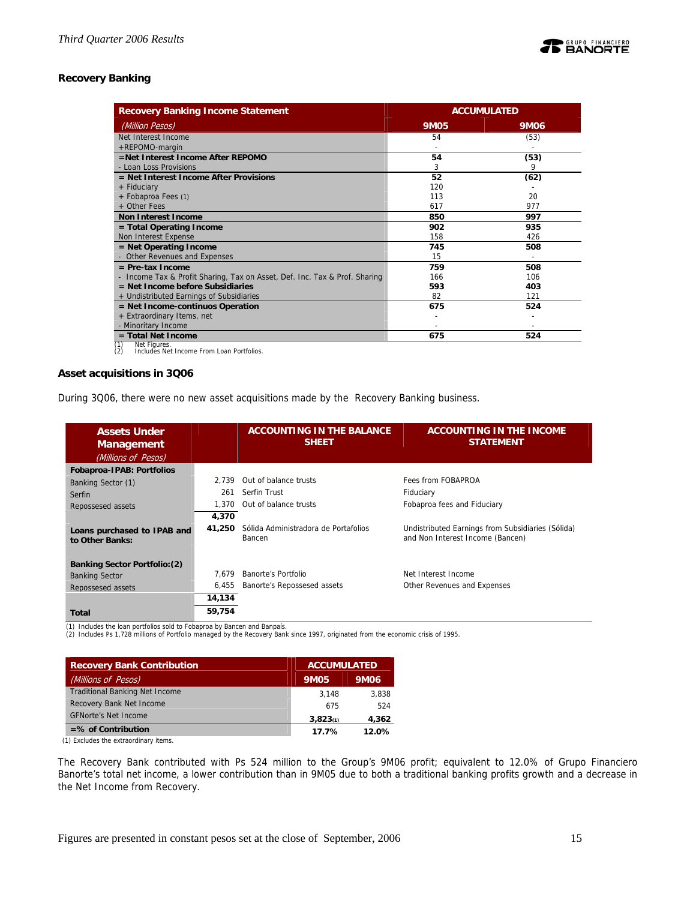# **Recovery Banking**

| <b>Recovery Banking Income Statement</b>                                   | <b>ACCUMULATED</b> |      |  |
|----------------------------------------------------------------------------|--------------------|------|--|
| (Million Pesos)                                                            | <b>9M05</b>        | 9M06 |  |
| Net Interest Income                                                        | 54                 | (53) |  |
| +REPOMO-margin                                                             |                    |      |  |
| =Net Interest Income After REPOMO                                          | 54                 | (53) |  |
| - Loan Loss Provisions                                                     | 3                  | 9    |  |
| $=$ Net Interest Income After Provisions                                   | 52                 | (62) |  |
| + Fiduciary                                                                | 120                |      |  |
| + Fobaproa Fees (1)                                                        | 113                | 20   |  |
| + Other Fees                                                               | 617                | 977  |  |
| <b>Non Interest Income</b>                                                 | 850                | 997  |  |
| $=$ Total Operating Income                                                 | 902                | 935  |  |
| Non Interest Expense                                                       | 158                | 426  |  |
| $=$ Net Operating Income                                                   | 745                | 508  |  |
| - Other Revenues and Expenses                                              | 15                 |      |  |
| $=$ Pre-tax Income                                                         | 759                | 508  |  |
| - Income Tax & Profit Sharing, Tax on Asset, Def. Inc. Tax & Prof. Sharing | 166                | 106  |  |
| $=$ Net Income before Subsidiaries                                         | 593                | 403  |  |
| + Undistributed Earnings of Subsidiaries                                   | 82                 | 121  |  |
| $=$ Net Income-continuos Operation                                         | 675                | 524  |  |
| + Extraordinary Items, net                                                 |                    |      |  |
| - Minoritary Income                                                        |                    |      |  |
| $=$ Total Net Income                                                       | 675                | 524  |  |

(1) Net Figures. (2) Includes Net Income From Loan Portfolios.

### **Asset acquisitions in 3Q06**

During 3Q06, there were no new asset acquisitions made by the Recovery Banking business.

| <b>Assets Under</b><br><b>Management</b>       |             | <b>ACCOUNTING IN THE BALANCE</b><br><b>SHEET</b> | <b>ACCOUNTING IN THE INCOME</b><br><b>STATEMENT</b>                                   |
|------------------------------------------------|-------------|--------------------------------------------------|---------------------------------------------------------------------------------------|
| (Millions of Pesos)                            |             |                                                  |                                                                                       |
| Fobaproa-IPAB: Portfolios                      |             |                                                  |                                                                                       |
| Banking Sector (1)                             | 2.739       | Out of balance trusts                            | Fees from FOBAPROA                                                                    |
| Serfin                                         | 261         | Serfin Trust                                     | Fiduciary                                                                             |
| Repossesed assets                              | 1.370       | Out of balance trusts                            | Fobaproa fees and Fiduciary                                                           |
|                                                | 4,370       |                                                  |                                                                                       |
| Loans purchased to IPAB and<br>to Other Banks: | 41,250      | Sólida Administradora de Portafolios<br>Bancen   | Undistributed Earnings from Subsidiaries (Sólida)<br>and Non Interest Income (Bancen) |
| <b>Banking Sector Portfolio: (2)</b>           |             |                                                  |                                                                                       |
| <b>Banking Sector</b>                          | 7.679       | Banorte's Portfolio                              | Net Interest Income                                                                   |
| Repossesed assets                              | 6,455       | Banorte's Repossesed assets                      | Other Revenues and Expenses                                                           |
|                                                | 14,134      |                                                  |                                                                                       |
| <b>Total</b><br>.<br>$-20$<br>.                | 59,754<br>. | . .                                              |                                                                                       |

(1) Includes the loan portfolios sold to Fobaproa by Bancen and Banpaís.

(2) Includes Ps 1,728 millions of Portfolio managed by the Recovery Bank since 1997, originated from the economic crisis of 1995.

| <b>Recovery Bank Contribution</b>     | <b>ACCUMULATED</b> |       |
|---------------------------------------|--------------------|-------|
| (Millions of Pesos)                   | <b>9M05</b>        | 9M06  |
| <b>Traditional Banking Net Income</b> | 3.148              | 3.838 |
| Recovery Bank Net Income              | 675                | 524   |
| <b>GFNorte's Net Income</b>           | 3,823(1)           | 4,362 |
| $=$ % of Contribution                 | 17.7%              | 12.0% |

(1) Excludes the extraordinary items.

The Recovery Bank contributed with Ps 524 million to the Group's 9M06 profit; equivalent to 12.0% of Grupo Financiero Banorte's total net income, a lower contribution than in 9M05 due to both a traditional banking profits growth and a decrease in the Net Income from Recovery.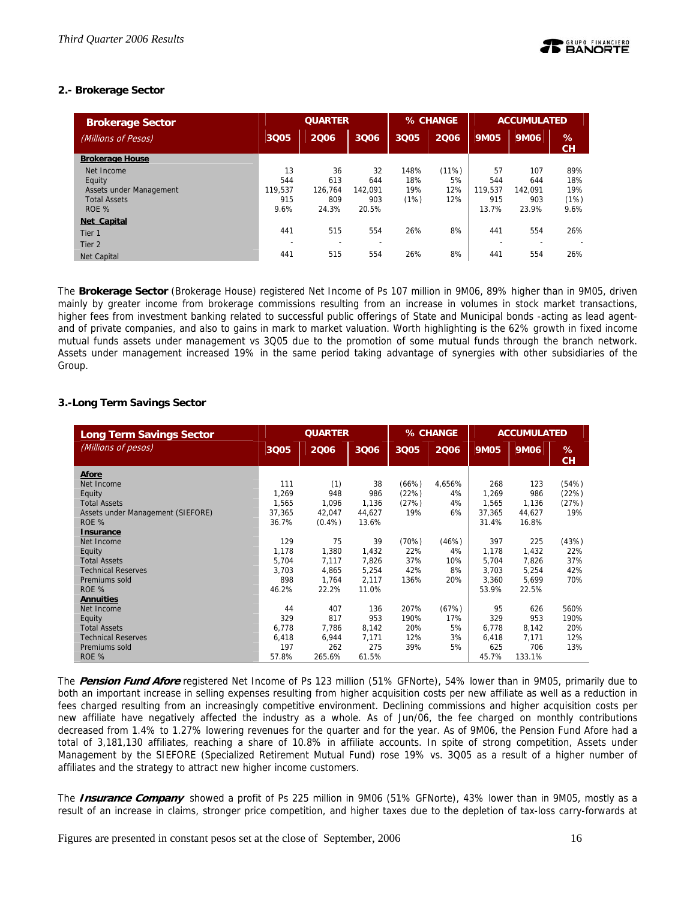# **2.- Brokerage Sector**

| <b>Brokerage Sector</b> |         | <b>QUARTER</b> |         |      | % CHANGE |             | <b>ACCUMULATED</b> |         |
|-------------------------|---------|----------------|---------|------|----------|-------------|--------------------|---------|
| (Millions of Pesos)     | 3Q05    | 2006           | 3Q06    | 3005 | 2006     | <b>9M05</b> | 9M06               | %<br>CH |
| <b>Brokerage House</b>  |         |                |         |      |          |             |                    |         |
| Net Income              | 13      | 36             | 32      | 148% | (11%)    | 57          | 107                | 89%     |
| Equity                  | 544     | 613            | 644     | 18%  | 5%       | 544         | 644                | 18%     |
| Assets under Management | 119.537 | 126.764        | 142.091 | 19%  | 12%      | 119.537     | 142.091            | 19%     |
| <b>Total Assets</b>     | 915     | 809            | 903     | (1%) | 12%      | 915         | 903                | (1%)    |
| ROE %                   | 9.6%    | 24.3%          | 20.5%   |      |          | 13.7%       | 23.9%              | 9.6%    |
| Net Capital             |         |                |         |      |          |             |                    |         |
| Tier <sub>1</sub>       | 441     | 515            | 554     | 26%  | 8%       | 441         | 554                | 26%     |
| Tier <sub>2</sub>       |         |                |         |      |          |             |                    |         |
| <b>Net Capital</b>      | 441     | 515            | 554     | 26%  | 8%       | 441         | 554                | 26%     |

The **Brokerage Sector** (Brokerage House) registered Net Income of Ps 107 million in 9M06, 89% higher than in 9M05, driven mainly by greater income from brokerage commissions resulting from an increase in volumes in stock market transactions, higher fees from investment banking related to successful public offerings of State and Municipal bonds -acting as lead agentand of private companies, and also to gains in mark to market valuation. Worth highlighting is the 62% growth in fixed income mutual funds assets under management vs 3Q05 due to the promotion of some mutual funds through the branch network. Assets under management increased 19% in the same period taking advantage of synergies with other subsidiaries of the Group.

# **3.-Long Term Savings Sector**

| <b>Long Term Savings Sector</b>   |        | <b>QUARTER</b> |        |       | % CHANGE |             | <b>ACCUMULATED</b> |                |
|-----------------------------------|--------|----------------|--------|-------|----------|-------------|--------------------|----------------|
| (Millions of pesos)               | 3Q05   | 2006           | 3006   | 3Q05  | 2006     | <b>9M05</b> | <b>9M06</b>        | %<br><b>CH</b> |
| Afore                             |        |                |        |       |          |             |                    |                |
| Net Income                        | 111    | (1)            | 38     | (66%) | 4,656%   | 268         | 123                | (54%)          |
| Equity                            | 1,269  | 948            | 986    | (22%) | 4%       | 1,269       | 986                | (22%)          |
| <b>Total Assets</b>               | 1.565  | 1.096          | 1.136  | (27%) | 4%       | 1.565       | 1.136              | (27%)          |
| Assets under Management (SIEFORE) | 37,365 | 42,047         | 44,627 | 19%   | 6%       | 37,365      | 44.627             | 19%            |
| ROE %                             | 36.7%  | $(0.4\%)$      | 13.6%  |       |          | 31.4%       | 16.8%              |                |
| Insurance                         |        |                |        |       |          |             |                    |                |
| Net Income                        | 129    | 75             | 39     | (70%) | (46%)    | 397         | 225                | (43%)          |
| Equity                            | 1,178  | 1,380          | 1,432  | 22%   | 4%       | 1,178       | 1,432              | 22%            |
| <b>Total Assets</b>               | 5,704  | 7,117          | 7,826  | 37%   | 10%      | 5,704       | 7,826              | 37%            |
| <b>Technical Reserves</b>         | 3.703  | 4,865          | 5,254  | 42%   | 8%       | 3.703       | 5,254              | 42%            |
| Premiums sold                     | 898    | 1,764          | 2,117  | 136%  | 20%      | 3,360       | 5,699              | 70%            |
| ROE %                             | 46.2%  | 22.2%          | 11.0%  |       |          | 53.9%       | 22.5%              |                |
| <b>Annuities</b>                  |        |                |        |       |          |             |                    |                |
| Net Income                        | 44     | 407            | 136    | 207%  | (67%)    | 95          | 626                | 560%           |
| Equity                            | 329    | 817            | 953    | 190%  | 17%      | 329         | 953                | 190%           |
| <b>Total Assets</b>               | 6,778  | 7,786          | 8,142  | 20%   | 5%       | 6,778       | 8,142              | 20%            |
| <b>Technical Reserves</b>         | 6.418  | 6,944          | 7,171  | 12%   | 3%       | 6,418       | 7,171              | 12%            |
| Premiums sold                     | 197    | 262            | 275    | 39%   | 5%       | 625         | 706                | 13%            |
| ROE %                             | 57.8%  | 265.6%         | 61.5%  |       |          | 45.7%       | 133.1%             |                |

The **Pension Fund Afore** registered Net Income of Ps 123 million (51% GFNorte), 54% lower than in 9M05, primarily due to both an important increase in selling expenses resulting from higher acquisition costs per new affiliate as well as a reduction in fees charged resulting from an increasingly competitive environment. Declining commissions and higher acquisition costs per new affiliate have negatively affected the industry as a whole. As of Jun/06, the fee charged on monthly contributions decreased from 1.4% to 1.27% lowering revenues for the quarter and for the year. As of 9M06, the Pension Fund Afore had a total of 3,181,130 affiliates, reaching a share of 10.8% in affiliate accounts. In spite of strong competition, Assets under Management by the SIEFORE (Specialized Retirement Mutual Fund) rose 19% vs. 3Q05 as a result of a higher number of affiliates and the strategy to attract new higher income customers.

The **Insurance Company** showed a profit of Ps 225 million in 9M06 (51% GFNorte), 43% lower than in 9M05, mostly as a result of an increase in claims, stronger price competition, and higher taxes due to the depletion of tax-loss carry-forwards at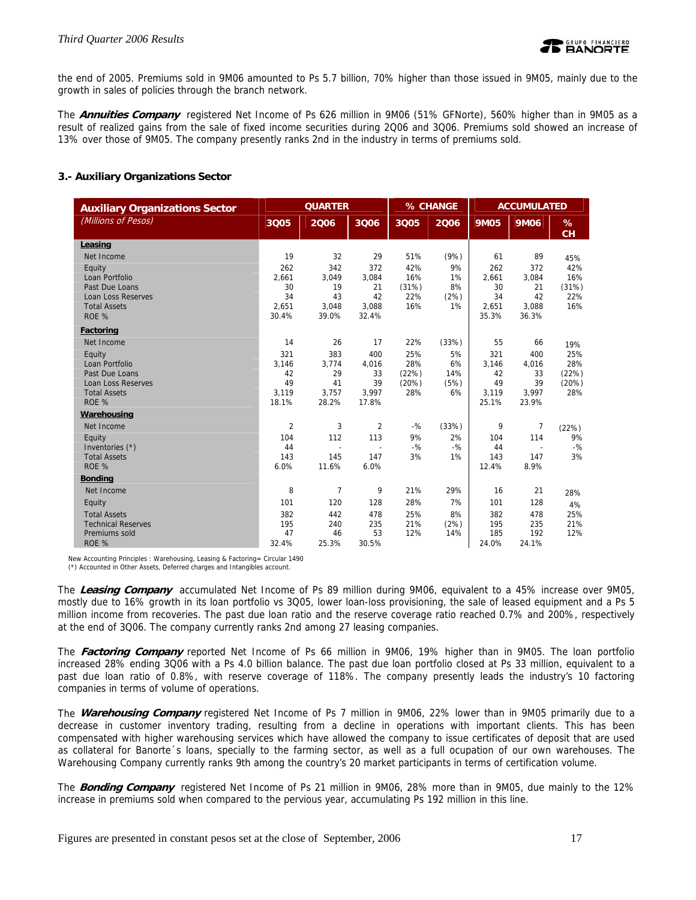the end of 2005. Premiums sold in 9M06 amounted to Ps 5.7 billion, 70% higher than those issued in 9M05, mainly due to the growth in sales of policies through the branch network.

The **Annuities Company** registered Net Income of Ps 626 million in 9M06 (51% GFNorte), 560% higher than in 9M05 as a result of realized gains from the sale of fixed income securities during 2Q06 and 3Q06. Premiums sold showed an increase of 13% over those of 9M05. The company presently ranks 2nd in the industry in terms of premiums sold.

# **3.- Auxiliary Organizations Sector**

| <b>Auxiliary Organizations Sector</b> |                | <b>QUARTER</b> |                          |       | % CHANGE |             | <b>ACCUMULATED</b>       |         |
|---------------------------------------|----------------|----------------|--------------------------|-------|----------|-------------|--------------------------|---------|
| (Millions of Pesos)                   | 3Q05           | 2006           | 3006                     | 3Q05  | 2006     | <b>9M05</b> | <b>9M06</b>              | %<br>CH |
| Leasing                               |                |                |                          |       |          |             |                          |         |
| Net Income                            | 19             | 32             | 29                       | 51%   | (9%)     | 61          | 89                       | 45%     |
| Equity                                | 262            | 342            | 372                      | 42%   | 9%       | 262         | 372                      | 42%     |
| Loan Portfolio                        | 2.661          | 3,049          | 3,084                    | 16%   | 1%       | 2.661       | 3,084                    | 16%     |
| Past Due Loans                        | 30             | 19             | 21                       | (31%) | 8%       | 30          | 21                       | (31%)   |
| Loan Loss Reserves                    | 34             | 43             | 42                       | 22%   | (2%)     | 34          | 42                       | 22%     |
| <b>Total Assets</b>                   | 2,651          | 3,048          | 3,088                    | 16%   | 1%       | 2,651       | 3,088                    | 16%     |
| ROE %                                 | 30.4%          | 39.0%          | 32.4%                    |       |          | 35.3%       | 36.3%                    |         |
| Factoring                             |                |                |                          |       |          |             |                          |         |
| Net Income                            | 14             | 26             | 17                       | 22%   | (33%)    | 55          | 66                       | 19%     |
| Equity                                | 321            | 383            | 400                      | 25%   | 5%       | 321         | 400                      | 25%     |
| Loan Portfolio                        | 3,146          | 3,774          | 4,016                    | 28%   | 6%       | 3,146       | 4,016                    | 28%     |
| Past Due Loans                        | 42             | 29             | 33                       | (22%) | 14%      | 42          | 33                       | (22%)   |
| <b>Loan Loss Reserves</b>             | 49             | 41             | 39                       | (20%) | (5%)     | 49          | 39                       | (20%)   |
| <b>Total Assets</b>                   | 3.119          | 3,757          | 3,997                    | 28%   | 6%       | 3,119       | 3,997                    | 28%     |
| ROE %                                 | 18.1%          | 28.2%          | 17.8%                    |       |          | 25.1%       | 23.9%                    |         |
| Warehousing                           |                |                |                          |       |          |             |                          |         |
| Net Income                            | $\overline{2}$ | 3              | $\overline{2}$           | $-$ % | (33%)    | 9           | 7                        | (22%)   |
| Equity                                | 104            | 112            | 113                      | 9%    | 2%       | 104         | 114                      | 9%      |
| Inventories (*)                       | 44             |                | $\overline{\phantom{a}}$ | $-$ % | $-9/6$   | 44          | $\overline{\phantom{a}}$ | $-$ %   |
| <b>Total Assets</b>                   | 143            | 145            | 147                      | 3%    | 1%       | 143         | 147                      | 3%      |
| ROE %                                 | 6.0%           | 11.6%          | 6.0%                     |       |          | 12.4%       | 8.9%                     |         |
| <b>Bonding</b>                        |                |                |                          |       |          |             |                          |         |
| Net Income                            | 8              | $\overline{7}$ | 9                        | 21%   | 29%      | 16          | 21                       | 28%     |
| Equity                                | 101            | 120            | 128                      | 28%   | 7%       | 101         | 128                      | 4%      |
| <b>Total Assets</b>                   | 382            | 442            | 478                      | 25%   | 8%       | 382         | 478                      | 25%     |
| <b>Technical Reserves</b>             | 195            | 240            | 235                      | 21%   | (2%)     | 195         | 235                      | 21%     |
| Premiums sold                         | 47             | 46             | 53                       | 12%   | 14%      | 185         | 192                      | 12%     |
| ROE %                                 | 32.4%          | 25.3%          | 30.5%                    |       |          | 24.0%       | 24.1%                    |         |

New Accounting Principles : Warehousing, Leasing & Factoring= Circular 1490 (\*) Accounted in Other Assets, Deferred charges and Intangibles account.

The **Leasing Company** accumulated Net Income of Ps 89 million during 9M06, equivalent to a 45% increase over 9M05, mostly due to 16% growth in its loan portfolio vs 3Q05, lower loan-loss provisioning, the sale of leased equipment and a Ps 5 million income from recoveries. The past due loan ratio and the reserve coverage ratio reached 0.7% and 200%, respectively at the end of 3Q06. The company currently ranks 2nd among 27 leasing companies.

The **Factoring Company** reported Net Income of Ps 66 million in 9M06, 19% higher than in 9M05. The loan portfolio increased 28% ending 3Q06 with a Ps 4.0 billion balance. The past due loan portfolio closed at Ps 33 million, equivalent to a past due loan ratio of 0.8%, with reserve coverage of 118%. The company presently leads the industry's 10 factoring companies in terms of volume of operations.

The **Warehousing Company** registered Net Income of Ps 7 million in 9M06, 22% lower than in 9M05 primarily due to a decrease in customer inventory trading, resulting from a decline in operations with important clients. This has been compensated with higher warehousing services which have allowed the company to issue certificates of deposit that are used as collateral for Banorte´s loans, specially to the farming sector, as well as a full ocupation of our own warehouses. The Warehousing Company currently ranks 9th among the country's 20 market participants in terms of certification volume.

The **Bonding Company** registered Net Income of Ps 21 million in 9M06, 28% more than in 9M05, due mainly to the 12% increase in premiums sold when compared to the pervious year, accumulating Ps 192 million in this line.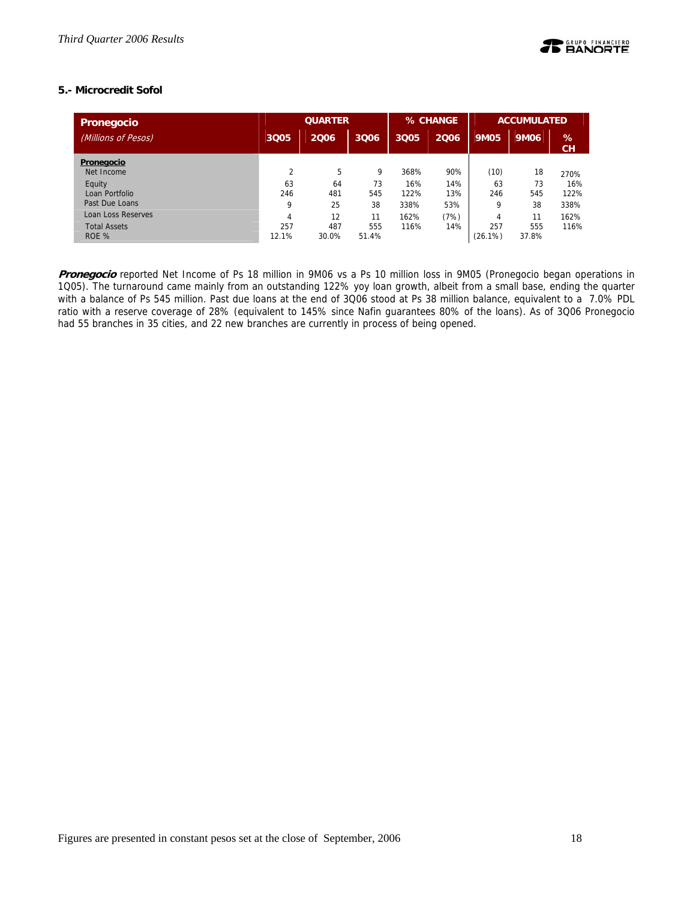# **5.- Microcredit Sofol**

| <b>Pronegocio</b>            |                | <b>QUARTER</b> |              | % CHANGE    |            | <b>ACCUMULATED</b> |              |             |
|------------------------------|----------------|----------------|--------------|-------------|------------|--------------------|--------------|-------------|
| (Millions of Pesos)          | 3Q05           | 2006           | 3Q06         | 3Q05        | 2006       | <b>9M05</b>        | <b>9M06</b>  | %<br>CH     |
| Pronegocio<br>Net Income     | $\overline{2}$ | 5              | 9            | 368%        | 90%        | (10)               | 18           | 270%        |
| Equity<br>Loan Portfolio     | 63<br>246      | 64<br>481      | 73<br>545    | 16%<br>122% | 14%<br>13% | 63<br>246          | 73<br>545    | 16%<br>122% |
| Past Due Loans               | 9              | 25             | 38           | 338%        | 53%        | 9                  | 38           | 338%        |
| Loan Loss Reserves           | $\overline{4}$ | 12             | 11           | 162%        | (7%)       | 4                  | 11           | 162%        |
| <b>Total Assets</b><br>ROE % | 257<br>12.1%   | 487<br>30.0%   | 555<br>51.4% | 116%        | 14%        | 257<br>(26.1%)     | 555<br>37.8% | 116%        |

**Pronegocio** reported Net Income of Ps 18 million in 9M06 vs a Ps 10 million loss in 9M05 (Pronegocio began operations in 1Q05). The turnaround came mainly from an outstanding 122% yoy loan growth, albeit from a small base, ending the quarter with a balance of Ps 545 million. Past due loans at the end of 3Q06 stood at Ps 38 million balance, equivalent to a 7.0% PDL ratio with a reserve coverage of 28% (equivalent to 145% since Nafin guarantees 80% of the loans). As of 3Q06 Pronegocio had 55 branches in 35 cities, and 22 new branches are currently in process of being opened.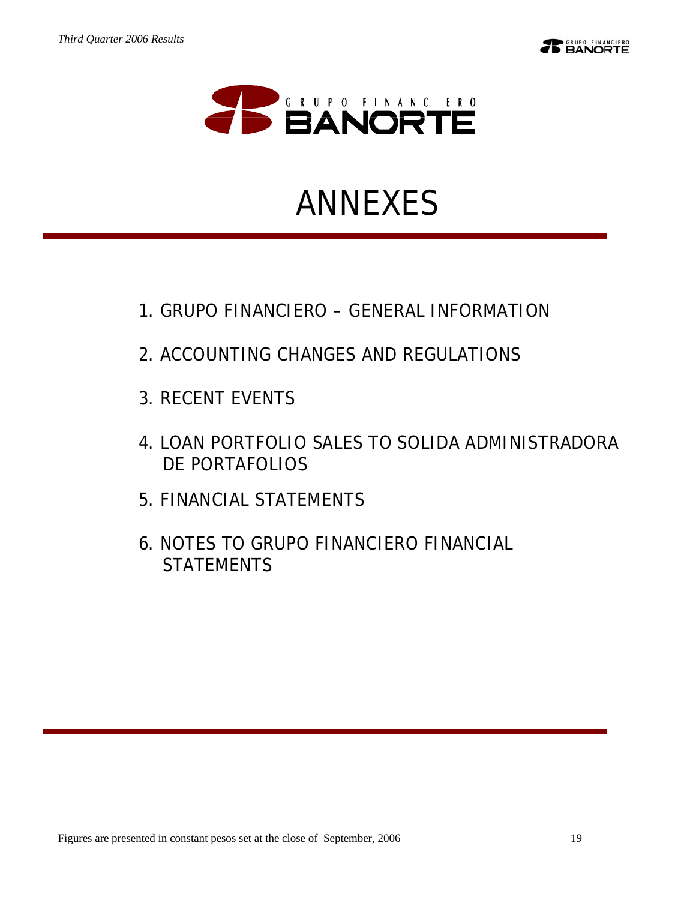

# ANNEXES

- 1.GRUPO FINANCIERO GENERAL INFORMATION
- 2.ACCOUNTING CHANGES AND REGULATIONS
- 3.RECENT EVENTS
- 4.LOAN PORTFOLIO SALES TO SOLIDA ADMINISTRADORA DE PORTAFOLIOS
- 5.FINANCIAL STATEMENTS
- 6.NOTES TO GRUPO FINANCIERO FINANCIAL **STATEMENTS**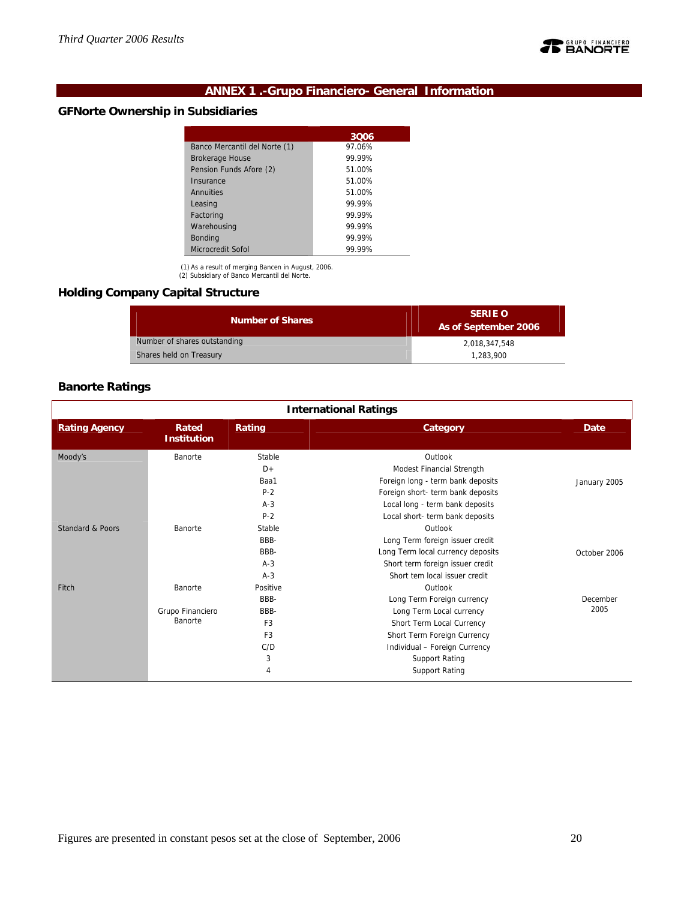

# **ANNEX 1 .-Grupo Financiero- General Information**

# **GFNorte Ownership in Subsidiaries**

| 3Q06   |
|--------|
| 97.06% |
| 99.99% |
| 51.00% |
| 51.00% |
| 51.00% |
| 99.99% |
| 99 99% |
| 99.99% |
| 99.99% |
| 99.99% |
|        |

(1) As a result of merging Bancen in August, 2006. (2) Subsidiary of Banco Mercantil del Norte.

# **Holding Company Capital Structure**

| <b>Number of Shares</b>      | <b>SERIE O</b><br>As of September 2006 |  |  |  |  |
|------------------------------|----------------------------------------|--|--|--|--|
| Number of shares outstanding | 2.018.347.548                          |  |  |  |  |
| Shares held on Treasury      | 1.283.900                              |  |  |  |  |

# **Banorte Ratings**

|                             |                             |                | <b>International Ratings</b>      |              |
|-----------------------------|-----------------------------|----------------|-----------------------------------|--------------|
| <b>Rating Agency</b>        | Rated<br><b>Institution</b> | Rating         | Category                          | Date         |
| Moody's                     | Banorte                     | Stable         | Outlook                           |              |
|                             |                             | $D+$           | Modest Financial Strength         |              |
|                             |                             | Baa1           | Foreign long - term bank deposits | January 2005 |
|                             |                             | $P-2$          | Foreign short- term bank deposits |              |
|                             |                             | $A-3$          | Local long - term bank deposits   |              |
|                             |                             | $P-2$          | Local short- term bank deposits   |              |
| <b>Standard &amp; Poors</b> | Banorte                     | Stable         | Outlook                           |              |
|                             |                             | BBB-           | Long Term foreign issuer credit   |              |
|                             |                             | BBB-           | Long Term local currency deposits | October 2006 |
|                             |                             | $A-3$          | Short term foreign issuer credit  |              |
|                             |                             | $A-3$          | Short tem local issuer credit     |              |
| Fitch                       | Banorte                     | Positive       | Outlook                           |              |
|                             |                             | BBB-           | Long Term Foreign currency        | December     |
|                             | Grupo Financiero            | BBB-           | Long Term Local currency          | 2005         |
|                             | Banorte                     | F <sub>3</sub> | Short Term Local Currency         |              |
|                             |                             | F <sub>3</sub> | Short Term Foreign Currency       |              |
|                             |                             | C/D            | Individual - Foreign Currency     |              |
|                             |                             | 3              | <b>Support Rating</b>             |              |
|                             |                             | 4              | <b>Support Rating</b>             |              |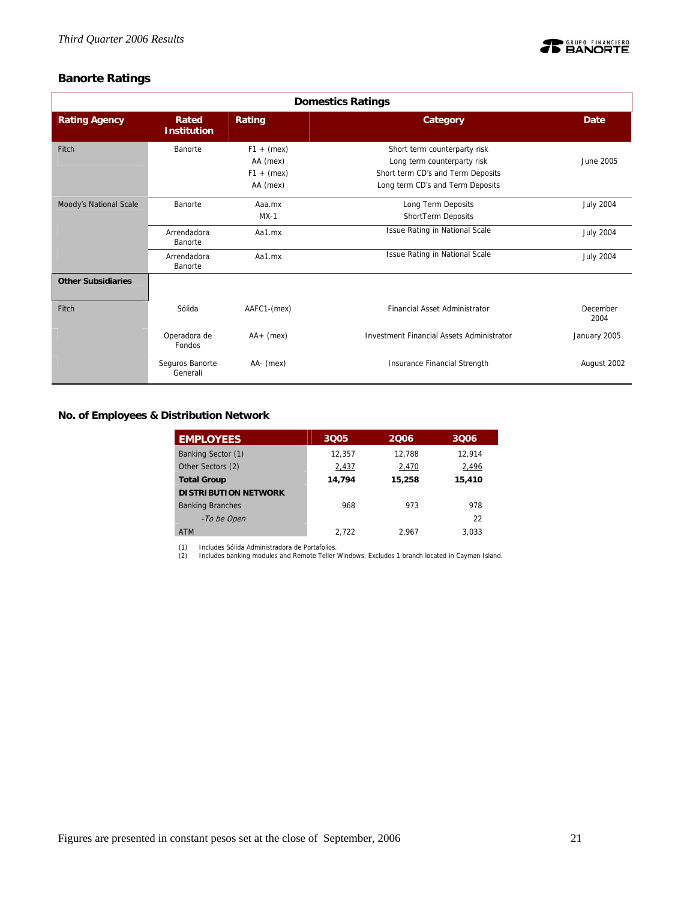

# **Banorte Ratings**

|                           | <b>Domestics Ratings</b>    |                                                      |                                                                                                                                      |                  |  |  |  |  |  |  |  |
|---------------------------|-----------------------------|------------------------------------------------------|--------------------------------------------------------------------------------------------------------------------------------------|------------------|--|--|--|--|--|--|--|
| <b>Rating Agency</b>      | Rated<br><b>Institution</b> | Rating                                               | Category                                                                                                                             | Date             |  |  |  |  |  |  |  |
| Fitch                     | Banorte                     | $F1 + (mex)$<br>AA (mex)<br>$F1 + (mex)$<br>AA (mex) | Short term counterparty risk<br>Long term counterparty risk<br>Short term CD's and Term Deposits<br>Long term CD's and Term Deposits | June 2005        |  |  |  |  |  |  |  |
| Moody's National Scale    | Banorte                     | Aaa.mx<br>$MX-1$                                     | Long Term Deposits<br>ShortTerm Deposits                                                                                             | <b>July 2004</b> |  |  |  |  |  |  |  |
|                           | Arrendadora<br>Banorte      | Aa1.mx                                               | <b>Issue Rating in National Scale</b>                                                                                                | <b>July 2004</b> |  |  |  |  |  |  |  |
|                           | Arrendadora<br>Banorte      | Aa1.mx                                               | Issue Rating in National Scale                                                                                                       | <b>July 2004</b> |  |  |  |  |  |  |  |
| <b>Other Subsidiaries</b> |                             |                                                      |                                                                                                                                      |                  |  |  |  |  |  |  |  |
| Fitch                     | Sólida                      | AAFC1-(mex)                                          | <b>Financial Asset Administrator</b>                                                                                                 | December<br>2004 |  |  |  |  |  |  |  |
|                           | Operadora de<br>Fondos      | $AA+$ (mex)                                          | <b>Investment Financial Assets Administrator</b>                                                                                     | January 2005     |  |  |  |  |  |  |  |
|                           | Seguros Banorte<br>Generali | AA- (mex)                                            | Insurance Financial Strength                                                                                                         | August 2002      |  |  |  |  |  |  |  |

**No. of Employees & Distribution Network** 

| <b>EMPLOYEES</b>            | 3005   | 2006   | 3006   |
|-----------------------------|--------|--------|--------|
| Banking Sector (1)          | 12,357 | 12,788 | 12,914 |
| Other Sectors (2)           | 2,437  | 2,470  | 2,496  |
| <b>Total Group</b>          | 14.794 | 15,258 | 15,410 |
| <b>DISTRIBUTION NETWORK</b> |        |        |        |
| <b>Banking Branches</b>     | 968    | 973    | 978    |
| -To be Open                 |        |        | 22     |
| <b>ATM</b>                  | 2.722  | 2.967  | 3.033  |

(1) Includes Sólida Administradora de Portafolios. (2) Includes banking modules and Remote Teller Windows. Excludes 1 branch located in Cayman Island.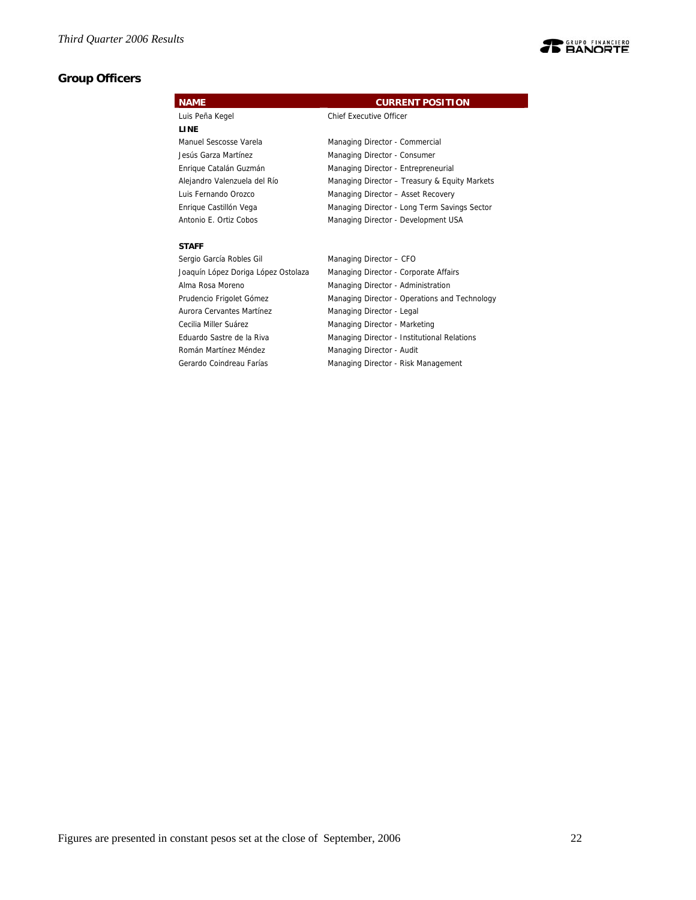# **Group Officers**



Cecilia Miller Suárez Managing Director - Marketing Eduardo Sastre de la Riva Managing Director - Institutional Relations Román Martínez Méndez **Managing Director - Audit** Gerardo Coindreau Farías Managing Director - Risk Management

Figures are presented in constant pesos set at the close of September, 2006 22

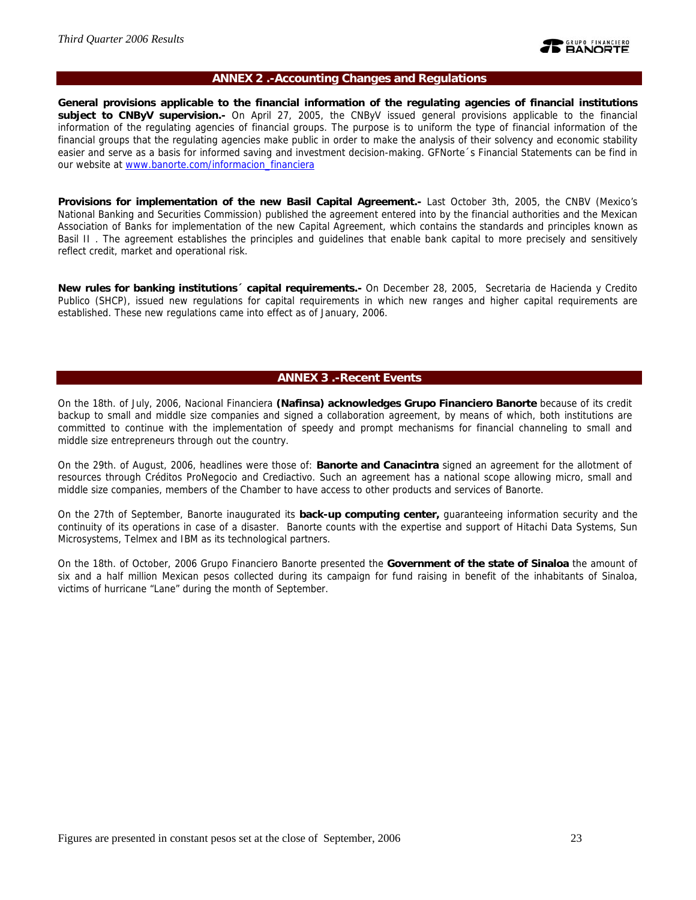

#### **ANNEX 2 .-Accounting Changes and Regulations**

**General provisions applicable to the financial information of the regulating agencies of financial institutions subject to CNByV supervision.-** On April 27, 2005, the CNByV issued general provisions applicable to the financial information of the regulating agencies of financial groups. The purpose is to uniform the type of financial information of the financial groups that the regulating agencies make public in order to make the analysis of their solvency and economic stability easier and serve as a basis for informed saving and investment decision-making. GFNorte´s Financial Statements can be find in our website at www.banorte.com/informacion\_financiera

**Provisions for implementation of the new Basil Capital Agreement.-** Last October 3th, 2005, the CNBV (Mexico's National Banking and Securities Commission) published the agreement entered into by the financial authorities and the Mexican Association of Banks for implementation of the new Capital Agreement, which contains the standards and principles known as Basil II . The agreement establishes the principles and guidelines that enable bank capital to more precisely and sensitively reflect credit, market and operational risk.

**New rules for banking institutions´ capital requirements.-** On December 28, 2005, Secretaria de Hacienda y Credito Publico (SHCP), issued new regulations for capital requirements in which new ranges and higher capital requirements are established. These new regulations came into effect as of January, 2006.

### **ANNEX 3 .-Recent Events**

On the 18th. of July, 2006, Nacional Financiera **(Nafinsa) acknowledges Grupo Financiero Banorte** because of its credit backup to small and middle size companies and signed a collaboration agreement, by means of which, both institutions are committed to continue with the implementation of speedy and prompt mechanisms for financial channeling to small and middle size entrepreneurs through out the country.

On the 29th. of August, 2006, headlines were those of: **Banorte and Canacintra** signed an agreement for the allotment of resources through Créditos ProNegocio and Crediactivo. Such an agreement has a national scope allowing micro, small and middle size companies, members of the Chamber to have access to other products and services of Banorte.

On the 27th of September, Banorte inaugurated its **back-up computing center,** guaranteeing information security and the continuity of its operations in case of a disaster. Banorte counts with the expertise and support of Hitachi Data Systems, Sun Microsystems, Telmex and IBM as its technological partners.

On the 18th. of October, 2006 Grupo Financiero Banorte presented the **Government of the state of Sinaloa** the amount of six and a half million Mexican pesos collected during its campaign for fund raising in benefit of the inhabitants of Sinaloa, victims of hurricane "Lane" during the month of September.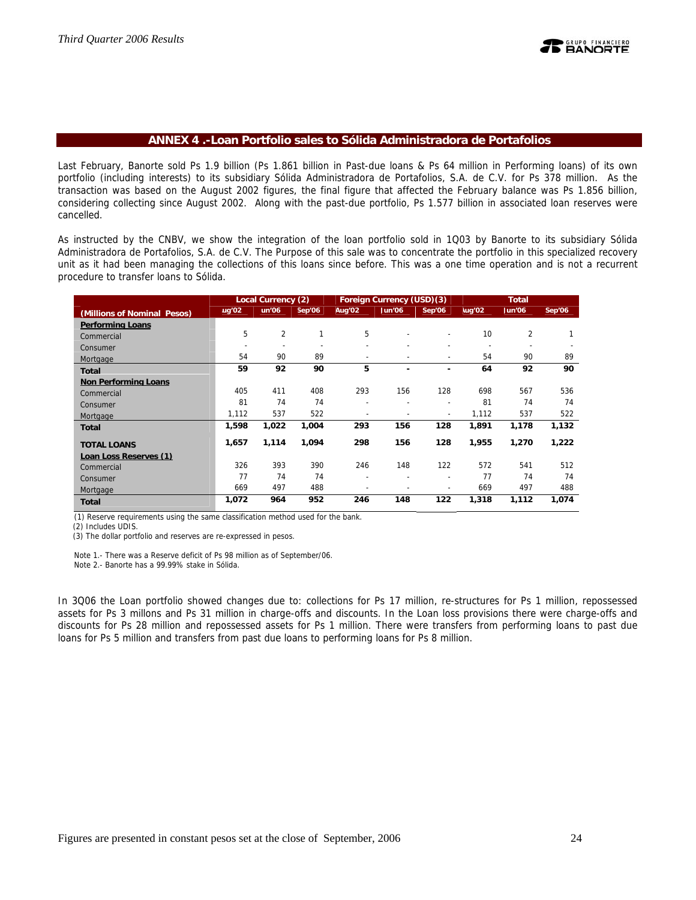### **ANNEX 4 .-Loan Portfolio sales to Sólida Administradora de Portafolios**

Last February, Banorte sold Ps 1.9 billion (Ps 1.861 billion in Past-due loans & Ps 64 million in Performing loans) of its own portfolio (including interests) to its subsidiary Sólida Administradora de Portafolios, S.A. de C.V. for Ps 378 million. As the transaction was based on the August 2002 figures, the final figure that affected the February balance was Ps 1.856 billion, considering collecting since August 2002. Along with the past-due portfolio, Ps 1.577 billion in associated loan reserves were cancelled.

As instructed by the CNBV, we show the integration of the loan portfolio sold in 1Q03 by Banorte to its subsidiary Sólida Administradora de Portafolios, S.A. de C.V. The Purpose of this sale was to concentrate the portfolio in this specialized recovery unit as it had been managing the collections of this loans since before. This was a one time operation and is not a recurrent procedure to transfer loans to Sólida.

|                             |                          | Local Currency (2) |        |                | Foreign Currency (USD)(3) |                          |        | <b>Total</b> |        |
|-----------------------------|--------------------------|--------------------|--------|----------------|---------------------------|--------------------------|--------|--------------|--------|
| (Millions of Nominal Pesos) | ug'02                    | lun'06             | Sep'06 | Aug'02         | Jun'06                    | Sep'06                   | lug'02 | Jun'06       | Sep'06 |
| <b>Performing Loans</b>     |                          |                    |        |                |                           |                          |        |              |        |
| Commercial                  | 5                        | $\overline{2}$     | 1      | 5              | $\overline{\phantom{0}}$  | $\overline{\phantom{a}}$ | 10     | 2            | 1      |
| Consumer                    | $\overline{\phantom{0}}$ |                    |        | $\overline{a}$ |                           |                          |        |              |        |
| Mortgage                    | 54                       | 90                 | 89     | ÷              | ۰                         |                          | 54     | 90           | 89     |
| <b>Total</b>                | 59                       | 92                 | 90     | 5              | ٠                         |                          | 64     | 92           | 90     |
| <b>Non Performing Loans</b> |                          |                    |        |                |                           |                          |        |              |        |
| Commercial                  | 405                      | 411                | 408    | 293            | 156                       | 128                      | 698    | 567          | 536    |
| Consumer                    | 81                       | 74                 | 74     | ۰              | ۰                         | $\overline{\phantom{a}}$ | 81     | 74           | 74     |
| Mortgage                    | 1,112                    | 537                | 522    | ۰              |                           | $\sim$                   | 1,112  | 537          | 522    |
| <b>Total</b>                | 1,598                    | 1,022              | 1,004  | 293            | 156                       | 128                      | 1,891  | 1,178        | 1,132  |
| <b>TOTAL LOANS</b>          | 1,657                    | 1,114              | 1,094  | 298            | 156                       | 128                      | 1,955  | 1,270        | 1,222  |
| Loan Loss Reserves (1)      |                          |                    |        |                |                           |                          |        |              |        |
| Commercial                  | 326                      | 393                | 390    | 246            | 148                       | 122                      | 572    | 541          | 512    |
| Consumer                    | 77                       | 74                 | 74     | ÷              | ۰                         | $\overline{\phantom{a}}$ | 77     | 74           | 74     |
| Mortgage                    | 669                      | 497                | 488    |                |                           |                          | 669    | 497          | 488    |
| <b>Total</b>                | 1,072                    | 964                | 952    | 246            | 148                       | 122                      | 1,318  | 1,112        | 1,074  |

(1) Reserve requirements using the same classification method used for the bank.

(2) Includes UDIS.

(3) The dollar portfolio and reserves are re-expressed in pesos.

Note 1.- There was a Reserve deficit of Ps 98 million as of September/06.

Note 2.- Banorte has a 99.99% stake in Sólida.

In 3Q06 the Loan portfolio showed changes due to: collections for Ps 17 million, re-structures for Ps 1 million, repossessed assets for Ps 3 millons and Ps 31 million in charge-offs and discounts. In the Loan loss provisions there were charge-offs and discounts for Ps 28 million and repossessed assets for Ps 1 million. There were transfers from performing loans to past due loans for Ps 5 million and transfers from past due loans to performing loans for Ps 8 million.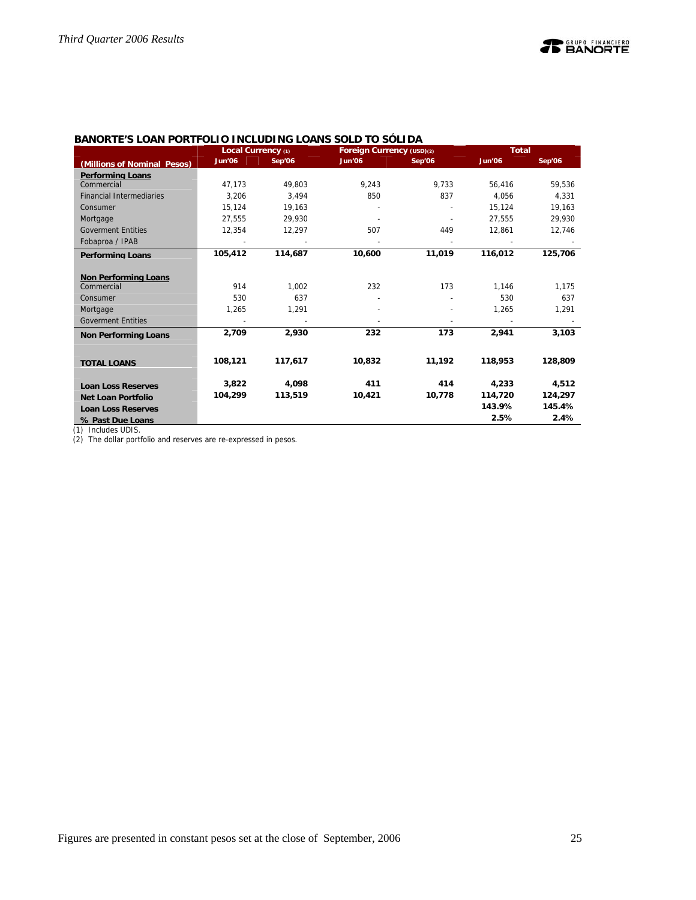|                                 | Local Currency (1) |         | Foreign Currency (USD)(2) |        | <b>Total</b>  |         |
|---------------------------------|--------------------|---------|---------------------------|--------|---------------|---------|
| (Millions of Nominal Pesos)     | <b>Jun'06</b>      | Sep'06  | <b>Jun'06</b>             | Sep'06 | <b>Jun'06</b> | Sep'06  |
| <b>Performing Loans</b>         |                    |         |                           |        |               |         |
| Commercial                      | 47.173             | 49.803  | 9,243                     | 9.733  | 56,416        | 59,536  |
| <b>Financial Intermediaries</b> | 3.206              | 3.494   | 850                       | 837    | 4.056         | 4,331   |
| Consumer                        | 15,124             | 19,163  |                           |        | 15,124        | 19,163  |
| Mortgage                        | 27,555             | 29,930  |                           |        | 27,555        | 29,930  |
| <b>Goverment Entities</b>       | 12,354             | 12,297  | 507                       | 449    | 12,861        | 12,746  |
| Fobaproa / IPAB                 |                    |         |                           |        |               |         |
| <b>Performing Loans</b>         | 105,412            | 114,687 | 10,600                    | 11.019 | 116,012       | 125,706 |
|                                 |                    |         |                           |        |               |         |
| <b>Non Performing Loans</b>     |                    |         |                           |        |               |         |
| Commercial                      | 914                | 1,002   | 232                       | 173    | 1,146         | 1,175   |
| Consumer                        | 530                | 637     |                           |        | 530           | 637     |
| Mortgage                        | 1.265              | 1.291   |                           |        | 1,265         | 1,291   |
| <b>Goverment Entities</b>       |                    |         |                           |        |               |         |
| <b>Non Performing Loans</b>     | 2.709              | 2,930   | 232                       | 173    | 2,941         | 3,103   |
|                                 |                    |         |                           |        |               |         |
| <b>TOTAL LOANS</b>              | 108,121            | 117,617 | 10,832                    | 11,192 | 118,953       | 128,809 |
|                                 |                    |         |                           |        |               |         |
| <b>Loan Loss Reserves</b>       | 3,822              | 4,098   | 411                       | 414    | 4,233         | 4,512   |
| <b>Net Loan Portfolio</b>       | 104,299            | 113,519 | 10,421                    | 10,778 | 114,720       | 124,297 |
| <b>Loan Loss Reserves</b>       |                    |         |                           |        | 143.9%        | 145.4%  |
| % Past Due Loans                |                    |         |                           |        | 2.5%          | 2.4%    |

# **BANORTE'S LOAN PORTFOLIO INCLUDING LOANS SOLD TO SÓLIDA**

(1) Includes UDIS.

(2) The dollar portfolio and reserves are re-expressed in pesos.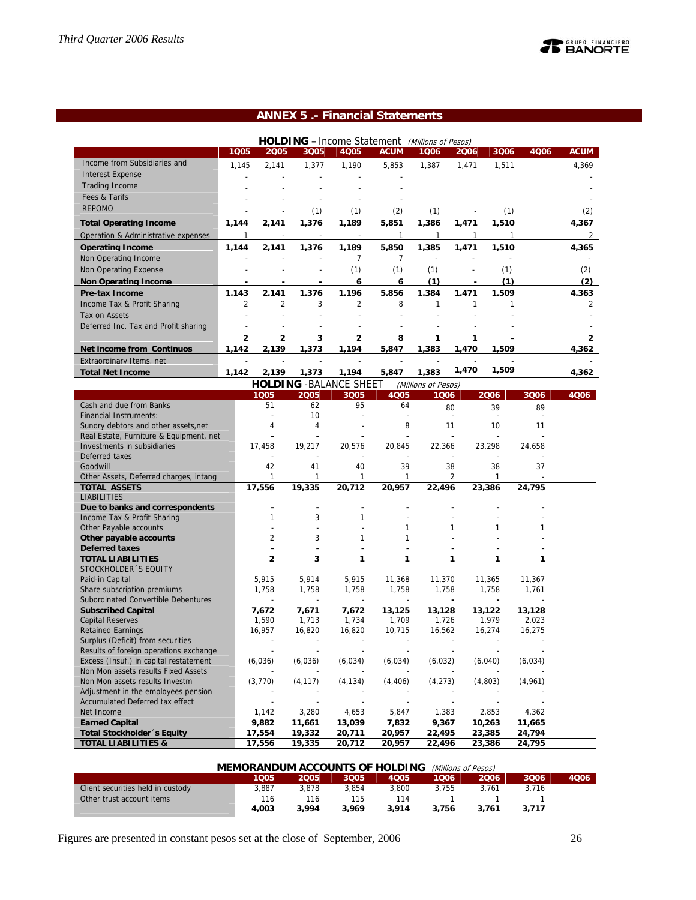# **ANNEX 5 .- Financial Statements**

|                                                                       |                          |                                            |                | <b>HOLDING</b> - Income Statement (Millions of Pesos) |                          |                          |                |                                |         |                |
|-----------------------------------------------------------------------|--------------------------|--------------------------------------------|----------------|-------------------------------------------------------|--------------------------|--------------------------|----------------|--------------------------------|---------|----------------|
|                                                                       | 1005                     | 2005                                       | 3Q05           | 4Q05                                                  | <b>ACUM</b>              | 1006                     | 2006           | 3Q06                           | 4Q06    | <b>ACUM</b>    |
| Income from Subsidiaries and                                          | 1,145                    | 2,141                                      | 1,377          | 1,190                                                 | 5,853                    | 1,387                    | 1,471          | 1,511                          |         | 4,369          |
| <b>Interest Expense</b>                                               |                          |                                            |                |                                                       |                          |                          |                |                                |         |                |
| <b>Trading Income</b>                                                 |                          |                                            |                |                                                       |                          |                          |                |                                |         |                |
| Fees & Tarifs                                                         |                          |                                            |                |                                                       |                          |                          |                |                                |         |                |
| <b>REPOMO</b>                                                         |                          |                                            | (1)            | (1)                                                   | (2)                      | (1)                      |                | (1)                            |         | (2)            |
| <b>Total Operating Income</b>                                         | 1,144                    | 2,141                                      | 1,376          | 1,189                                                 | 5,851                    | 1,386                    | 1,471          | 1,510                          |         | 4,367          |
| Operation & Administrative expenses                                   | $\mathbf{1}$             |                                            |                |                                                       | 1                        | 1                        | $\mathbf{1}$   | 1                              |         | $\overline{2}$ |
| <b>Operating Income</b>                                               | 1.144                    | 2.141                                      | 1.376          | 1.189                                                 | 5,850                    | 1,385                    | 1.471          | 1.510                          |         | 4.365          |
| Non Operating Income                                                  |                          |                                            |                | 7                                                     | 7                        | $\overline{\phantom{a}}$ |                |                                |         |                |
| Non Operating Expense                                                 |                          |                                            |                | (1)                                                   | (1)                      | (1)                      |                | (1)                            |         | (2)            |
| Non Operating Income                                                  | $\overline{\phantom{a}}$ | ÷,                                         | $\blacksquare$ | 6                                                     | 6                        | (1)                      | $\blacksquare$ | (1)                            |         | (2)            |
| <b>Pre-tax Income</b>                                                 | 1.143                    | 2,141                                      | 1,376          | 1,196                                                 | 5,856                    | 1,384                    | 1,471          | 1,509                          |         | 4,363          |
| Income Tax & Profit Sharing                                           | $\overline{2}$           | $\overline{2}$                             | 3              | $\overline{2}$                                        | 8                        | $\mathbf{1}$             | $\mathbf{1}$   | 1                              |         | 2              |
| Tax on Assets                                                         |                          |                                            |                |                                                       |                          |                          |                |                                |         |                |
| Deferred Inc. Tax and Profit sharing                                  |                          |                                            |                |                                                       |                          |                          |                |                                |         |                |
|                                                                       | $\overline{a}$           | $\overline{a}$                             | 3              | $\overline{a}$                                        |                          | 1                        | 1              |                                |         | $\overline{2}$ |
| Net income from Continuos                                             | 1,142                    | 2,139                                      | 1,373          | 1,194                                                 | 8<br>5,847               | 1,383                    | 1,470          | 1,509                          |         | 4,362          |
|                                                                       |                          |                                            |                |                                                       |                          |                          |                |                                |         |                |
| <b>Extraordinary Items, net</b>                                       |                          |                                            |                |                                                       |                          |                          | 1,470          | 1,509                          |         |                |
| <b>Total Net Income</b>                                               | 1,142                    | 2,139                                      | 1,373          | 1,194                                                 | 5,847                    | 1,383                    |                |                                |         | 4,362          |
|                                                                       |                          |                                            |                | <b>HOLDING - BALANCE SHEET</b>                        |                          | (Millions of Pesos)      |                |                                |         |                |
| Cash and due from Banks                                               |                          | 1005                                       | 2005           | 3Q05<br>95                                            | 4Q05                     | 1006                     |                | 2006                           | 3Q06    | 4006           |
| <b>Financial Instruments:</b>                                         |                          | 51                                         | 62<br>10       |                                                       | 64                       |                          | 80             | 39<br>$\overline{\phantom{a}}$ | 89      |                |
| Sundry debtors and other assets, net                                  |                          | 4                                          | 4              |                                                       | 8                        | 11                       |                | 10                             | 11      |                |
| Real Estate, Furniture & Equipment, net                               |                          |                                            |                |                                                       |                          |                          |                |                                |         |                |
| Investments in subsidiaries                                           |                          | 17,458                                     | 19,217         | 20,576                                                | 20,845                   | 22,366                   |                | 23,298                         | 24,658  |                |
| Deferred taxes                                                        |                          |                                            |                |                                                       |                          |                          |                |                                |         |                |
| Goodwill                                                              |                          | 42                                         | 41             | 40                                                    | 39                       | 38                       |                | 38                             | 37      |                |
| Other Assets, Deferred charges, intang                                |                          | 1                                          | 1              | 1                                                     | 1                        |                          | 2              | 1                              |         |                |
| <b>TOTAL ASSETS</b>                                                   |                          | 17,556                                     | 19,335         | 20,712                                                | 20,957                   | 22,496                   |                | 23,386                         | 24,795  |                |
| <b>LIABILITIES</b>                                                    |                          |                                            |                |                                                       |                          |                          |                |                                |         |                |
| Due to banks and correspondents                                       |                          | ٠                                          |                |                                                       |                          |                          |                |                                |         |                |
| Income Tax & Profit Sharing                                           |                          | 1                                          | 3              | $\mathbf{1}$                                          |                          |                          |                |                                |         |                |
| Other Payable accounts                                                |                          |                                            |                |                                                       | 1                        |                          | 1              | 1                              | 1       |                |
| Other payable accounts<br><b>Deferred taxes</b>                       |                          | $\overline{2}$<br>$\overline{\phantom{a}}$ | 3              | 1                                                     | 1                        |                          |                |                                |         |                |
| <b>TOTAL LIABILITIES</b>                                              |                          | $\overline{2}$                             | 3              | 1                                                     | 1                        |                          | 1              | 1                              | 1       |                |
| STOCKHOLDER 'S EQUITY                                                 |                          |                                            |                |                                                       |                          |                          |                |                                |         |                |
| Paid-in Capital                                                       |                          | 5,915                                      | 5,914          | 5,915                                                 | 11,368                   | 11,370                   |                | 11,365                         | 11,367  |                |
| Share subscription premiums                                           |                          | 1,758                                      | 1,758          | 1,758                                                 | 1,758                    | 1,758                    |                | 1,758                          | 1,761   |                |
| Subordinated Convertible Debentures                                   |                          |                                            |                | $\overline{a}$                                        | $\overline{a}$           |                          | ÷,             |                                |         |                |
| <b>Subscribed Capital</b>                                             |                          | 7,672                                      | 7,671          | 7,672                                                 | 13,125                   | 13,128                   |                | 13,122                         | 13,128  |                |
| <b>Capital Reserves</b>                                               |                          | 1,590                                      | 1,713          | 1,734                                                 | 1,709                    | 1,726                    |                | 1,979                          | 2,023   |                |
| <b>Retained Earnings</b>                                              |                          | 16,957                                     | 16,820         | 16,820                                                | 10,715                   | 16,562                   |                | 16,274                         | 16,275  |                |
| Surplus (Deficit) from securities                                     |                          |                                            |                |                                                       | $\overline{\phantom{a}}$ |                          |                |                                |         |                |
| Results of foreign operations exchange                                |                          |                                            |                |                                                       |                          |                          |                |                                |         |                |
| Excess (Insuf.) in capital restatement                                |                          | (6,036)                                    | (6,036)        | (6,034)                                               | (6, 034)                 | (6,032)                  |                | (6,040)                        | (6,034) |                |
| Non Mon assets results Fixed Assets<br>Non Mon assets results Investm |                          | (3, 770)                                   | (4, 117)       | (4, 134)                                              | (4, 406)                 | (4, 273)                 |                | (4,803)                        | (4,961) |                |
| Adjustment in the employees pension                                   |                          |                                            |                |                                                       |                          |                          |                |                                |         |                |
| Accumulated Deferred tax effect                                       |                          |                                            |                |                                                       |                          |                          |                |                                |         |                |
| Net Income                                                            |                          | 1,142                                      | 3,280          | 4,653                                                 | 5,847                    | 1,383                    |                | 2,853                          | 4,362   |                |
| <b>Earned Capital</b>                                                 |                          | 9,882                                      | 11,661         | 13,039                                                | 7,832                    | 9,367                    |                | 10,263                         | 11,665  |                |
| <b>Total Stockholder</b> 's Equity                                    |                          | 17,554                                     | 19,332         | 20,711                                                | 20,957                   | 22,495                   |                | 23,385                         | 24,794  |                |
| <b>TOTAL LIABILITIES &amp;</b>                                        |                          | 17,556                                     | 19,335         | 20,712                                                | 20,957                   | 22,496                   |                | 23,386                         | 24,795  |                |

| <b>MEMORANDUM ACCOUNTS OF HOLDING</b><br>(Millions of Pesos) |       |       |       |       |       |       |       |      |  |
|--------------------------------------------------------------|-------|-------|-------|-------|-------|-------|-------|------|--|
|                                                              | 1Q05  | 2005  | 3005  | 4005  | 1006  | 2006  | 3006  | 4006 |  |
| Client securities held in custody                            | 3.887 | 3.878 | 3.854 | 3.800 | 3.755 | 3.761 | 3.716 |      |  |
| Other trust account items                                    | 116   | 116   | 115   | 114   |       |       |       |      |  |
|                                                              | 4.003 | 3.994 | 3.969 | 3.914 | 3.756 | 3.761 | 3.717 |      |  |

Figures are presented in constant pesos set at the close of September, 2006 26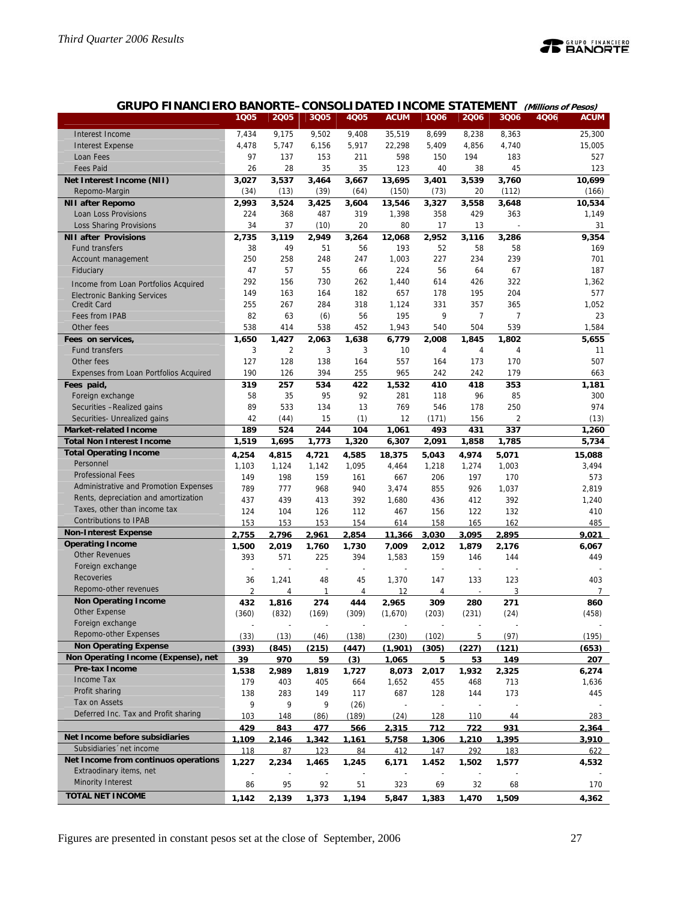

| GRUPO FINANCIERO BANORTE-CONSOLIDATED INCOME STATEMENT (Millions of Pesos) |  |
|----------------------------------------------------------------------------|--|
|----------------------------------------------------------------------------|--|

|                                                              | 1Q05           | 2005                    | 3Q05       | 4Q05       | <b>ACUM</b>              | 1Q06  | 2006                     | 3Q06           | 4Q06 | <b>ACUM</b>    |
|--------------------------------------------------------------|----------------|-------------------------|------------|------------|--------------------------|-------|--------------------------|----------------|------|----------------|
| Interest Income                                              | 7,434          | 9,175                   | 9,502      | 9,408      | 35,519                   | 8,699 | 8,238                    | 8,363          |      | 25,300         |
| <b>Interest Expense</b>                                      | 4,478          | 5,747                   | 6,156      | 5,917      | 22,298                   | 5,409 | 4,856                    | 4,740          |      | 15,005         |
| Loan Fees                                                    | 97             | 137                     | 153        | 211        | 598                      | 150   | 194                      | 183            |      | 527            |
| <b>Fees Paid</b>                                             | 26             | 28                      | 35         | 35         | 123                      | 40    | 38                       | 45             |      | 123            |
| Net Interest Income (NII)                                    | 3.027          | 3,537                   | 3,464      | 3,667      | 13,695                   | 3,401 | 3,539                    | 3,760          |      | 10,699         |
| Repomo-Margin                                                | (34)           | (13)                    | (39)       | (64)       | (150)                    | (73)  | 20                       | (112)          |      | (166)          |
| <b>NII after Repomo</b>                                      | 2,993          | 3,524                   | 3,425      | 3,604      | 13,546                   | 3,327 | 3,558                    | 3,648          |      | 10,534         |
| Loan Loss Provisions                                         | 224            | 368                     | 487        | 319        | 1,398                    | 358   | 429                      | 363            |      | 1,149          |
| Loss Sharing Provisions                                      | 34             | 37                      | (10)       | 20         | 80                       | 17    | 13                       |                |      | 31             |
| <b>NII after Provisions</b>                                  | 2,735          | 3,119                   | 2,949      | 3,264      | 12,068                   | 2,952 | 3,116                    | 3,286          |      | 9,354          |
| <b>Fund transfers</b>                                        | 38             | 49                      | 51         | 56         | 193                      | 52    | 58                       | 58             |      | 169            |
| Account management                                           | 250            | 258                     | 248        | 247        | 1,003                    | 227   | 234                      | 239            |      | 701            |
| Fiduciary                                                    | 47             | 57                      | 55         | 66         | 224                      | 56    | 64                       | 67             |      | 187            |
|                                                              | 292            | 156                     | 730        | 262        | 1,440                    | 614   | 426                      | 322            |      | 1,362          |
| Income from Loan Portfolios Acquired                         | 149            | 163                     | 164        | 182        | 657                      | 178   | 195                      | 204            |      | 577            |
| <b>Electronic Banking Services</b><br><b>Credit Card</b>     | 255            | 267                     | 284        | 318        | 1,124                    | 331   | 357                      | 365            |      | 1,052          |
| Fees from IPAB                                               | 82             | 63                      |            | 56         | 195                      | 9     | 7                        | $\overline{7}$ |      | 23             |
| Other fees                                                   | 538            | 414                     | (6)<br>538 | 452        | 1,943                    | 540   | 504                      | 539            |      | 1,584          |
|                                                              |                |                         | 2.063      |            |                          |       |                          |                |      |                |
| Fees on services,                                            | 1,650<br>3     | 1,427<br>$\overline{2}$ | 3          | 1,638<br>3 | 6,779                    | 2,008 | 1,845                    | 1,802          |      | 5,655          |
| <b>Fund transfers</b>                                        | 127            | 128                     |            |            | 10                       | 4     | 4                        | 4<br>170       |      | 11<br>507      |
| Other fees                                                   |                |                         | 138        | 164        | 557                      | 164   | 173                      |                |      |                |
| Expenses from Loan Portfolios Acquired                       | 190            | 126                     | 394        | 255        | 965                      | 242   | 242                      | 179            |      | 663            |
| Fees paid,                                                   | 319            | 257                     | 534        | 422        | 1.532                    | 410   | 418                      | 353            |      | 1,181          |
| Foreign exchange                                             | 58             | 35                      | 95         | 92         | 281                      | 118   | 96                       | 85             |      | 300            |
| Securities - Realized gains                                  | 89             | 533                     | 134        | 13         | 769                      | 546   | 178                      | 250            |      | 974            |
| Securities- Unrealized gains<br><b>Market-related Income</b> | 42             | (44)                    | 15         | (1)        | 12                       | (171) | 156                      | 2              |      | (13)           |
|                                                              | 189            | 524                     | 244        | 104        | 1,061                    | 493   | 431                      | 337            |      | 1,260          |
| <b>Total Non Interest Income</b>                             | 1,519          | 1,695                   | 1,773      | 1,320      | 6,307                    | 2,091 | 1,858                    | 1,785          |      | 5,734          |
| <b>Total Operating Income</b><br>Personnel                   | 4,254          | 4,815                   | 4,721      | 4,585      | 18,375                   | 5,043 | 4,974                    | 5,071          |      | 15,088         |
| <b>Professional Fees</b>                                     | 1,103          | 1,124                   | 1,142      | 1,095      | 4,464                    | 1,218 | 1,274                    | 1,003          |      | 3,494          |
|                                                              | 149            | 198                     | 159        | 161        | 667                      | 206   | 197                      | 170            |      | 573            |
| Administrative and Promotion Expenses                        | 789            | 777                     | 968        | 940        | 3,474                    | 855   | 926                      | 1,037          |      | 2,819          |
| Rents, depreciation and amortization                         | 437            | 439                     | 413        | 392        | 1,680                    | 436   | 412                      | 392            |      | 1,240          |
| Taxes, other than income tax                                 | 124            | 104                     | 126        | 112        | 467                      | 156   | 122                      | 132            |      | 410            |
| <b>Contributions to IPAB</b>                                 | 153            | 153                     | 153        | 154        | 614                      | 158   | 165                      | 162            |      | 485            |
| <b>Non-Interest Expense</b>                                  | 2.755          | 2.796                   | 2.961      | 2.854      | 11.366                   | 3.030 | 3.095                    | 2.895          |      | 9.021          |
| <b>Operating Income</b>                                      | 1.500          | 2.019                   | 1.760      | 1.730      | 7.009                    | 2.012 | 1.879                    | 2.176          |      | 6.067          |
| <b>Other Revenues</b>                                        | 393            | 571                     | 225        | 394        | 1,583                    | 159   | 146                      | 144            |      | 449            |
| Foreign exchange                                             |                |                         |            | J.         | $\overline{a}$           |       | $\overline{\phantom{a}}$ |                |      |                |
| <b>Recoveries</b>                                            | 36             | 1,241                   | 48         | 45         | 1,370                    | 147   | 133                      | 123            |      | 403            |
| Repomo-other revenues                                        | $\overline{2}$ | 4                       | 1          | 4          | 12                       | 4     | $\overline{\phantom{a}}$ | 3              |      | $\overline{7}$ |
| <b>Non Operating Income</b>                                  | 432            | 1.816                   | 274        | 444        | 2.965                    | 309   | 280                      | 271            |      | 860            |
| Other Expense                                                | (360)          | (832)                   | (169)      | (309)      | (1,670)                  | (203) | (231)                    | (24)           |      | (458)          |
| Foreign exchange                                             |                |                         |            |            |                          |       |                          |                |      |                |
| Repomo-other Expenses                                        |                |                         |            |            |                          |       |                          |                |      |                |
|                                                              | (33)           | (13)                    | (46)       | (138)      | (230)                    | (102) | 5                        | (97)           |      | (195)          |
| <b>Non Operating Expense</b>                                 | (393)          | (845)                   | (215)      | (447)      | (1.901)                  | (305) | (227)                    | (121)          |      | (653)          |
| Non Operating Income (Expense), net                          | 39             | 970                     | 59         | (3)        | 1,065                    | 5     | 53                       | 149            |      | 207            |
| Pre-tax Income                                               | 1.538          | 2.989                   | 1.819      | 1.727      | 8.073                    | 2.017 | 1.932                    | 2.325          |      | 6.274          |
| Income Tax                                                   | 179            | 403                     | 405        | 664        | 1,652                    | 455   | 468                      | 713            |      | 1,636          |
| Profit sharing                                               | 138            | 283                     | 149        | 117        | 687                      | 128   | 144                      | 173            |      | 445            |
| Tax on Assets                                                | 9              | 9                       | 9          | (26)       | $\overline{\phantom{a}}$ |       | $\overline{\phantom{a}}$ |                |      |                |
| Deferred Inc. Tax and Profit sharing                         | 103            | 148                     | (86)       | (189)      | (24)                     | 128   | 110                      | 44             |      | 283            |
|                                                              | 429            | 843                     | 477        | 566        | 2,315                    | 712   | <u>722</u>               | 931            |      | 2,364          |
| Net Income before subsidiaries                               | 1.109          | 2.146                   | 1.342      | 1.161      | 5.758                    | 1.306 | <u>1.210</u>             | 1.395          |      | 3.910          |
| Subsidiaries 'net income                                     | 118            | 87                      | 123        | 84         | 412                      | 147   | 292                      | 183            |      | 622            |
| Net Income from continuos operations                         | 1,227          | 2,234                   | 1,465      | 1,245      | 6,171                    | 1.452 | 1,502                    | 1,577          |      | 4,532          |
| Extraodinary items, net                                      |                |                         |            |            |                          |       |                          |                |      |                |
| <b>Minority Interest</b><br><b>TOTAL NET INCOME</b>          | 86             | 95                      | 92         | 51         | 323                      | 69    | 32                       | 68             |      | 170            |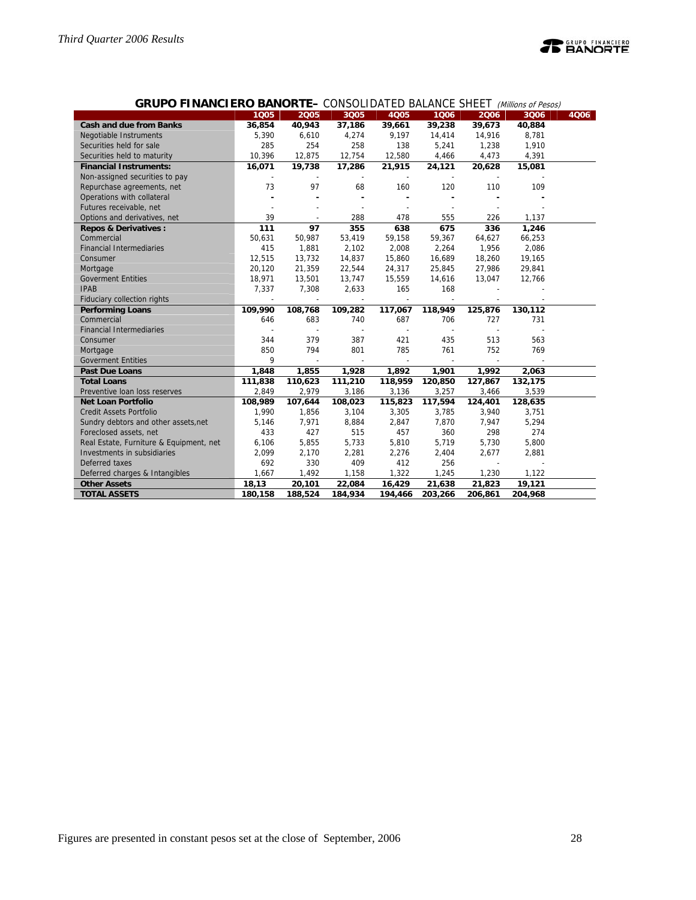

| <b>GRUPO FINANCIERO BANORTE-</b> CONSOLIDATED BALANCE SHEET <i>(Millions of Pesos)</i> |  |  |
|----------------------------------------------------------------------------------------|--|--|
|----------------------------------------------------------------------------------------|--|--|

|                                         | 1005           | 2005           | 3005    | <b>4Q05</b> | 1006    | 2006           | 3006    | 4006 |
|-----------------------------------------|----------------|----------------|---------|-------------|---------|----------------|---------|------|
| <b>Cash and due from Banks</b>          | 36,854         | 40,943         | 37,186  | 39,661      | 39,238  | 39,673         | 40,884  |      |
| Negotiable Instruments                  | 5,390          | 6,610          | 4,274   | 9,197       | 14,414  | 14,916         | 8,781   |      |
| Securities held for sale                | 285            | 254            | 258     | 138         | 5,241   | 1,238          | 1,910   |      |
| Securities held to maturity             | 10,396         | 12,875         | 12,754  | 12,580      | 4,466   | 4,473          | 4,391   |      |
| <b>Financial Instruments:</b>           | 16,071         | 19,738         | 17,286  | 21,915      | 24,121  | 20,628         | 15,081  |      |
| Non-assigned securities to pay          |                |                |         |             |         |                |         |      |
| Repurchase agreements, net              | 73             | 97             | 68      | 160         | 120     | 110            | 109     |      |
| Operations with collateral              |                |                |         |             |         |                |         |      |
| Futures receivable, net                 |                |                |         |             |         |                |         |      |
| Options and derivatives, net            | 39             |                | 288     | 478         | 555     | 226            | 1,137   |      |
| <b>Repos &amp; Derivatives:</b>         | 111            | 97             | 355     | 638         | 675     | 336            | 1,246   |      |
| Commercial                              | 50,631         | 50,987         | 53,419  | 59,158      | 59,367  | 64,627         | 66,253  |      |
| <b>Financial Intermediaries</b>         | 415            | 1,881          | 2,102   | 2,008       | 2,264   | 1,956          | 2,086   |      |
| Consumer                                | 12,515         | 13,732         | 14,837  | 15,860      | 16,689  | 18,260         | 19,165  |      |
| Mortgage                                | 20,120         | 21,359         | 22,544  | 24,317      | 25,845  | 27,986         | 29,841  |      |
| <b>Goverment Entities</b>               | 18,971         | 13,501         | 13,747  | 15,559      | 14,616  | 13,047         | 12,766  |      |
| <b>IPAB</b>                             | 7,337          | 7,308          | 2,633   | 165         | 168     | $\overline{a}$ |         |      |
| Fiduciary collection rights             | $\overline{a}$ | $\overline{a}$ | $\sim$  | $\sim$      | $\sim$  |                |         |      |
| <b>Performing Loans</b>                 | 109,990        | 108,768        | 109,282 | 117,067     | 118,949 | 125,876        | 130,112 |      |
| Commercial                              | 646            | 683            | 740     | 687         | 706     | 727            | 731     |      |
| <b>Financial Intermediaries</b>         |                |                | $\sim$  | $\sim$      |         |                |         |      |
| Consumer                                | 344            | 379            | 387     | 421         | 435     | 513            | 563     |      |
| Mortgage                                | 850            | 794            | 801     | 785         | 761     | 752            | 769     |      |
| <b>Goverment Entities</b>               | 9              |                |         |             |         |                |         |      |
| <b>Past Due Loans</b>                   | 1,848          | 1,855          | 1,928   | 1,892       | 1,901   | 1,992          | 2,063   |      |
| <b>Total Loans</b>                      | 111,838        | 110,623        | 111,210 | 118,959     | 120,850 | 127,867        | 132,175 |      |
| Preventive Ioan loss reserves           | 2,849          | 2,979          | 3,186   | 3,136       | 3,257   | 3,466          | 3,539   |      |
| <b>Net Loan Portfolio</b>               | 108,989        | 107,644        | 108,023 | 115,823     | 117,594 | 124,401        | 128,635 |      |
| <b>Credit Assets Portfolio</b>          | 1,990          | 1,856          | 3,104   | 3,305       | 3,785   | 3,940          | 3,751   |      |
| Sundry debtors and other assets, net    | 5,146          | 7,971          | 8,884   | 2,847       | 7,870   | 7,947          | 5,294   |      |
| Foreclosed assets, net                  | 433            | 427            | 515     | 457         | 360     | 298            | 274     |      |
| Real Estate, Furniture & Equipment, net | 6,106          | 5,855          | 5,733   | 5,810       | 5,719   | 5,730          | 5,800   |      |
| Investments in subsidiaries             | 2,099          | 2,170          | 2,281   | 2,276       | 2,404   | 2,677          | 2,881   |      |
| Deferred taxes                          | 692            | 330            | 409     | 412         | 256     |                |         |      |
| Deferred charges & Intangibles          | 1,667          | 1,492          | 1,158   | 1,322       | 1,245   | 1,230          | 1,122   |      |
| <b>Other Assets</b>                     | 18,13          | 20,101         | 22,084  | 16,429      | 21,638  | 21,823         | 19,121  |      |
| <b>TOTAL ASSETS</b>                     | 180,158        | 188,524        | 184,934 | 194,466     | 203,266 | 206,861        | 204,968 |      |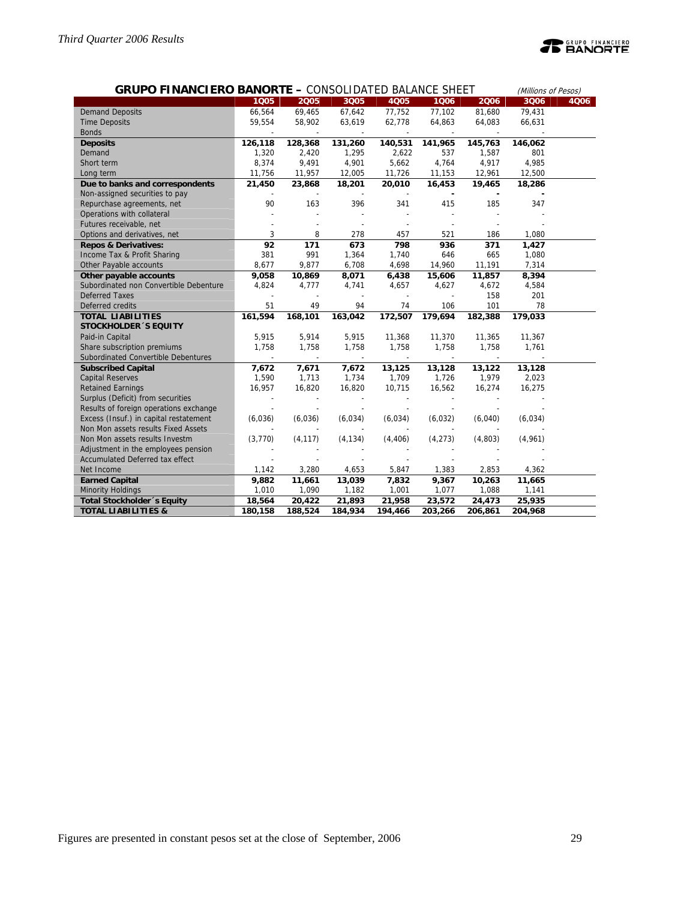| <b>GRUPO FINANCIERO BANORTE - CONSOLIDATED BALANCE SHEET</b> |         |          |                          |             |                          |                          |         | (Millions of Pesos) |
|--------------------------------------------------------------|---------|----------|--------------------------|-------------|--------------------------|--------------------------|---------|---------------------|
|                                                              | 1005    | 2005     | 3Q05                     | <b>4Q05</b> | 1006                     | 2006                     | 3006    | 4006                |
| <b>Demand Deposits</b>                                       | 66,564  | 69,465   | 67,642                   | 77,752      | 77,102                   | 81,680                   | 79,431  |                     |
| <b>Time Deposits</b>                                         | 59,554  | 58,902   | 63,619                   | 62,778      | 64,863                   | 64,083                   | 66,631  |                     |
| <b>Bonds</b>                                                 |         |          |                          |             |                          |                          |         |                     |
| <b>Deposits</b>                                              | 126,118 | 128,368  | 131,260                  | 140,531     | 141,965                  | 145,763                  | 146,062 |                     |
| Demand                                                       | 1,320   | 2,420    | 1,295                    | 2,622       | 537                      | 1,587                    | 801     |                     |
| Short term                                                   | 8,374   | 9,491    | 4,901                    | 5,662       | 4,764                    | 4,917                    | 4,985   |                     |
| Long term                                                    | 11,756  | 11,957   | 12,005                   | 11,726      | 11,153                   | 12,961                   | 12,500  |                     |
| Due to banks and correspondents                              | 21,450  | 23,868   | 18,201                   | 20,010      | 16,453                   | 19,465                   | 18,286  |                     |
| Non-assigned securities to pay                               |         |          | $\overline{a}$           |             | $\overline{\phantom{a}}$ | $\overline{\phantom{a}}$ |         |                     |
| Repurchase agreements, net                                   | 90      | 163      | 396                      | 341         | 415                      | 185                      | 347     |                     |
| Operations with collateral                                   |         |          |                          |             |                          |                          |         |                     |
| Futures receivable, net                                      |         |          |                          |             |                          |                          |         |                     |
| Options and derivatives, net                                 | 3       | 8        | 278                      | 457         | 521                      | 186                      | 1,080   |                     |
| <b>Repos &amp; Derivatives:</b>                              | 92      | 171      | 673                      | 798         | 936                      | 371                      | 1,427   |                     |
| Income Tax & Profit Sharing                                  | 381     | 991      | 1,364                    | 1,740       | 646                      | 665                      | 1,080   |                     |
| Other Payable accounts                                       | 8,677   | 9,877    | 6,708                    | 4,698       | 14,960                   | 11,191                   | 7,314   |                     |
| Other payable accounts                                       | 9,058   | 10,869   | 8,071                    | 6,438       | 15,606                   | 11,857                   | 8,394   |                     |
| Subordinated non Convertible Debenture                       | 4,824   | 4,777    | 4,741                    | 4,657       | 4,627                    | 4,672                    | 4,584   |                     |
| <b>Deferred Taxes</b>                                        |         |          | $\overline{a}$           |             |                          | 158                      | 201     |                     |
| Deferred credits                                             | 51      | 49       | 94                       | 74          | 106                      | 101                      | 78      |                     |
| <b>TOTAL LIABILITIES</b>                                     | 161,594 | 168,101  | 163,042                  | 172,507     | 179,694                  | 182,388                  | 179,033 |                     |
| <b>STOCKHOLDER 'S EQUITY</b>                                 |         |          |                          |             |                          |                          |         |                     |
| Paid-in Capital                                              | 5,915   | 5,914    | 5,915                    | 11,368      | 11,370                   | 11,365                   | 11,367  |                     |
| Share subscription premiums                                  | 1,758   | 1,758    | 1,758                    | 1,758       | 1,758                    | 1,758                    | 1,761   |                     |
| Subordinated Convertible Debentures                          |         |          | $\overline{\phantom{a}}$ |             |                          |                          |         |                     |
| <b>Subscribed Capital</b>                                    | 7,672   | 7,671    | 7,672                    | 13,125      | 13,128                   | 13,122                   | 13,128  |                     |
| <b>Capital Reserves</b>                                      | 1,590   | 1,713    | 1,734                    | 1,709       | 1,726                    | 1,979                    | 2,023   |                     |
| <b>Retained Earnings</b>                                     | 16,957  | 16,820   | 16,820                   | 10,715      | 16,562                   | 16,274                   | 16,275  |                     |
| Surplus (Deficit) from securities                            |         |          |                          |             |                          |                          |         |                     |
| Results of foreign operations exchange                       |         |          |                          |             |                          |                          |         |                     |
| Excess (Insuf.) in capital restatement                       | (6,036) | (6,036)  | (6,034)                  | (6,034)     | (6,032)                  | (6,040)                  | (6,034) |                     |
| Non Mon assets results Fixed Assets                          |         |          |                          |             |                          |                          |         |                     |
| Non Mon assets results Investm                               | (3,770) | (4, 117) | (4, 134)                 | (4, 406)    | (4, 273)                 | (4,803)                  | (4,961) |                     |
| Adjustment in the employees pension                          |         |          |                          |             |                          |                          |         |                     |
| Accumulated Deferred tax effect                              |         |          |                          |             |                          |                          |         |                     |
| Net Income                                                   | 1,142   | 3,280    | 4,653                    | 5,847       | 1,383                    | 2,853                    | 4,362   |                     |
| <b>Earned Capital</b>                                        | 9,882   | 11,661   | 13,039                   | 7,832       | 9,367                    | 10,263                   | 11,665  |                     |
| <b>Minority Holdings</b>                                     | 1,010   | 1,090    | 1,182                    | 1,001       | 1,077                    | 1,088                    | 1,141   |                     |
| Total Stockholder 's Equity                                  | 18,564  | 20,422   | 21,893                   | 21,958      | 23,572                   | 24,473                   | 25,935  |                     |
| <b>TOTAL LIABILITIES &amp;</b>                               | 180,158 | 188,524  | 184,934                  | 194,466     | 203,266                  | 206,861                  | 204,968 |                     |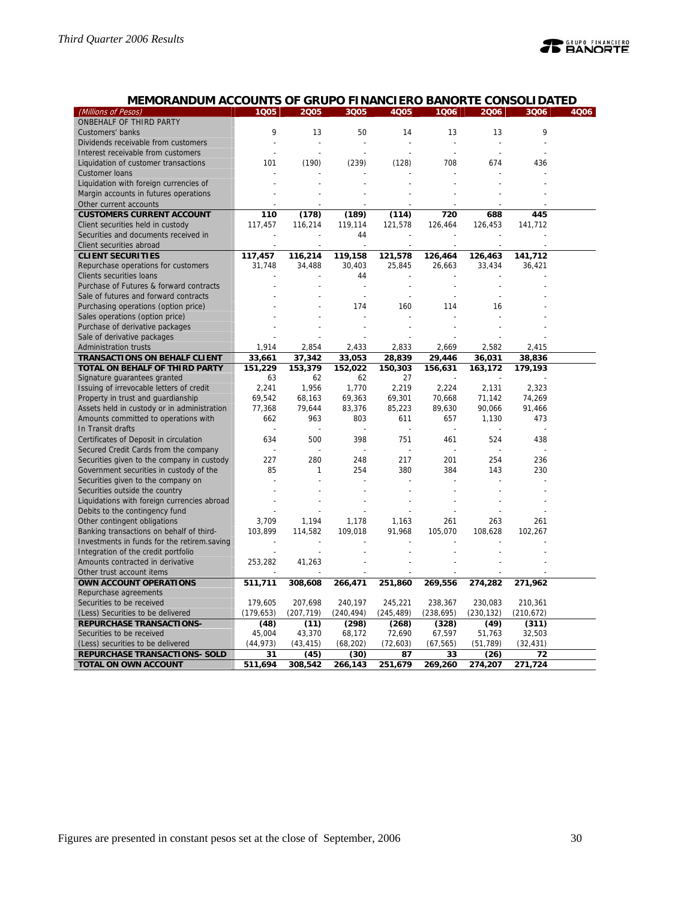| MEMORANDUM ACCOUNTS OF GRUPO FINANCIERO BANORTE CONSOLIDATED |            |            |                |            |            |            |            |      |
|--------------------------------------------------------------|------------|------------|----------------|------------|------------|------------|------------|------|
| (Millions of Pesos)                                          | 1005       | 2005       | 3Q05           | 4Q05       | 1006       | 2006       | 3006       | 4Q06 |
| ONBEHALF OF THIRD PARTY                                      |            |            |                |            |            |            |            |      |
| Customers' banks                                             | 9          | 13         | 50             | 14         | 13         | 13         | 9          |      |
| Dividends receivable from customers                          |            |            |                |            | ÷,         |            |            |      |
| Interest receivable from customers                           |            |            |                |            |            |            |            |      |
| Liquidation of customer transactions                         | 101        | (190)      | (239)          | (128)      | 708        | 674        | 436        |      |
| <b>Customer loans</b>                                        |            |            |                |            |            |            |            |      |
| Liquidation with foreign currencies of                       |            |            |                |            |            |            |            |      |
| Margin accounts in futures operations                        |            |            |                |            |            |            |            |      |
| Other current accounts                                       |            |            |                |            |            |            |            |      |
| <b>CUSTOMERS CURRENT ACCOUNT</b>                             | 110        | (178)      | (189)          | (114)      | 720        | 688        | 445        |      |
| Client securities held in custody                            | 117,457    | 116,214    | 119,114        | 121,578    | 126,464    | 126,453    | 141,712    |      |
|                                                              |            |            | 44             |            |            |            |            |      |
| Securities and documents received in                         |            |            |                |            |            |            |            |      |
| Client securities abroad                                     |            |            |                |            |            |            |            |      |
| <b>CLIENT SECURITIES</b>                                     | 117,457    | 116,214    | 119,158        | 121,578    | 126,464    | 126,463    | 141,712    |      |
| Repurchase operations for customers                          | 31,748     | 34,488     | 30,403         | 25,845     | 26,663     | 33,434     | 36,421     |      |
| Clients securities loans                                     |            |            | 44             |            |            |            |            |      |
| Purchase of Futures & forward contracts                      |            |            |                |            |            |            |            |      |
| Sale of futures and forward contracts                        |            |            | $\overline{a}$ |            |            |            |            |      |
| Purchasing operations (option price)                         |            |            | 174            | 160        | 114        | 16         |            |      |
| Sales operations (option price)                              |            |            |                |            |            |            |            |      |
| Purchase of derivative packages                              |            |            |                |            |            |            |            |      |
| Sale of derivative packages                                  |            |            |                |            |            |            |            |      |
| <b>Administration trusts</b>                                 | 1,914      | 2,854      | 2,433          | 2,833      | 2,669      | 2,582      | 2,415      |      |
| <b>TRANSACTIONS ON BEHALF CLIENT</b>                         | 33,661     | 37,342     | 33,053         | 28,839     | 29,446     | 36,031     | 38,836     |      |
| TOTAL ON BEHALF OF THIRD PARTY                               | 151,229    | 153,379    | 152,022        | 150,303    | 156,631    | 163,172    | 179,193    |      |
| Signature guarantees granted                                 | 63         | 62         | 62             | 27         |            |            |            |      |
| Issuing of irrevocable letters of credit                     | 2,241      | 1,956      | 1,770          | 2,219      | 2,224      | 2,131      | 2,323      |      |
| Property in trust and guardianship                           | 69,542     | 68,163     | 69,363         | 69,301     | 70,668     | 71,142     | 74,269     |      |
| Assets held in custody or in administration                  | 77,368     | 79,644     | 83,376         | 85,223     | 89,630     | 90,066     | 91,466     |      |
| Amounts committed to operations with                         | 662        | 963        | 803            | 611        | 657        | 1,130      | 473        |      |
| In Transit drafts                                            |            |            |                |            |            |            |            |      |
| Certificates of Deposit in circulation                       | 634        | 500        | 398            | 751        | 461        | 524        | 438        |      |
| Secured Credit Cards from the company                        |            |            |                |            |            |            |            |      |
| Securities given to the company in custody                   | 227        | 280        | 248            | 217        | 201        | 254        | 236        |      |
| Government securities in custody of the                      | 85         | 1          | 254            | 380        | 384        | 143        | 230        |      |
| Securities given to the company on                           |            |            |                |            |            |            |            |      |
| Securities outside the country                               |            |            |                |            |            |            |            |      |
| Liquidations with foreign currencies abroad                  |            |            |                |            |            |            |            |      |
| Debits to the contingency fund                               |            |            |                |            |            |            |            |      |
| Other contingent obligations                                 | 3,709      | 1,194      | 1,178          | 1,163      | 261        | 263        | 261        |      |
| Banking transactions on behalf of third-                     | 103,899    | 114,582    | 109,018        | 91,968     | 105,070    | 108,628    | 102,267    |      |
| Investments in funds for the retirem.saving                  |            |            |                |            |            |            |            |      |
| Integration of the credit portfolio                          |            |            |                |            |            |            |            |      |
| Amounts contracted in derivative                             | 253,282    | 41,263     |                |            |            |            |            |      |
| Other trust account items                                    |            |            |                |            |            |            |            |      |
| OWN ACCOUNT OPERATIONS                                       |            |            |                |            |            |            |            |      |
| Repurchase agreements                                        | 511,711    | 308,608    | 266,471        | 251,860    | 269,556    | 274,282    | 271,962    |      |
| Securities to be received                                    | 179,605    | 207,698    | 240,197        | 245,221    | 238,367    | 230,083    | 210,361    |      |
|                                                              | (179, 653) |            |                |            |            |            |            |      |
| (Less) Securities to be delivered                            |            | (207, 719) | (240, 494)     | (245, 489) | (238, 695) | (230, 132) | (210, 672) |      |
| <b>REPURCHASE TRANSACTIONS-</b>                              | (48)       | (11)       | (298)          | (268)      | (328)      | (49)       | (311)      |      |
| Securities to be received                                    | 45,004     | 43,370     | 68,172         | 72,690     | 67,597     | 51,763     | 32,503     |      |
| (Less) securities to be delivered                            | (44, 973)  | (43, 415)  | (68, 202)      | (72, 603)  | (67, 565)  | (51, 789)  | (32, 431)  |      |
| <b>REPURCHASE TRANSACTIONS- SOLD</b>                         | 31         | (45)       | (30)           | 87         | 33         | (26)       | 72         |      |
| <b>TOTAL ON OWN ACCOUNT</b>                                  | 511,694    | 308,542    | 266,143        | 251,679    | 269,260    | 274,207    | 271,724    |      |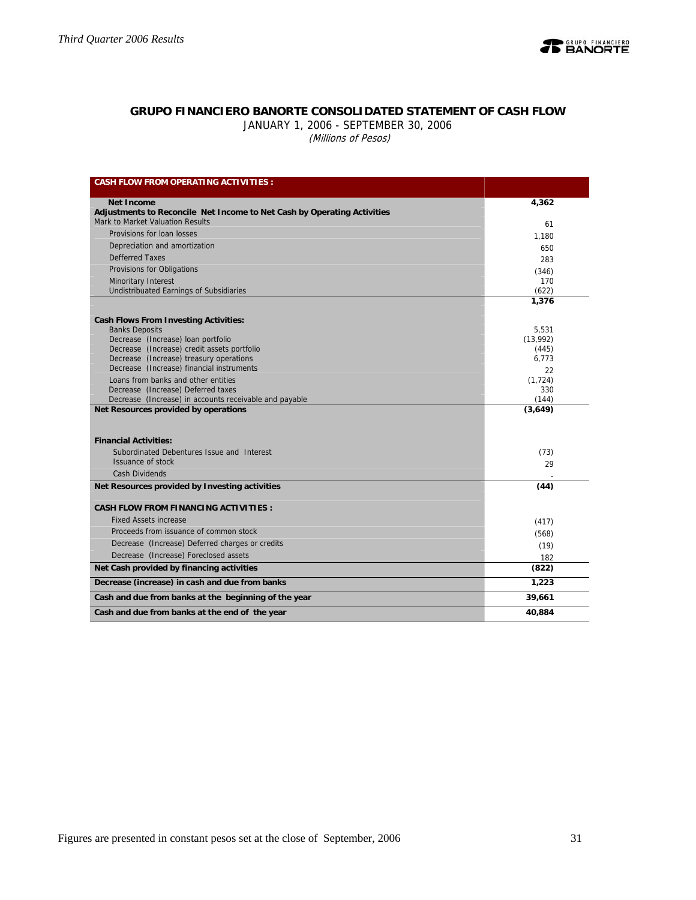

# **GRUPO FINANCIERO BANORTE CONSOLIDATED STATEMENT OF CASH FLOW**

JANUARY 1, 2006 - SEPTEMBER 30, 2006 (Millions of Pesos)

| <b>CASH FLOW FROM OPERATING ACTIVITIES:</b>                                            |                |
|----------------------------------------------------------------------------------------|----------------|
| <b>Net Income</b>                                                                      | 4,362          |
| Adjustments to Reconcile Net Income to Net Cash by Operating Activities                |                |
| Mark to Market Valuation Results                                                       | 61             |
| Provisions for loan losses                                                             | 1,180          |
| Depreciation and amortization                                                          | 650            |
| <b>Defferred Taxes</b>                                                                 | 283            |
| Provisions for Obligations                                                             | (346)          |
| Minoritary Interest                                                                    | 170            |
| <b>Undistribuated Earnings of Subsidiaries</b>                                         | (622)<br>1,376 |
|                                                                                        |                |
| <b>Cash Flows From Investing Activities:</b>                                           |                |
| <b>Banks Deposits</b>                                                                  | 5.531          |
| Decrease (Increase) loan portfolio                                                     | (13,992)       |
| Decrease (Increase) credit assets portfolio<br>Decrease (Increase) treasury operations | (445)<br>6,773 |
| Decrease (Increase) financial instruments                                              | 22             |
| Loans from banks and other entities                                                    | (1, 724)       |
| Decrease (Increase) Deferred taxes                                                     | 330            |
| Decrease (Increase) in accounts receivable and payable                                 | (144)          |
| Net Resources provided by operations                                                   | (3,649)        |
|                                                                                        |                |
| <b>Financial Activities:</b>                                                           |                |
| Subordinated Debentures Issue and Interest                                             | (73)           |
| Issuance of stock                                                                      | 29             |
| <b>Cash Dividends</b>                                                                  |                |
| Net Resources provided by Investing activities                                         | (44)           |
|                                                                                        |                |
| <b>CASH FLOW FROM FINANCING ACTIVITIES:</b>                                            |                |
| <b>Fixed Assets increase</b>                                                           | (417)          |
| Proceeds from issuance of common stock                                                 | (568)          |
| Decrease (Increase) Deferred charges or credits                                        | (19)           |
| Decrease (Increase) Foreclosed assets                                                  | 182            |
| Net Cash provided by financing activities                                              | (822)          |
| Decrease (increase) in cash and due from banks                                         | 1,223          |
| Cash and due from banks at the beginning of the year                                   | 39,661         |
| Cash and due from banks at the end of the year                                         | 40,884         |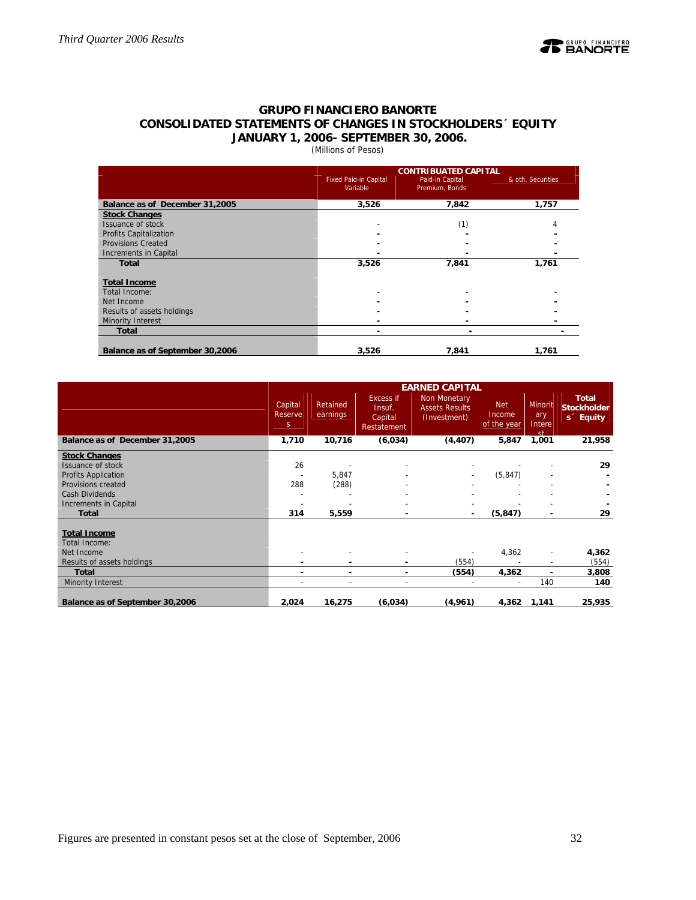

# **GRUPO FINANCIERO BANORTE CONSOLIDATED STATEMENTS OF CHANGES IN STOCKHOLDERS´ EQUITY JANUARY 1, 2006- SEPTEMBER 30, 2006.**

# (Millions of Pesos)

|                                 |                                          | <b>CONTRIBUATED CAPITAL</b>       |                   |
|---------------------------------|------------------------------------------|-----------------------------------|-------------------|
|                                 | <b>Fixed Paid-in Capital</b><br>Variable | Paid-in Capital<br>Premium, Bonds | & oth. Securities |
| Balance as of December 31,2005  | 3,526                                    | 7,842                             | 1,757             |
| <b>Stock Changes</b>            |                                          |                                   |                   |
| <b>Issuance of stock</b>        |                                          | (1)                               | 4                 |
| <b>Profits Capitalization</b>   |                                          |                                   |                   |
| <b>Provisions Created</b>       |                                          |                                   |                   |
| Increments in Capital           |                                          |                                   |                   |
| <b>Total</b>                    | 3,526                                    | 7,841                             | 1,761             |
| <b>Total Income</b>             |                                          |                                   |                   |
| Total Income:                   |                                          |                                   |                   |
| Net Income                      |                                          |                                   |                   |
| Results of assets holdings      |                                          |                                   |                   |
| Minority Interest               |                                          |                                   |                   |
| <b>Total</b>                    |                                          |                                   |                   |
| Balance as of September 30,2006 | 3,526                                    | 7.841                             | 1,761             |

|                                      |                          |                      |                                               | <b>EARNED CAPITAL</b>                                 |                                     |                                           |                                                             |
|--------------------------------------|--------------------------|----------------------|-----------------------------------------------|-------------------------------------------------------|-------------------------------------|-------------------------------------------|-------------------------------------------------------------|
|                                      | Capital<br>Reserve<br>S. | Retained<br>earnings | Excess if<br>Insuf.<br>Capital<br>Restatement | Non Monetary<br><b>Assets Results</b><br>(Investment) | <b>Net</b><br>Income<br>of the year | Minorit<br>ary<br>Intere<br><sub>ct</sub> | <b>Total</b><br><b>Stockholder</b><br>s <sup>2</sup> Equity |
| Balance as of December 31,2005       | 1,710                    | 10,716               | (6,034)                                       | (4, 407)                                              | 5,847                               | 1,001                                     | 21,958                                                      |
| <b>Stock Changes</b>                 |                          |                      |                                               |                                                       |                                     |                                           |                                                             |
| Issuance of stock                    | 26                       |                      |                                               |                                                       |                                     |                                           | 29                                                          |
| Profits Application                  |                          | 5,847                |                                               |                                                       | (5, 847)                            |                                           |                                                             |
| Provisions created                   | 288                      | (288)                |                                               |                                                       |                                     |                                           |                                                             |
| Cash Dividends                       |                          |                      |                                               |                                                       |                                     |                                           |                                                             |
| Increments in Capital                |                          |                      |                                               |                                                       |                                     |                                           |                                                             |
| Total                                | 314                      | 5,559                |                                               |                                                       | (5, 847)                            | ۰                                         | 29                                                          |
| <b>Total Income</b><br>Total Income: |                          |                      |                                               |                                                       |                                     |                                           |                                                             |
| Net Income                           |                          |                      |                                               |                                                       | 4,362                               | $\overline{a}$                            | 4,362                                                       |
| Results of assets holdings           |                          |                      | $\blacksquare$                                | (554)                                                 |                                     | $\overline{\phantom{a}}$                  | (554)                                                       |
| <b>Total</b>                         | ۰                        | ۰                    | $\overline{\phantom{0}}$                      | (554)                                                 | 4,362                               | $\blacksquare$                            | 3,808                                                       |
| Minority Interest                    |                          |                      | $\overline{\phantom{a}}$                      | $\overline{\phantom{a}}$                              | $\sim$                              | 140                                       | 140                                                         |
| Balance as of September 30,2006      | 2,024                    | 16,275               | (6,034)                                       | (4,961)                                               | 4,362                               | 1,141                                     | 25,935                                                      |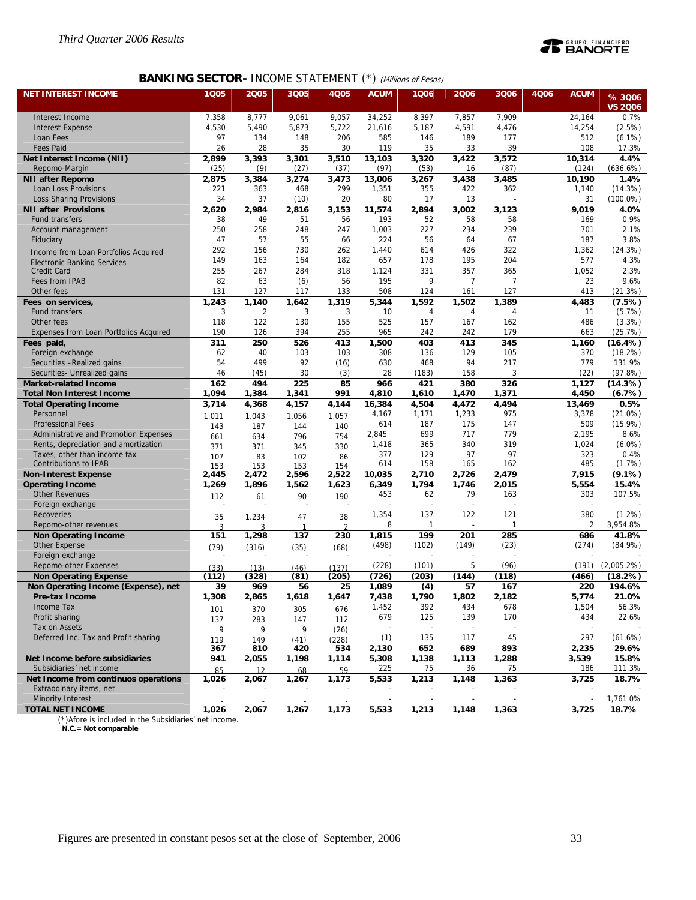

# **BANKING SECTOR- INCOME STATEMENT (\*) (Millions of Pesos)**

| <b>NET INTEREST INCOME</b>                                           | 1Q05                    | 2005           | 3Q05          | 4Q05                  | <b>ACUM</b>    | 1Q06                     | 2006           | 3006                     | 4Q06 | <b>ACUM</b>     | % 3006            |
|----------------------------------------------------------------------|-------------------------|----------------|---------------|-----------------------|----------------|--------------------------|----------------|--------------------------|------|-----------------|-------------------|
|                                                                      |                         |                |               |                       |                |                          |                |                          |      |                 | <b>VS 2006</b>    |
| Interest Income                                                      | 7,358                   | 8,777          | 9,061         | 9,057                 | 34,252         | 8,397                    | 7,857          | 7,909                    |      | 24,164          | 0.7%              |
| <b>Interest Expense</b>                                              | 4,530                   | 5,490          | 5,873         | 5,722                 | 21,616         | 5,187                    | 4,591          | 4,476                    |      | 14,254          | (2.5%)            |
| Loan Fees                                                            | 97                      | 134            | 148           | 206                   | 585            | 146                      | 189            | 177                      |      | 512             | $(6.1\%)$         |
| <b>Fees Paid</b>                                                     | 26                      | 28             | 35            | 30                    | 119            | 35                       | 33             | 39                       |      | 108             | 17.3%             |
| Net Interest Income (NII)<br>Repomo-Margin                           | 2,899<br>(25)           | 3,393          | 3,301<br>(27) | 3,510                 | 13,103         | 3,320                    | 3,422<br>16    | 3,572<br>(87)            |      | 10,314<br>(124) | 4.4%<br>(636.6%)  |
| <b>NII after Repomo</b>                                              | 2,875                   | (9)<br>3,384   | 3,274         | (37)<br>3,473         | (97)<br>13,006 | (53)<br>3,267            | 3,438          | 3,485                    |      | 10,190          | 1.4%              |
| Loan Loss Provisions                                                 | 221                     | 363            | 468           | 299                   | 1,351          | 355                      | 422            | 362                      |      | 1,140           | (14.3%)           |
| <b>Loss Sharing Provisions</b>                                       | 34                      | 37             | (10)          | 20                    | 80             | 17                       | 13             |                          |      | 31              | $(100.0\%)$       |
| <b>NII after Provisions</b>                                          | 2,620                   | 2,984          | 2,816         | 3,153                 | 11,574         | 2,894                    | 3,002          | 3,123                    |      | 9,019           | 4.0%              |
| <b>Fund transfers</b>                                                | 38                      | 49             | 51            | 56                    | 193            | 52                       | 58             | 58                       |      | 169             | 0.9%              |
| Account management                                                   | 250                     | 258            | 248           | 247                   | 1,003          | 227                      | 234            | 239                      |      | 701             | 2.1%              |
| Fiduciary                                                            | 47                      | 57             | 55            | 66                    | 224            | 56                       | 64             | 67                       |      | 187             | 3.8%              |
| Income from Loan Portfolios Acquired                                 | 292                     | 156            | 730           | 262                   | 1,440          | 614                      | 426            | 322                      |      | 1,362           | (24.3%)           |
| Electronic Banking Services                                          | 149                     | 163            | 164           | 182                   | 657            | 178                      | 195            | 204                      |      | 577             | 4.3%              |
| <b>Credit Card</b>                                                   | 255                     | 267            | 284           | 318                   | 1,124          | 331                      | 357            | 365                      |      | 1,052           | 2.3%              |
| Fees from IPAB                                                       | 82                      | 63             | (6)           | 56                    | 195            | 9                        | $\overline{7}$ | $\overline{7}$           |      | 23              | 9.6%              |
| Other fees                                                           | 131                     | 127            | 117           | 133                   | 508            | 124                      | 161            | 127                      |      | 413             | (21.3%)           |
| Fees on services,                                                    | 1,243                   | 1,140          | 1,642         | 1,319                 | 5,344          | 1,592                    | 1,502          | 1,389                    |      | 4,483           | (7.5%)            |
| <b>Fund transfers</b>                                                | 3                       | $\overline{2}$ | 3             | 3                     | 10             | 4                        | 4              | 4                        |      | 11              | (5.7%)            |
| Other fees                                                           | 118<br>190              | 122<br>126     | 130<br>394    | 155<br>255            | 525<br>965     | 157<br>242               | 167<br>242     | 162<br>179               |      | 486<br>663      | (3.3%)<br>(25.7%) |
| Expenses from Loan Portfolios Acquired                               | 311                     | 250            | 526           | 413                   | 1,500          | 403                      | 413            | 345                      |      | 1,160           | (16.4%)           |
| Fees paid,<br>Foreign exchange                                       | 62                      | 40             | 103           | 103                   | 308            | 136                      | 129            | 105                      |      | 370             | (18.2%)           |
| Securities -Realized gains                                           | 54                      | 499            | 92            | (16)                  | 630            | 468                      | 94             | 217                      |      | 779             | 131.9%            |
| Securities- Unrealized gains                                         | 46                      | (45)           | 30            | (3)                   | 28             | (183)                    | 158            | 3                        |      | (22)            | (97.8%)           |
| <b>Market-related Income</b>                                         | 162                     | 494            | 225           | 85                    | 966            | 421                      | 380            | 326                      |      | 1,127           | (14.3%)           |
| <b>Total Non Interest Income</b>                                     | 1,094                   | 1,384          | 1,341         | 991                   | 4,810          | 1,610                    | 1,470          | 1,371                    |      | 4,450           | (6.7%)            |
| <b>Total Operating Income</b>                                        | 3,714                   | 4,368          | 4,157         | 4,144                 | 16,384         | 4,504                    | 4,472          | 4,494                    |      | 13,469          | 0.5%              |
| Personnel                                                            | 1.011                   | 1.043          | 1.056         | 1.057                 | 4,167          | 1,171                    | 1,233          | 975                      |      | 3,378           | $(21.0\%)$        |
| <b>Professional Fees</b>                                             | 143                     | 187            | 144           | 140                   | 614            | 187                      | 175            | 147                      |      | 509             | $(15.9\%)$        |
| Administrative and Promotion Expenses                                | 661                     | 634            | 796           | 754                   | 2,845          | 699                      | 717            | 779<br>319               |      | 2,195           | 8.6%              |
| Rents, depreciation and amortization<br>Taxes, other than income tax | 371                     | 371            | 345           | 330                   | 1,418<br>377   | 365<br>129               | 340<br>97      | 97                       |      | 1,024<br>323    | $(6.0\%)$<br>0.4% |
| <b>Contributions to IPAB</b>                                         | 107<br>153              | 83<br>153      | 102<br>153    | R <sub>6</sub><br>154 | 614            | 158                      | 165            | 162                      |      | 485             | (1.7%)            |
| <b>Non-Interest Expense</b>                                          | 2,445                   | 2,472          | 2,596         | 2,522                 | 10,035         | 2,710                    | 2,726          | 2,479                    |      | 7,915           | (9.1%)            |
| <b>Operating Income</b>                                              | 1,269                   | 1,896          | 1,562         | 1,623                 | 6,349          | 1,794                    | 1,746          | 2,015                    |      | 5,554           | 15.4%             |
| <b>Other Revenues</b>                                                | 112                     | 61             | 90            | 190                   | 453            | 62                       | 79             | 163                      |      | 303             | 107.5%            |
| Foreign exchange                                                     |                         |                |               |                       |                |                          |                |                          |      |                 |                   |
| Recoveries                                                           | 35                      | 1,234          | 47            | 38                    | 1,354          | 137                      | 122            | 121                      |      | 380             | (1.2%)            |
| Repomo-other revenues                                                | $\overline{\mathbf{3}}$ | ্              | $\mathbf{1}$  | $\mathcal{D}$         | 8              | $\mathbf{1}$             | L,             | 1                        |      | $\overline{2}$  | 3,954.8%          |
| <b>Non Operating Income</b>                                          | 151                     | 1,298          | 137           | 230                   | 1,815          | 199                      | 201            | 285                      |      | 686             | 41.8%             |
| <b>Other Expense</b>                                                 | (79)                    | (316)          | (35)          | (68)                  | (498)          | (102)                    | (149)          | (23)                     |      | (274)           | (84.9%)           |
| Foreign exchange                                                     |                         |                |               |                       |                |                          |                |                          |      |                 |                   |
| Repomo-other Expenses                                                | (33)                    | (13)           | (46)          | (137)                 | (228)          | (101)                    | 5              | (96)                     |      | (191)           | $(2,005.2\%)$     |
| <b>Non Operating Expense</b>                                         | (112)                   | (328)          | (81)          | (205)                 | (726)          | (203)                    | (144)          | (118)                    |      | (466)           | (18.2%)           |
| Non Operating Income (Expense), net                                  | 39                      | 969            | 56            | 25                    | 1,089          | (4)                      | 57             | 167                      |      | 220             | 194.6%            |
| Pre-tax Income                                                       | 1,308                   | 2,865          | 1,618         | 1,647                 | 7,438          | 1,790                    | 1,802          | 2,182                    |      | 5,774           | 21.0%             |
| Income Tax<br>Profit sharing                                         | 101                     | 370            | 305           | 676                   | 1,452<br>679   | 392<br>125               | 434<br>139     | 678<br>170               |      | 1,504<br>434    | 56.3%<br>22.6%    |
| Tax on Assets                                                        | 137                     | 283            | 147           | 112                   |                | $\overline{\phantom{a}}$ |                | $\overline{\phantom{a}}$ |      |                 |                   |
| Deferred Inc. Tax and Profit sharing                                 | 9                       | 9              | 9             | (26)                  | (1)            | 135                      | 117            | 45                       |      | 297             | (61.6%)           |
|                                                                      | 119<br>367              | 149<br>810     | (41)<br>420   | (228)<br>534          | 2,130          | 652                      | 689            | 893                      |      | 2,235           | 29.6%             |
| Net Income before subsidiaries                                       | 941                     | 2,055          | 1,198         | 1,114                 | 5,308          | 1,138                    | 1,113          | 1,288                    |      | 3,539           | 15.8%             |
| Subsidiaries net income                                              | 85                      | 12             | 68            | 59                    | 225            | 75                       | 36             | 75                       |      | 186             | 111.3%            |
| Net Income from continuos operations                                 | 1,026                   | 2,067          | 1,267         | 1,173                 | 5,533          | 1,213                    | 1,148          | 1,363                    |      | 3,725           | 18.7%             |
| Extraodinary items, net                                              |                         |                |               |                       |                |                          |                |                          |      |                 |                   |
| <b>Minority Interest</b>                                             |                         |                |               |                       |                |                          |                |                          |      | $\blacksquare$  | 1,761.0%          |
| <b>TOTAL NET INCOME</b>                                              | 1,026                   | 2,067          | 1,267         | 1,173                 | 5,533          | 1,213                    | 1,148          | 1,363                    |      | 3,725           | 18.7%             |

(\*)Afore is included in the Subsidiaries' net income.  **N.C.= Not comparable**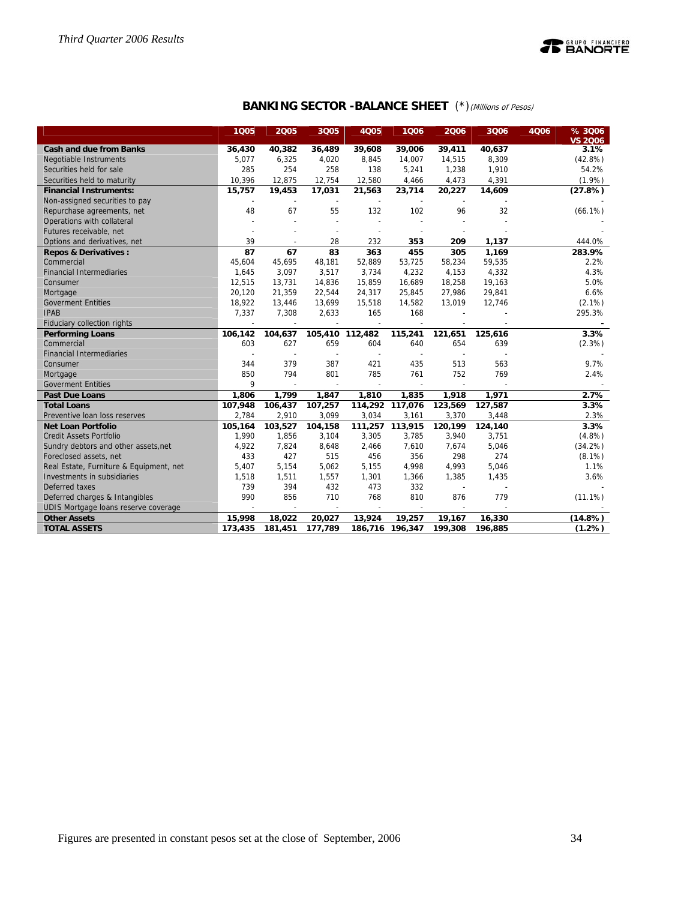

**BANKING SECTOR -BALANCE SHEET** (\*)(Millions of Pesos)

|                                         | 1005    | 2005                     | 3Q05                     | <b>4Q05</b> | 1006            | 2006                     | 3Q06    | 4Q06 | % 3006<br><b>VS 2006</b> |
|-----------------------------------------|---------|--------------------------|--------------------------|-------------|-----------------|--------------------------|---------|------|--------------------------|
| <b>Cash and due from Banks</b>          | 36,430  | 40,382                   | 36,489                   | 39,608      | 39,006          | 39,411                   | 40,637  |      | 3.1%                     |
| <b>Negotiable Instruments</b>           | 5,077   | 6,325                    | 4,020                    | 8,845       | 14,007          | 14,515                   | 8,309   |      | $(42.8\%)$               |
| Securities held for sale                | 285     | 254                      | 258                      | 138         | 5,241           | 1,238                    | 1,910   |      | 54.2%                    |
| Securities held to maturity             | 10,396  | 12,875                   | 12,754                   | 12,580      | 4,466           | 4,473                    | 4,391   |      | (1.9%)                   |
| <b>Financial Instruments:</b>           | 15,757  | 19,453                   | 17,031                   | 21,563      | 23,714          | 20,227                   | 14,609  |      | (27.8%)                  |
| Non-assigned securities to pay          |         |                          |                          |             |                 |                          |         |      |                          |
| Repurchase agreements, net              | 48      | 67                       | 55                       | 132         | 102             | 96                       | 32      |      | $(66.1\%)$               |
| Operations with collateral              |         | L,                       |                          |             |                 |                          |         |      |                          |
| Futures receivable, net                 |         |                          | $\overline{a}$           |             |                 |                          |         |      |                          |
| Options and derivatives, net            | 39      |                          | 28                       | 232         | 353             | 209                      | 1,137   |      | 444.0%                   |
| <b>Repos &amp; Derivatives:</b>         | 87      | 67                       | 83                       | 363         | 455             | 305                      | 1,169   |      | 283.9%                   |
| Commercial                              | 45,604  | 45,695                   | 48,181                   | 52,889      | 53,725          | 58,234                   | 59,535  |      | 2.2%                     |
| <b>Financial Intermediaries</b>         | 1,645   | 3,097                    | 3,517                    | 3,734       | 4,232           | 4,153                    | 4,332   |      | 4.3%                     |
| Consumer                                | 12,515  | 13,731                   | 14,836                   | 15,859      | 16,689          | 18,258                   | 19,163  |      | 5.0%                     |
| Mortgage                                | 20,120  | 21,359                   | 22,544                   | 24,317      | 25,845          | 27,986                   | 29,841  |      | 6.6%                     |
| <b>Goverment Entities</b>               | 18,922  | 13,446                   | 13,699                   | 15,518      | 14,582          | 13,019                   | 12,746  |      | $(2.1\%)$                |
| <b>IPAB</b>                             | 7,337   | 7,308                    | 2,633                    | 165         | 168             |                          |         |      | 295.3%                   |
| Fiduciary collection rights             |         |                          |                          |             |                 |                          |         |      |                          |
| <b>Performing Loans</b>                 | 106,142 | 104,637                  | 105,410 112,482          |             | 115,241         | 121,651                  | 125,616 |      | 3.3%                     |
| Commercial                              | 603     | 627                      | 659                      | 604         | 640             | 654                      | 639     |      | (2.3%)                   |
| <b>Financial Intermediaries</b>         |         | $\overline{\phantom{a}}$ |                          |             |                 |                          |         |      |                          |
| Consumer                                | 344     | 379                      | 387                      | 421         | 435             | 513                      | 563     |      | 9.7%                     |
| Mortgage                                | 850     | 794                      | 801                      | 785         | 761             | 752                      | 769     |      | 2.4%                     |
| <b>Goverment Entities</b>               | 9       |                          |                          |             |                 |                          |         |      |                          |
| <b>Past Due Loans</b>                   | 1,806   | 1,799                    | 1,847                    | 1,810       | 1,835           | 1,918                    | 1,971   |      | 2.7%                     |
| <b>Total Loans</b>                      | 107,948 | 106,437                  | 107,257                  |             | 114,292 117,076 | 123,569                  | 127,587 |      | 3.3%                     |
| Preventive loan loss reserves           | 2,784   | 2,910                    | 3,099                    | 3,034       | 3,161           | 3,370                    | 3,448   |      | 2.3%                     |
| <b>Net Loan Portfolio</b>               | 105,164 | 103,527                  | 104,158                  | 111,257     | 113,915         | 120,199                  | 124,140 |      | 3.3%                     |
| <b>Credit Assets Portfolio</b>          | 1,990   | 1,856                    | 3,104                    | 3,305       | 3,785           | 3,940                    | 3,751   |      | (4.8%)                   |
| Sundry debtors and other assets, net    | 4,922   | 7,824                    | 8,648                    | 2,466       | 7,610           | 7,674                    | 5,046   |      | (34.2%)                  |
| Foreclosed assets, net                  | 433     | 427                      | 515                      | 456         | 356             | 298                      | 274     |      | $(8.1\%)$                |
| Real Estate, Furniture & Equipment, net | 5,407   | 5,154                    | 5,062                    | 5,155       | 4,998           | 4,993                    | 5,046   |      | 1.1%                     |
| Investments in subsidiaries             | 1,518   | 1,511                    | 1,557                    | 1,301       | 1,366           | 1,385                    | 1,435   |      | 3.6%                     |
| Deferred taxes                          | 739     | 394                      | 432                      | 473         | 332             | $\overline{\phantom{a}}$ |         |      |                          |
| Deferred charges & Intangibles          | 990     | 856                      | 710                      | 768         | 810             | 876                      | 779     |      | $(11.1\%)$               |
| UDIS Mortgage loans reserve coverage    |         | $\overline{\phantom{a}}$ | $\overline{\phantom{a}}$ |             |                 |                          |         |      |                          |
| <b>Other Assets</b>                     | 15,998  | 18,022                   | 20,027                   | 13,924      | 19,257          | 19,167                   | 16,330  |      | (14.8%)                  |
| <b>TOTAL ASSETS</b>                     | 173,435 | 181,451                  | 177,789                  |             | 186,716 196,347 | 199,308                  | 196,885 |      | (1.2%)                   |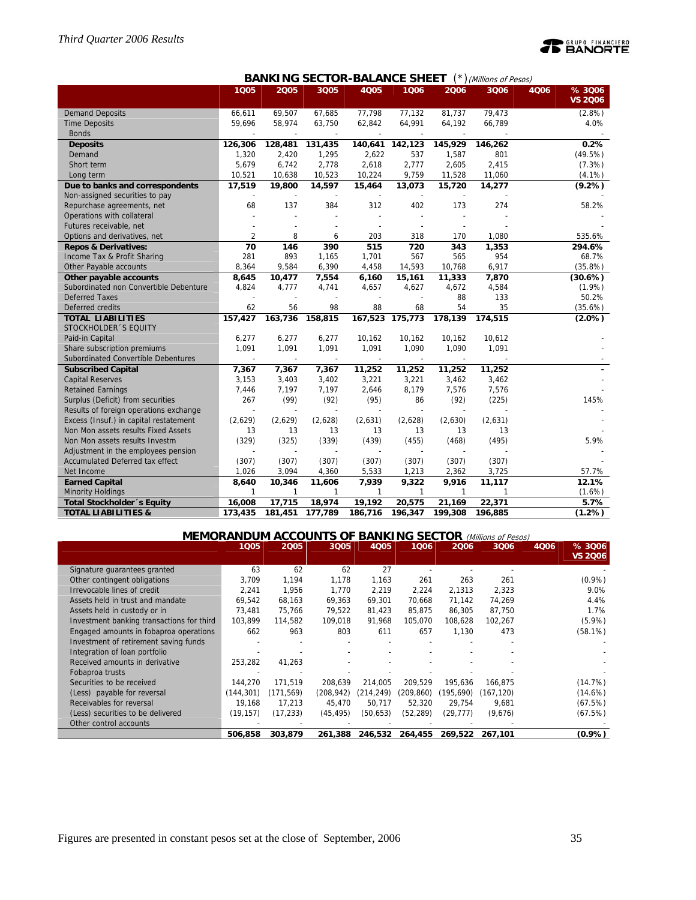# **PEANORTE**

|                                        |         |         | ,,,,,,,,,                | .niv                     |         |                          | $J$ ( <i>IVIIIIIUI</i> IS UI FESUS) |                                  |
|----------------------------------------|---------|---------|--------------------------|--------------------------|---------|--------------------------|-------------------------------------|----------------------------------|
|                                        | 1005    | 2005    | 3Q05                     | 4005                     | 1006    | 2006                     | 3006                                | % 3006<br>4006<br><b>VS 2006</b> |
| <b>Demand Deposits</b>                 | 66,611  | 69,507  | 67,685                   | 77,798                   | 77.132  | 81,737                   | 79,473                              | $(2.8\%)$                        |
| <b>Time Deposits</b>                   | 59,696  | 58,974  | 63,750                   | 62,842                   | 64,991  | 64,192                   | 66,789                              | 4.0%                             |
| <b>Bonds</b>                           |         |         |                          |                          |         |                          |                                     |                                  |
| <b>Deposits</b>                        | 126,306 | 128,481 | 131,435                  | 140,641                  | 142,123 | 145,929                  | 146,262                             | 0.2%                             |
| Demand                                 | 1,320   | 2,420   | 1,295                    | 2,622                    | 537     | 1,587                    | 801                                 | (49.5%)                          |
| Short term                             | 5,679   | 6,742   | 2,778                    | 2,618                    | 2,777   | 2,605                    | 2,415                               | (7.3%)                           |
| Long term                              | 10,521  | 10,638  | 10,523                   | 10,224                   | 9,759   | 11,528                   | 11,060                              | $(4.1\%)$                        |
| Due to banks and correspondents        | 17,519  | 19,800  | 14,597                   | 15,464                   | 13,073  | 15,720                   | 14,277                              | (9.2%)                           |
| Non-assigned securities to pay         |         |         |                          |                          |         |                          |                                     |                                  |
| Repurchase agreements, net             | 68      | 137     | 384                      | 312                      | 402     | 173                      | 274                                 | 58.2%                            |
| Operations with collateral             |         |         |                          | $\overline{\phantom{a}}$ |         |                          |                                     |                                  |
| Futures receivable, net                |         |         |                          |                          |         |                          |                                     |                                  |
| Options and derivatives, net           | 2       | 8       | 6                        | 203                      | 318     | 170                      | 1.080                               | 535.6%                           |
| <b>Repos &amp; Derivatives:</b>        | 70      | 146     | 390                      | 515                      | 720     | 343                      | 1,353                               | 294.6%                           |
| Income Tax & Profit Sharing            | 281     | 893     | 1,165                    | 1,701                    | 567     | 565                      | 954                                 | 68.7%                            |
| Other Payable accounts                 | 8,364   | 9,584   | 6,390                    | 4,458                    | 14,593  | 10,768                   | 6,917                               | (35.8%)                          |
| Other payable accounts                 | 8,645   | 10,477  | 7,554                    | 6,160                    | 15,161  | 11,333                   | 7,870                               | (30.6%)                          |
| Subordinated non Convertible Debenture | 4,824   | 4,777   | 4,741                    | 4,657                    | 4,627   | 4,672                    | 4,584                               | $(1.9\%)$                        |
| <b>Deferred Taxes</b>                  |         |         |                          |                          |         | 88                       | 133                                 | 50.2%                            |
| Deferred credits                       | 62      | 56      | 98                       | 88                       | 68      | 54                       | 35                                  | (35.6%)                          |
| <b>TOTAL LIABILITIES</b>               | 157,427 | 163,736 | 158,815                  | 167,523                  | 175,773 | 178,139                  | 174,515                             | $(2.0\%)$                        |
| STOCKHOLDER 'S EQUITY                  |         |         |                          |                          |         |                          |                                     |                                  |
| Paid-in Capital                        | 6,277   | 6,277   | 6,277                    | 10,162                   | 10,162  | 10,162                   | 10,612                              |                                  |
| Share subscription premiums            | 1,091   | 1,091   | 1,091                    | 1,091                    | 1,090   | 1,090                    | 1,091                               |                                  |
| Subordinated Convertible Debentures    |         |         | $\overline{\phantom{a}}$ | $\overline{\phantom{a}}$ | $\sim$  | $\overline{\phantom{a}}$ |                                     |                                  |
| <b>Subscribed Capital</b>              | 7,367   | 7,367   | 7,367                    | 11,252                   | 11,252  | 11,252                   | 11,252                              |                                  |
| <b>Capital Reserves</b>                | 3,153   | 3,403   | 3,402                    | 3,221                    | 3,221   | 3,462                    | 3,462                               |                                  |
| <b>Retained Earnings</b>               | 7,446   | 7,197   | 7,197                    | 2,646                    | 8,179   | 7,576                    | 7,576                               |                                  |
| Surplus (Deficit) from securities      | 267     | (99)    | (92)                     | (95)                     | 86      | (92)                     | (225)                               | 145%                             |
| Results of foreign operations exchange |         |         |                          |                          |         |                          |                                     |                                  |
| Excess (Insuf.) in capital restatement | (2,629) | (2,629) | (2,628)                  | (2,631)                  | (2,628) | (2,630)                  | (2,631)                             |                                  |
| Non Mon assets results Fixed Assets    | 13      | 13      | 13                       | 13                       | 13      | 13                       | 13                                  |                                  |
| Non Mon assets results Investm         | (329)   | (325)   | (339)                    | (439)                    | (455)   | (468)                    | (495)                               | 5.9%                             |
| Adjustment in the employees pension    |         |         |                          |                          |         |                          |                                     |                                  |
| Accumulated Deferred tax effect        | (307)   | (307)   | (307)                    | (307)                    | (307)   | (307)                    | (307)                               |                                  |
| Net Income                             | 1,026   | 3,094   | 4,360                    | 5,533                    | 1,213   | 2,362                    | 3,725                               | 57.7%                            |
| <b>Earned Capital</b>                  | 8,640   | 10,346  | 11,606                   | 7,939                    | 9,322   | 9,916                    | 11,117                              | 12.1%                            |
| <b>Minority Holdings</b>               | 1       | 1       | 1                        | 1                        | 1       | 1                        | 1                                   | $(1.6\%)$                        |
| Total Stockholder 's Equity            | 16,008  | 17,715  | 18,974                   | 19,192                   | 20,575  | 21,169                   | 22,371                              | 5.7%                             |
| <b>TOTAL LIABILITIES &amp;</b>         | 173,435 | 181,451 | 177,789                  | 186,716                  | 196,347 | 199,308                  | 196,885                             | (1.2%)                           |

# **BANKING SECTOR-BALANCE SHEET** (\*) (Millions of Pesos)

# **MEMORANDUM ACCOUNTS OF BANKING SECTOR** (Millions of Pesos)

|                                           | 1Q05      | 2005      | 3Q05      | <b>4Q05</b> | 1006       | 2006      | 3006      | 4Q06 | % 3006<br>VS 2Q06 |
|-------------------------------------------|-----------|-----------|-----------|-------------|------------|-----------|-----------|------|-------------------|
| Signature quarantees granted              | 63        | 62        | 62        | 27          |            |           |           |      |                   |
| Other contingent obligations              | 3,709     | 1,194     | 1,178     | 1,163       | 261        | 263       | 261       |      | $(0.9\%)$         |
| Irrevocable lines of credit               | 2,241     | 1,956     | 1,770     | 2,219       | 2,224      | 2.1313    | 2,323     |      | 9.0%              |
| Assets held in trust and mandate          | 69,542    | 68,163    | 69,363    | 69,301      | 70,668     | 71,142    | 74,269    |      | 4.4%              |
| Assets held in custody or in              | 73,481    | 75,766    | 79.522    | 81,423      | 85,875     | 86,305    | 87,750    |      | 1.7%              |
| Investment banking transactions for third | 103,899   | 114,582   | 109,018   | 91,968      | 105,070    | 108.628   | 102,267   |      | $(5.9\%)$         |
| Engaged amounts in fobaproa operations    | 662       | 963       | 803       | 611         | 657        | 1,130     | 473       |      | (58.1%)           |
| Investment of retirement saving funds     |           |           |           |             |            |           |           |      |                   |
| Integration of loan portfolio             |           |           |           |             |            |           |           |      |                   |
| Received amounts in derivative            | 253,282   | 41,263    |           |             |            |           |           |      |                   |
| Fobaproa trusts                           |           |           |           |             |            |           |           |      |                   |
| Securities to be received                 | 144.270   | 171.519   | 208.639   | 214.005     | 209.529    | 195.636   | 166.875   |      | (14.7%)           |
| (Less) payable for reversal               | (144,301) | (171,569) | (208.942) | (214.249)   | (209, 860) | (195.690) | (167.120) |      | (14.6%)           |
| Receivables for reversal                  | 19,168    | 17,213    | 45,470    | 50,717      | 52,320     | 29,754    | 9,681     |      | (67.5%)           |
| (Less) securities to be delivered         | (19, 157) | (17, 233) | (45, 495) | (50, 653)   | (52,289)   | (29,777)  | (9,676)   |      | (67.5%)           |
| Other control accounts                    |           |           |           |             |            |           |           |      |                   |
|                                           | 506,858   | 303,879   | 261,388   | 246,532     | 264,455    | 269,522   | 267,101   |      | $(0.9\%)$         |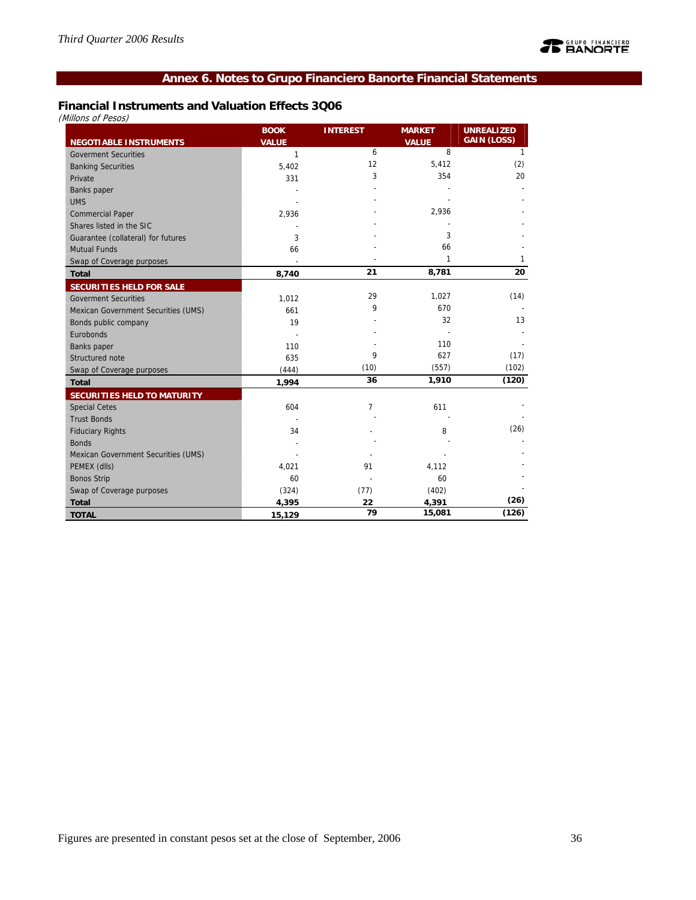# **Annex 6. Notes to Grupo Financiero Banorte Financial Statements**

# **Financial Instruments and Valuation Effects 3Q06**

(Millons of Pesos)

|                                     | <b>BOOK</b>  | <b>INTEREST</b> | <b>MARKET</b>     | <b>UNREALIZED</b><br><b>GAIN (LOSS)</b> |
|-------------------------------------|--------------|-----------------|-------------------|-----------------------------------------|
| <b>NEGOTIABLE INSTRUMENTS</b>       | <b>VALUE</b> | 6               | <b>VALUE</b><br>8 | 1                                       |
| <b>Goverment Securities</b>         | $\mathbf{1}$ | 12              |                   |                                         |
| <b>Banking Securities</b>           | 5,402        |                 | 5,412             | (2)                                     |
| Private                             | 331          | 3               | 354               | 20                                      |
| <b>Banks</b> paper                  |              |                 |                   |                                         |
| <b>UMS</b>                          |              |                 |                   |                                         |
| <b>Commercial Paper</b>             | 2,936        |                 | 2,936             |                                         |
| Shares listed in the SIC            |              |                 |                   |                                         |
| Guarantee (collateral) for futures  | 3            |                 | 3                 |                                         |
| <b>Mutual Funds</b>                 | 66           |                 | 66                |                                         |
| Swap of Coverage purposes           |              |                 | 1                 | 1                                       |
| <b>Total</b>                        | 8,740        | 21              | 8,781             | 20                                      |
| <b>SECURITIES HELD FOR SALE</b>     |              |                 |                   |                                         |
| <b>Goverment Securities</b>         | 1,012        | 29              | 1,027             | (14)                                    |
| Mexican Government Securities (UMS) | 661          | 9               | 670               |                                         |
| Bonds public company                | 19           |                 | 32                | 13                                      |
| Eurobonds                           |              |                 |                   |                                         |
| Banks paper                         | 110          |                 | 110               |                                         |
| Structured note                     | 635          | 9               | 627               | (17)                                    |
| Swap of Coverage purposes           | (444)        | (10)            | (557)             | (102)                                   |
| <b>Total</b>                        | 1,994        | 36              | 1,910             | (120)                                   |
| SECURITIES HELD TO MATURITY         |              |                 |                   |                                         |
| <b>Special Cetes</b>                | 604          | 7               | 611               |                                         |
| <b>Trust Bonds</b>                  |              |                 |                   |                                         |
| <b>Fiduciary Rights</b>             | 34           |                 | 8                 | (26)                                    |
| <b>Bonds</b>                        |              |                 |                   |                                         |
| Mexican Government Securities (UMS) |              |                 |                   |                                         |
| PEMEX (dlls)                        | 4,021        | 91              | 4,112             |                                         |
| <b>Bonos Strip</b>                  | 60           |                 | 60                |                                         |
| Swap of Coverage purposes           | (324)        | (77)            | (402)             |                                         |
| <b>Total</b>                        | 4,395        | 22              | 4,391             | (26)                                    |
| <b>TOTAL</b>                        | 15,129       | 79              | 15,081            | (126)                                   |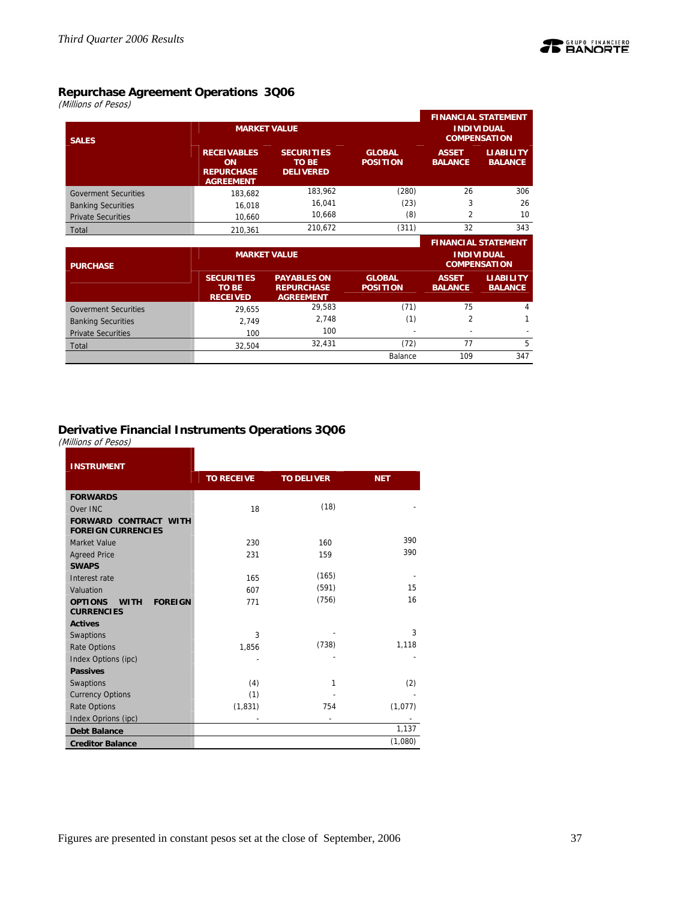

# **Repurchase Agreement Operations 3Q06**

(Millions of Pesos)

| <b>MARKET VALUE</b><br><b>SALES</b> |                                                                          |                                                       |                                  |                                | <b>FINANCIAL STATEMENT</b><br><b>INDIVIDUAL</b><br><b>COMPENSATION</b> |
|-------------------------------------|--------------------------------------------------------------------------|-------------------------------------------------------|----------------------------------|--------------------------------|------------------------------------------------------------------------|
|                                     | <b>RECEIVABLES</b><br><b>ON</b><br><b>REPURCHASE</b><br><b>AGREEMENT</b> | <b>SECURITIES</b><br><b>TO BE</b><br><b>DELIVERED</b> | <b>GLOBAL</b><br><b>POSITION</b> | <b>ASSET</b><br><b>BALANCE</b> | <b>LIABILITY</b><br><b>BALANCE</b>                                     |
| <b>Goverment Securities</b>         | 183.682                                                                  | 183,962                                               | (280)                            | 26                             | 306                                                                    |
| <b>Banking Securities</b>           | 16,018                                                                   | 16,041                                                | (23)                             | 3                              | 26                                                                     |
| <b>Private Securities</b>           | 10,660                                                                   | 10,668                                                | (8)                              | $\overline{2}$                 | 10                                                                     |
| Total                               | 210.361                                                                  | 210.672                                               | (311)                            | 32                             | 343                                                                    |

|                             |                                                      |                                                             |                                  |                                          | <b>FINANCIAL STATEMENT</b>         |  |
|-----------------------------|------------------------------------------------------|-------------------------------------------------------------|----------------------------------|------------------------------------------|------------------------------------|--|
| <b>PURCHASE</b>             |                                                      | <b>MARKET VALUE</b>                                         |                                  | <b>INDIVIDUAL</b><br><b>COMPENSATION</b> |                                    |  |
|                             | <b>SECURITIES</b><br><b>TO BE</b><br><b>RECEIVED</b> | <b>PAYABLES ON</b><br><b>REPURCHASE</b><br><b>AGREEMENT</b> | <b>GLOBAL</b><br><b>POSITION</b> | <b>ASSET</b><br><b>BALANCE</b>           | <b>LIABILITY</b><br><b>BALANCE</b> |  |
| <b>Goverment Securities</b> | 29.655                                               | 29.583                                                      | (71)                             | 75                                       | 4                                  |  |
| <b>Banking Securities</b>   | 2.749                                                | 2,748                                                       | (1)                              |                                          |                                    |  |
| <b>Private Securities</b>   | 100                                                  | 100                                                         |                                  |                                          |                                    |  |
| Total                       | 32.504                                               | 32,431                                                      | (72)                             | 77                                       | 5                                  |  |
|                             |                                                      |                                                             | Balance                          | 109                                      | 347                                |  |

# **Derivative Financial Instruments Operations 3Q06**

(Millions of Pesos)

| <b>INSTRUMENT</b>                                                    |                   |                   |            |
|----------------------------------------------------------------------|-------------------|-------------------|------------|
|                                                                      | <b>TO RECEIVE</b> | <b>TO DELIVER</b> | <b>NET</b> |
| <b>FORWARDS</b>                                                      |                   |                   |            |
| Over INC                                                             | 18                | (18)              |            |
| <b>FORWARD CONTRACT WITH</b><br><b>FOREIGN CURRENCIES</b>            |                   |                   |            |
| Market Value                                                         | 230               | 160               | 390        |
| <b>Agreed Price</b>                                                  | 231               | 159               | 390        |
| <b>SWAPS</b>                                                         |                   |                   |            |
| Interest rate                                                        | 165               | (165)             |            |
| Valuation                                                            | 607               | (591)             | 15         |
| <b>OPTIONS</b><br><b>FOREIGN</b><br><b>WITH</b><br><b>CURRENCIES</b> | 771               | (756)             | 16         |
| <b>Actives</b>                                                       |                   |                   |            |
| Swaptions                                                            | 3                 |                   | 3          |
| <b>Rate Options</b>                                                  | 1,856             | (738)             | 1,118      |
| Index Options (ipc)                                                  |                   |                   |            |
| <b>Passives</b>                                                      |                   |                   |            |
| Swaptions                                                            | (4)               | 1                 | (2)        |
| <b>Currency Options</b>                                              | (1)               |                   |            |
| <b>Rate Options</b>                                                  | (1, 831)          | 754               | (1,077)    |
| Index Oprions (ipc)                                                  |                   |                   |            |
| <b>Debt Balance</b>                                                  |                   |                   | 1,137      |
| <b>Creditor Balance</b>                                              |                   |                   | (1,080)    |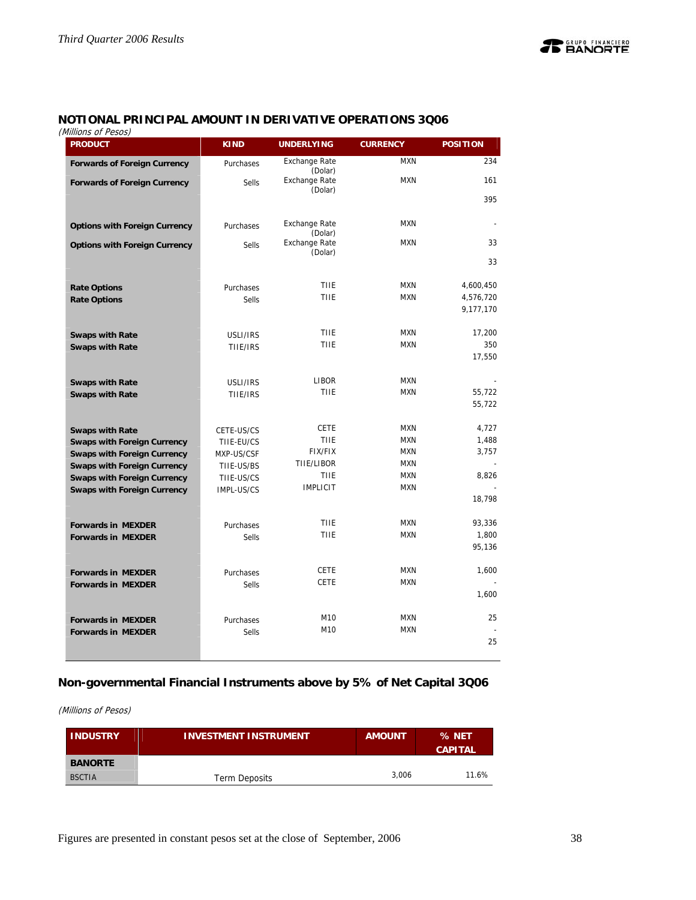# **NOTIONAL PRINCIPAL AMOUNT IN DERIVATIVE OPERATIONS 3Q06**

(Millions of Pesos)

| viiiiuris ur fesus <i>j</i><br><b>PRODUCT</b> | <b>KIND</b>  | <b>UNDERLYING</b>               | <b>CURRENCY</b>          | <b>POSITION</b> |
|-----------------------------------------------|--------------|---------------------------------|--------------------------|-----------------|
| <b>Forwards of Foreign Currency</b>           | Purchases    | <b>Exchange Rate</b><br>(Dolar) | <b>MXN</b>               | 234             |
| <b>Forwards of Foreign Currency</b>           | <b>Sells</b> | Exchange Rate                   | <b>MXN</b>               | 161             |
|                                               |              | (Dolar)                         |                          | 395             |
| <b>Options with Foreign Currency</b>          | Purchases    | <b>Exchange Rate</b>            | <b>MXN</b>               |                 |
|                                               |              | (Dolar)<br><b>Exchange Rate</b> | <b>MXN</b>               | 33              |
| <b>Options with Foreign Currency</b>          | <b>Sells</b> | (Dolar)                         |                          |                 |
|                                               |              |                                 |                          | 33              |
| <b>Rate Options</b>                           | Purchases    | <b>TIIE</b>                     | <b>MXN</b>               | 4,600,450       |
| <b>Rate Options</b>                           | <b>Sells</b> | <b>TIIE</b>                     | <b>MXN</b>               | 4,576,720       |
|                                               |              |                                 |                          | 9,177,170       |
| <b>Swaps with Rate</b>                        | USLI/IRS     | <b>TIIE</b>                     | <b>MXN</b>               | 17,200          |
| <b>Swaps with Rate</b>                        | TIIE/IRS     | <b>TIIE</b>                     | <b>MXN</b>               | 350             |
|                                               |              |                                 |                          | 17,550          |
| <b>Swaps with Rate</b>                        | USLI/IRS     | LIBOR                           | <b>MXN</b>               |                 |
| <b>Swaps with Rate</b>                        | TIIE/IRS     | <b>TIIE</b>                     | <b>MXN</b>               | 55.722          |
|                                               |              |                                 |                          | 55,722          |
| <b>Swaps with Rate</b>                        | CETE-US/CS   | <b>CETE</b>                     | <b>MXN</b>               | 4,727           |
| <b>Swaps with Foreign Currency</b>            | TIIE-EU/CS   | <b>TIIE</b>                     | <b>MXN</b>               | 1,488           |
| <b>Swaps with Foreign Currency</b>            | MXP-US/CSF   | FIX/FIX                         | <b>MXN</b>               | 3,757           |
| <b>Swaps with Foreign Currency</b>            | TIIE-US/BS   | TIIE/LIBOR<br><b>TIIE</b>       | <b>MXN</b><br><b>MXN</b> |                 |
| <b>Swaps with Foreign Currency</b>            | TIIE-US/CS   | <b>IMPLICIT</b>                 | <b>MXN</b>               | 8,826           |
| <b>Swaps with Foreign Currency</b>            | IMPL-US/CS   |                                 |                          | 18,798          |
|                                               |              |                                 |                          |                 |
| <b>Forwards in MEXDER</b>                     | Purchases    | <b>TIIE</b>                     | <b>MXN</b>               | 93,336          |
| <b>Forwards in MEXDER</b>                     | <b>Sells</b> | <b>TIIE</b>                     | <b>MXN</b>               | 1,800           |
|                                               |              |                                 |                          | 95,136          |
| <b>Forwards in MEXDER</b>                     | Purchases    | <b>CETE</b>                     | <b>MXN</b>               | 1,600           |
| <b>Forwards in MEXDER</b>                     | <b>Sells</b> | <b>CETE</b>                     | <b>MXN</b>               |                 |
|                                               |              |                                 |                          | 1,600           |
| <b>Forwards in MEXDER</b>                     | Purchases    | M10                             | <b>MXN</b>               | 25              |
| <b>Forwards in MEXDER</b>                     | <b>Sells</b> | M10                             | <b>MXN</b>               |                 |
|                                               |              |                                 |                          | 25              |
|                                               |              |                                 |                          |                 |

# **Non-governmental Financial Instruments above by 5% of Net Capital 3Q06**

(Millions of Pesos)

| <b>INDUSTRY</b> | <b>INVESTMENT INSTRUMENT</b> | <b>AMOUNT</b> | % NET<br><b>CAPITAL</b> |
|-----------------|------------------------------|---------------|-------------------------|
| <b>BANORTE</b>  |                              |               |                         |
| <b>BSCTIA</b>   | <b>Term Deposits</b>         | 3.006         | 11.6%                   |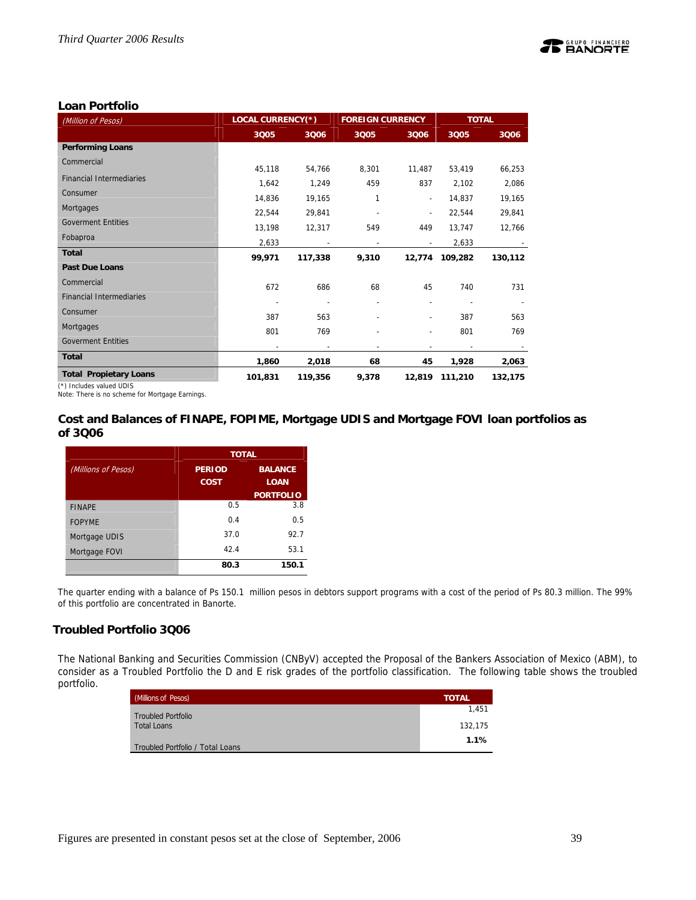

# **Loan Portfolio**

| (Million of Pesos)                                        | <b>LOCAL CURRENCY(*)</b> |         | <b>FOREIGN CURRENCY</b> |                          |                          | <b>TOTAL</b> |
|-----------------------------------------------------------|--------------------------|---------|-------------------------|--------------------------|--------------------------|--------------|
|                                                           | 3005                     | 3006    | 3Q05                    | 3006                     | 3Q05                     | 3006         |
| <b>Performing Loans</b>                                   |                          |         |                         |                          |                          |              |
| Commercial                                                | 45,118                   | 54,766  | 8,301                   | 11,487                   | 53,419                   | 66,253       |
| <b>Financial Intermediaries</b>                           | 1,642                    | 1,249   | 459                     | 837                      | 2,102                    | 2,086        |
| Consumer                                                  | 14,836                   | 19,165  | 1                       | $\overline{\phantom{0}}$ | 14,837                   | 19,165       |
| Mortgages                                                 | 22,544                   | 29,841  |                         | $\overline{\phantom{a}}$ | 22,544                   | 29,841       |
| <b>Goverment Entities</b>                                 | 13,198                   | 12,317  | 549                     | 449                      | 13,747                   | 12,766       |
| Fobaproa                                                  | 2,633                    |         |                         |                          | 2,633                    |              |
| <b>Total</b>                                              | 99,971                   | 117,338 | 9,310                   |                          | 12,774 109,282           | 130,112      |
| <b>Past Due Loans</b>                                     |                          |         |                         |                          |                          |              |
| Commercial                                                | 672                      | 686     | 68                      | 45                       | 740                      | 731          |
| <b>Financial Intermediaries</b>                           | ٠                        |         |                         |                          |                          |              |
| Consumer                                                  | 387                      | 563     |                         |                          | 387                      | 563          |
| Mortgages                                                 | 801                      | 769     |                         |                          | 801                      | 769          |
| <b>Goverment Entities</b>                                 | $\overline{\phantom{a}}$ |         |                         | $\overline{\phantom{0}}$ | $\overline{\phantom{a}}$ |              |
| <b>Total</b>                                              | 1,860                    | 2,018   | 68                      | 45                       | 1,928                    | 2,063        |
| <b>Total Propietary Loans</b><br>$(45.1 \pm 1)$ $(1.102)$ | 101,831                  | 119,356 | 9,378                   |                          | 12,819 111,210           | 132,175      |

(\*) Includes valued UDIS

Note: There is no scheme for Mortgage Earnings.

# **Cost and Balances of FINAPE, FOPIME, Mortgage UDIS and Mortgage FOVI loan portfolios as of 3Q06**

|                     | <b>TOTAL</b>                    |                  |  |  |
|---------------------|---------------------------------|------------------|--|--|
| (Millions of Pesos) | <b>BALANCE</b><br><b>PERIOD</b> |                  |  |  |
|                     | <b>COST</b>                     | <b>LOAN</b>      |  |  |
|                     |                                 | <b>PORTFOLIO</b> |  |  |
| <b>FINAPE</b>       | 0.5                             | 3.8              |  |  |
| <b>FOPYME</b>       | 0.4                             | 0.5              |  |  |
| Mortgage UDIS       | 37.0                            | 92.7             |  |  |
| Mortgage FOVI       | 42.4                            | 53.1             |  |  |
|                     | 80.3                            | 150.1            |  |  |

The quarter ending with a balance of Ps 150.1 million pesos in debtors support programs with a cost of the period of Ps 80.3 million. The 99% of this portfolio are concentrated in Banorte.

# **Troubled Portfolio 3Q06**

The National Banking and Securities Commission (CNByV) accepted the Proposal of the Bankers Association of Mexico (ABM), to consider as a Troubled Portfolio the D and E risk grades of the portfolio classification. The following table shows the troubled portfolio.

| (Millions of Pesos)              | <b>TOTAL</b> |
|----------------------------------|--------------|
| <b>Troubled Portfolio</b>        | 1.451        |
| <b>Total Loans</b>               | 132,175      |
| Troubled Portfolio / Total Loans | 1.1%         |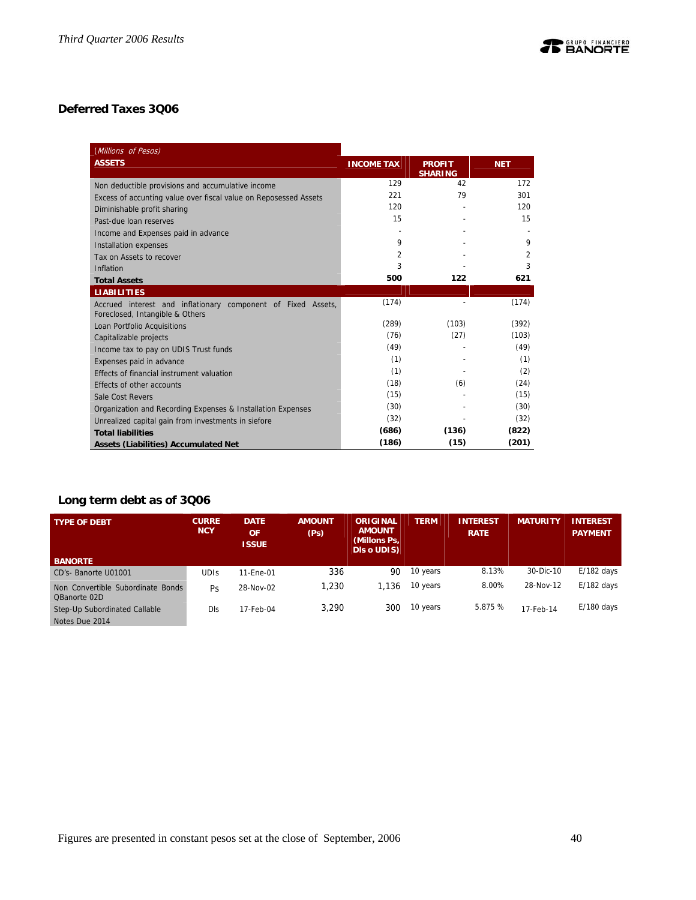# **Deferred Taxes 3Q06**

| (Millions of Pesos)                                                                             |                   |                                 |            |
|-------------------------------------------------------------------------------------------------|-------------------|---------------------------------|------------|
| <b>ASSETS</b>                                                                                   | <b>INCOME TAX</b> | <b>PROFIT</b><br><b>SHARING</b> | <b>NET</b> |
| Non deductible provisions and accumulative income                                               | 129               | 42                              | 172        |
| Excess of accunting value over fiscal value on Reposessed Assets                                | 221               | 79                              | 301        |
| Diminishable profit sharing                                                                     | 120               |                                 | 120        |
| Past-due loan reserves                                                                          | 15                |                                 | 15         |
| Income and Expenses paid in advance                                                             |                   |                                 |            |
| Installation expenses                                                                           | 9                 |                                 | 9          |
| Tax on Assets to recover                                                                        | $\overline{2}$    |                                 | 2          |
| Inflation                                                                                       | 3                 |                                 | 3          |
| <b>Total Assets</b>                                                                             | 500               | 122                             | 621        |
| <b>LIABILITIES</b>                                                                              |                   |                                 |            |
| Accrued interest and inflationary component of Fixed Assets,<br>Foreclosed, Intangible & Others | (174)             |                                 | (174)      |
| Loan Portfolio Acquisitions                                                                     | (289)             | (103)                           | (392)      |
| Capitalizable projects                                                                          | (76)              | (27)                            | (103)      |
| Income tax to pay on UDIS Trust funds                                                           | (49)              |                                 | (49)       |
| Expenses paid in advance                                                                        | (1)               |                                 | (1)        |
| Effects of financial instrument valuation                                                       | (1)               |                                 | (2)        |
| Effects of other accounts                                                                       | (18)              | (6)                             | (24)       |
| Sale Cost Revers                                                                                | (15)              |                                 | (15)       |
| Organization and Recording Expenses & Installation Expenses                                     | (30)              |                                 | (30)       |
| Unrealized capital gain from investments in siefore                                             | (32)              |                                 | (32)       |
| <b>Total liabilities</b>                                                                        | (686)             | (136)                           | (822)      |
| <b>Assets (Liabilities) Accumulated Net</b>                                                     | (186)             | (15)                            | (201)      |

# **Long term debt as of 3Q06**

| <b>TYPE OF DEBT</b>                               | <b>CURRE</b><br><b>NCY</b> | <b>DATE</b><br><b>OF</b><br><b>ISSUE</b> | <b>AMOUNT</b><br>(Ps) | <b>ORIGINAL</b><br><b>AMOUNT</b><br>(Millons Ps,<br>DIs o UDIS) | <b>TERM</b> | <b>INTEREST</b><br><b>RATE</b> | <b>MATURITY</b> | <b>INTEREST</b><br><b>PAYMENT</b> |
|---------------------------------------------------|----------------------------|------------------------------------------|-----------------------|-----------------------------------------------------------------|-------------|--------------------------------|-----------------|-----------------------------------|
| <b>BANORTE</b>                                    |                            |                                          |                       |                                                                 |             |                                |                 |                                   |
| CD's- Banorte U01001                              | <b>UDIS</b>                | 11-Ene-01                                | 336                   | 90                                                              | 10 years    | 8.13%                          | 30-Dic-10       | $E/182$ days                      |
| Non Convertible Subordinate Bonds<br>QBanorte 02D | Ps                         | 28-Nov-02                                | 1,230                 | 1.136                                                           | 10 years    | 8.00%                          | 28-Nov-12       | $E/182$ days                      |
| Step-Up Subordinated Callable                     | Dls                        | 17-Feb-04                                | 3.290                 | 300                                                             | 10 years    | 5.875 %                        | 17-Feb-14       | $E/180$ days                      |
| Notes Due 2014                                    |                            |                                          |                       |                                                                 |             |                                |                 |                                   |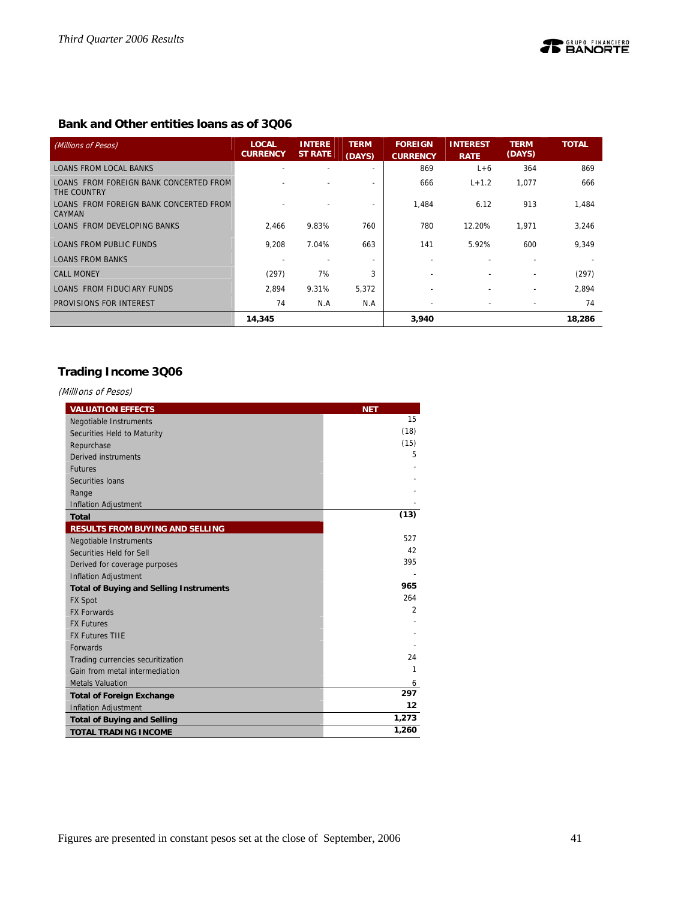# **Bank and Other entities loans as of 3Q06**

| (Millions of Pesos)                                     | <b>LOCAL</b><br><b>CURRENCY</b> | <b>INTERE</b><br><b>ST RATE</b> | <b>TERM</b><br>(DAYS)    | <b>FOREIGN</b><br><b>CURRENCY</b> | <b>INTEREST</b><br><b>RATE</b> | <b>TERM</b><br>(DAYS) | <b>TOTAL</b> |
|---------------------------------------------------------|---------------------------------|---------------------------------|--------------------------|-----------------------------------|--------------------------------|-----------------------|--------------|
| <b>LOANS FROM LOCAL BANKS</b>                           |                                 |                                 |                          | 869                               | $L+6$                          | 364                   | 869          |
| LOANS FROM FOREIGN BANK CONCERTED FROM<br>THE COUNTRY   |                                 |                                 |                          | 666                               | $L + 1.2$                      | 1,077                 | 666          |
| LOANS FROM FOREIGN BANK CONCERTED FROM<br><b>CAYMAN</b> |                                 |                                 |                          | 1,484                             | 6.12                           | 913                   | 1,484        |
| LOANS FROM DEVELOPING BANKS                             | 2.466                           | 9.83%                           | 760                      | 780                               | 12.20%                         | 1,971                 | 3,246        |
| LOANS FROM PUBLIC FUNDS                                 | 9.208                           | 7.04%                           | 663                      | 141                               | 5.92%                          | 600                   | 9,349        |
| <b>LOANS FROM BANKS</b>                                 |                                 |                                 | $\overline{\phantom{0}}$ | $\overline{\phantom{0}}$          | $\overline{a}$                 |                       |              |
| <b>CALL MONEY</b>                                       | (297)                           | 7%                              | 3                        |                                   |                                | ۰                     | (297)        |
| LOANS FROM FIDUCIARY FUNDS                              | 2.894                           | 9.31%                           | 5,372                    | $\overline{\phantom{a}}$          | $\overline{\phantom{0}}$       | ۰                     | 2,894        |
| PROVISIONS FOR INTEREST                                 | 74                              | N.A                             | N.A                      |                                   |                                |                       | 74           |
|                                                         | 14,345                          |                                 |                          | 3,940                             |                                |                       | 18,286       |

# **Trading Income 3Q06**

(MillIons of Pesos)

| <b>VALUATION EFFECTS</b>                       | <b>NET</b>     |
|------------------------------------------------|----------------|
| Negotiable Instruments                         | 15             |
| Securities Held to Maturity                    | (18)           |
| Repurchase                                     | (15)           |
| Derived instruments                            | 5              |
| <b>Futures</b>                                 |                |
| Securities Ioans                               |                |
| Range                                          |                |
| <b>Inflation Adjustment</b>                    |                |
| <b>Total</b>                                   | (13)           |
| <b>RESULTS FROM BUYING AND SELLING</b>         |                |
| <b>Negotiable Instruments</b>                  | 527            |
| Securities Held for Sell                       | 42             |
| Derived for coverage purposes                  | 395            |
| <b>Inflation Adjustment</b>                    |                |
| <b>Total of Buying and Selling Instruments</b> | 965            |
| <b>FX Spot</b>                                 | 264            |
| <b>FX Forwards</b>                             | $\overline{2}$ |
| <b>FX Futures</b>                              |                |
| <b>FX Futures TIIE</b>                         |                |
| <b>Forwards</b>                                |                |
| Trading currencies securitization              | 24             |
| Gain from metal intermediation                 | 1              |
| <b>Metals Valuation</b>                        | 6              |
| <b>Total of Foreign Exchange</b>               | 297            |
| <b>Inflation Adjustment</b>                    | 12             |
| <b>Total of Buying and Selling</b>             | 1,273          |
| <b>TOTAL TRADING INCOME</b>                    | 1,260          |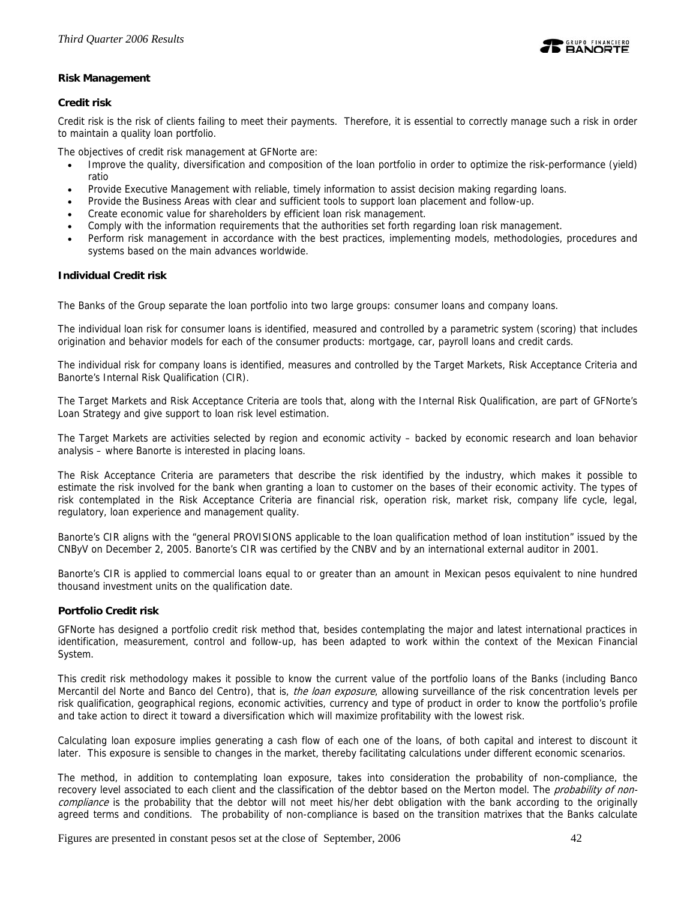

# **Risk Management**

# **Credit risk**

Credit risk is the risk of clients failing to meet their payments. Therefore, it is essential to correctly manage such a risk in order to maintain a quality loan portfolio.

The objectives of credit risk management at GFNorte are:

- Improve the quality, diversification and composition of the loan portfolio in order to optimize the risk-performance (yield) ratio
- Provide Executive Management with reliable, timely information to assist decision making regarding loans.
- Provide the Business Areas with clear and sufficient tools to support loan placement and follow-up.
- Create economic value for shareholders by efficient loan risk management.
- Comply with the information requirements that the authorities set forth regarding loan risk management.
- Perform risk management in accordance with the best practices, implementing models, methodologies, procedures and systems based on the main advances worldwide.

### **Individual Credit risk**

The Banks of the Group separate the loan portfolio into two large groups: consumer loans and company loans.

The individual loan risk for consumer loans is identified, measured and controlled by a parametric system (scoring) that includes origination and behavior models for each of the consumer products: mortgage, car, payroll loans and credit cards.

The individual risk for company loans is identified, measures and controlled by the Target Markets, Risk Acceptance Criteria and Banorte's Internal Risk Qualification (CIR).

The Target Markets and Risk Acceptance Criteria are tools that, along with the Internal Risk Qualification, are part of GFNorte's Loan Strategy and give support to loan risk level estimation.

The Target Markets are activities selected by region and economic activity – backed by economic research and loan behavior analysis – where Banorte is interested in placing loans.

The Risk Acceptance Criteria are parameters that describe the risk identified by the industry, which makes it possible to estimate the risk involved for the bank when granting a loan to customer on the bases of their economic activity. The types of risk contemplated in the Risk Acceptance Criteria are financial risk, operation risk, market risk, company life cycle, legal, regulatory, loan experience and management quality.

Banorte's CIR aligns with the "general PROVISIONS applicable to the loan qualification method of loan institution" issued by the CNByV on December 2, 2005. Banorte's CIR was certified by the CNBV and by an international external auditor in 2001.

Banorte's CIR is applied to commercial loans equal to or greater than an amount in Mexican pesos equivalent to nine hundred thousand investment units on the qualification date.

### **Portfolio Credit risk**

GFNorte has designed a portfolio credit risk method that, besides contemplating the major and latest international practices in identification, measurement, control and follow-up, has been adapted to work within the context of the Mexican Financial System.

This credit risk methodology makes it possible to know the current value of the portfolio loans of the Banks (including Banco Mercantil del Norte and Banco del Centro), that is, the loan exposure, allowing surveillance of the risk concentration levels per risk qualification, geographical regions, economic activities, currency and type of product in order to know the portfolio's profile and take action to direct it toward a diversification which will maximize profitability with the lowest risk.

Calculating loan exposure implies generating a cash flow of each one of the loans, of both capital and interest to discount it later. This exposure is sensible to changes in the market, thereby facilitating calculations under different economic scenarios.

The method, in addition to contemplating loan exposure, takes into consideration the probability of non-compliance, the recovery level associated to each client and the classification of the debtor based on the Merton model. The probability of noncompliance is the probability that the debtor will not meet his/her debt obligation with the bank according to the originally agreed terms and conditions. The probability of non-compliance is based on the transition matrixes that the Banks calculate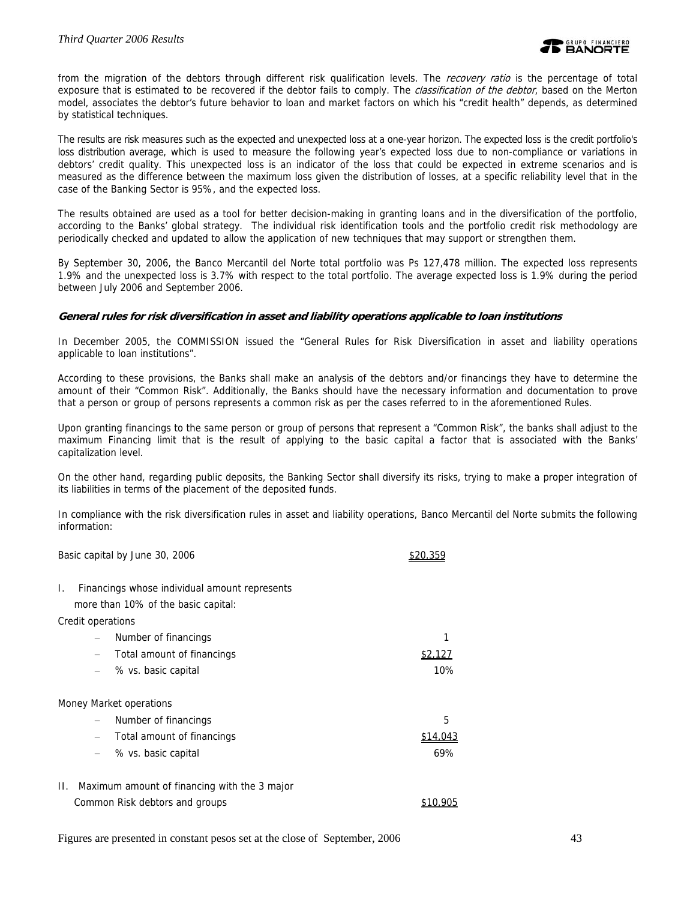from the migration of the debtors through different risk qualification levels. The *recovery ratio* is the percentage of total exposure that is estimated to be recovered if the debtor fails to comply. The *classification of the debtor*, based on the Merton model, associates the debtor's future behavior to loan and market factors on which his "credit health" depends, as determined by statistical techniques.

The results are risk measures such as the expected and unexpected loss at a one-year horizon. The expected loss is the credit portfolio's loss distribution average, which is used to measure the following year's expected loss due to non-compliance or variations in debtors' credit quality. This unexpected loss is an indicator of the loss that could be expected in extreme scenarios and is measured as the difference between the maximum loss given the distribution of losses, at a specific reliability level that in the case of the Banking Sector is 95%, and the expected loss.

The results obtained are used as a tool for better decision-making in granting loans and in the diversification of the portfolio, according to the Banks' global strategy. The individual risk identification tools and the portfolio credit risk methodology are periodically checked and updated to allow the application of new techniques that may support or strengthen them.

By September 30, 2006, the Banco Mercantil del Norte total portfolio was Ps 127,478 million. The expected loss represents 1.9% and the unexpected loss is 3.7% with respect to the total portfolio. The average expected loss is 1.9% during the period between July 2006 and September 2006.

### **General rules for risk diversification in asset and liability operations applicable to loan institutions**

In December 2005, the COMMISSION issued the "General Rules for Risk Diversification in asset and liability operations applicable to loan institutions".

According to these provisions, the Banks shall make an analysis of the debtors and/or financings they have to determine the amount of their "Common Risk". Additionally, the Banks should have the necessary information and documentation to prove that a person or group of persons represents a common risk as per the cases referred to in the aforementioned Rules.

Upon granting financings to the same person or group of persons that represent a "Common Risk", the banks shall adjust to the maximum Financing limit that is the result of applying to the basic capital a factor that is associated with the Banks' capitalization level.

On the other hand, regarding public deposits, the Banking Sector shall diversify its risks, trying to make a proper integration of its liabilities in terms of the placement of the deposited funds.

In compliance with the risk diversification rules in asset and liability operations, Banco Mercantil del Norte submits the following information:

|    |                          | Basic capital by June 30, 2006                |          |
|----|--------------------------|-----------------------------------------------|----------|
| I. |                          | Financings whose individual amount represents |          |
|    |                          | more than 10% of the basic capital:           |          |
|    |                          | Credit operations                             |          |
|    |                          | Number of financings                          |          |
|    | $\overline{\phantom{m}}$ | Total amount of financings                    |          |
|    | $\overline{\phantom{m}}$ | % vs. basic capital                           | 10%      |
|    |                          | Money Market operations                       |          |
|    | $\qquad \qquad -$        | Number of financings                          | 5        |
|    | $\qquad \qquad -$        | Total amount of financings                    | \$14,043 |
|    | $\overline{\phantom{m}}$ | % vs. basic capital                           | 69%      |
| П. |                          | Maximum amount of financing with the 3 major  |          |
|    |                          | Common Risk debtors and groups                |          |

Figures are presented in constant pesos set at the close of September, 2006 43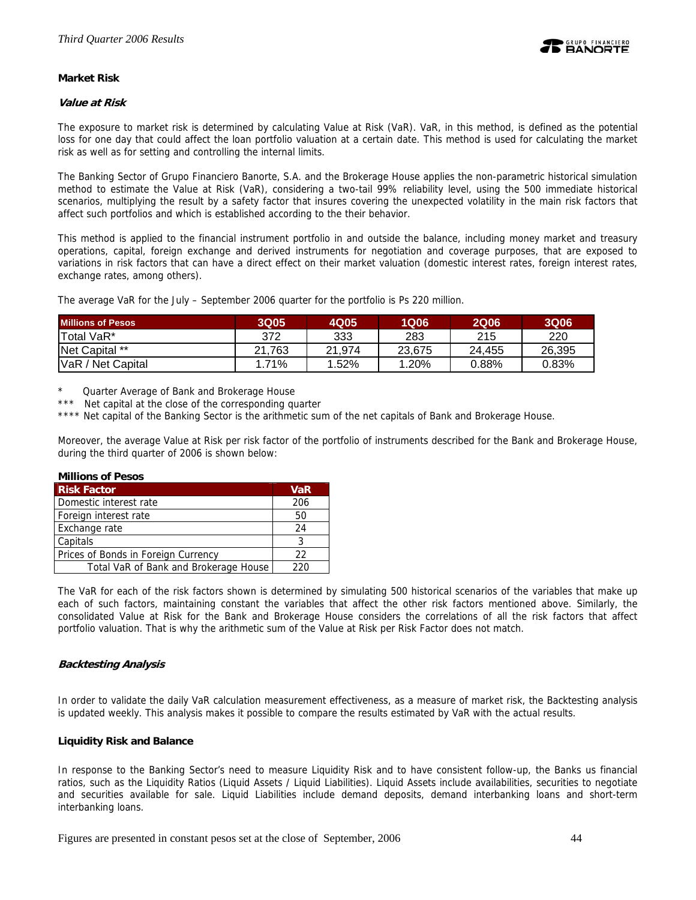

# **Market Risk**

### **Value at Risk**

The exposure to market risk is determined by calculating Value at Risk (VaR). VaR, in this method, is defined as the potential loss for one day that could affect the loan portfolio valuation at a certain date. This method is used for calculating the market risk as well as for setting and controlling the internal limits.

The Banking Sector of Grupo Financiero Banorte, S.A. and the Brokerage House applies the non-parametric historical simulation method to estimate the Value at Risk (VaR), considering a two-tail 99% reliability level, using the 500 immediate historical scenarios, multiplying the result by a safety factor that insures covering the unexpected volatility in the main risk factors that affect such portfolios and which is established according to the their behavior.

This method is applied to the financial instrument portfolio in and outside the balance, including money market and treasury operations, capital, foreign exchange and derived instruments for negotiation and coverage purposes, that are exposed to variations in risk factors that can have a direct effect on their market valuation (domestic interest rates, foreign interest rates, exchange rates, among others).

The average VaR for the July – September 2006 quarter for the portfolio is Ps 220 million.

| <b>Millions of Pesos</b> | <b>3Q05</b> | 4Q05   | 1Q06   | <b>2Q06</b> | <b>3Q06</b> |
|--------------------------|-------------|--------|--------|-------------|-------------|
| <b>Total VaR*</b>        | 372         | 333    | 283    | 215         | 220         |
| Net Capital **           | 21.763      | 21.974 | 23.675 | 24.455      | 26.395      |
| VaR / Net Capital        | 1.71%       | 1.52%  | 1.20%  | $0.88\%$    | 0.83%       |

Quarter Average of Bank and Brokerage House

Net capital at the close of the corresponding quarter

\*\*\*\* Net capital of the Banking Sector is the arithmetic sum of the net capitals of Bank and Brokerage House.

Moreover, the average Value at Risk per risk factor of the portfolio of instruments described for the Bank and Brokerage House, during the third quarter of 2006 is shown below:

#### **Millions of Pesos**

| <b>Risk Factor</b>                    | <b>VaR</b> |
|---------------------------------------|------------|
| Domestic interest rate                | 206        |
| Foreign interest rate                 | 50         |
| Exchange rate                         | 24         |
| Capitals                              |            |
| Prices of Bonds in Foreign Currency   | 22         |
| Total VaR of Bank and Brokerage House | າາດ        |

The VaR for each of the risk factors shown is determined by simulating 500 historical scenarios of the variables that make up each of such factors, maintaining constant the variables that affect the other risk factors mentioned above. Similarly, the consolidated Value at Risk for the Bank and Brokerage House considers the correlations of all the risk factors that affect portfolio valuation. That is why the arithmetic sum of the Value at Risk per Risk Factor does not match.

### **Backtesting Analysis**

In order to validate the daily VaR calculation measurement effectiveness, as a measure of market risk, the Backtesting analysis is updated weekly. This analysis makes it possible to compare the results estimated by VaR with the actual results.

### **Liquidity Risk and Balance**

In response to the Banking Sector's need to measure Liquidity Risk and to have consistent follow-up, the Banks us financial ratios, such as the Liquidity Ratios (Liquid Assets / Liquid Liabilities). Liquid Assets include availabilities, securities to negotiate and securities available for sale. Liquid Liabilities include demand deposits, demand interbanking loans and short-term interbanking loans.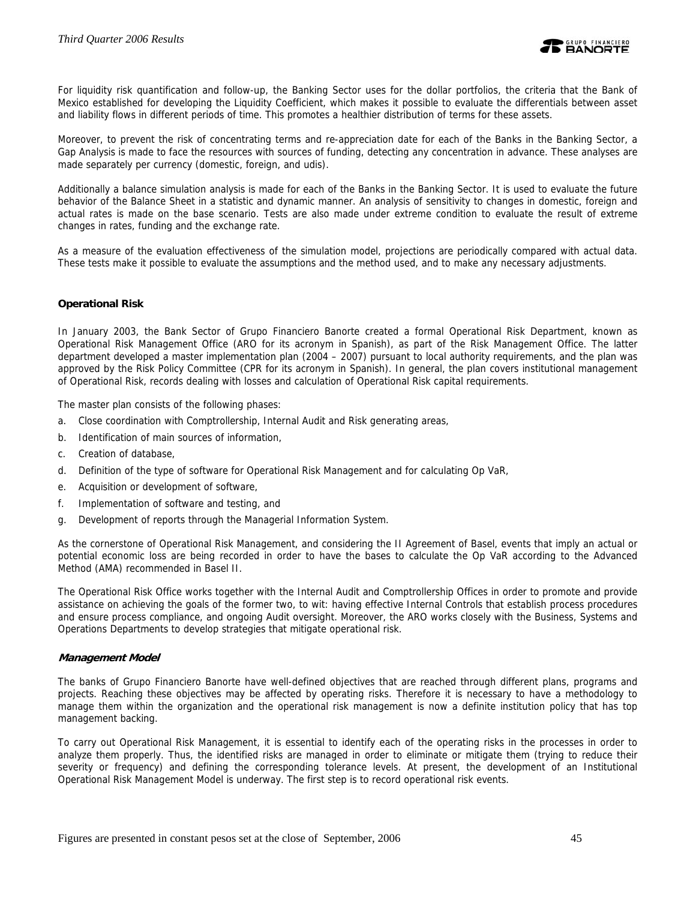

For liquidity risk quantification and follow-up, the Banking Sector uses for the dollar portfolios, the criteria that the Bank of Mexico established for developing the Liquidity Coefficient, which makes it possible to evaluate the differentials between asset and liability flows in different periods of time. This promotes a healthier distribution of terms for these assets.

Moreover, to prevent the risk of concentrating terms and re-appreciation date for each of the Banks in the Banking Sector, a Gap Analysis is made to face the resources with sources of funding, detecting any concentration in advance. These analyses are made separately per currency (domestic, foreign, and udis).

Additionally a balance simulation analysis is made for each of the Banks in the Banking Sector. It is used to evaluate the future behavior of the Balance Sheet in a statistic and dynamic manner. An analysis of sensitivity to changes in domestic, foreign and actual rates is made on the base scenario. Tests are also made under extreme condition to evaluate the result of extreme changes in rates, funding and the exchange rate.

As a measure of the evaluation effectiveness of the simulation model, projections are periodically compared with actual data. These tests make it possible to evaluate the assumptions and the method used, and to make any necessary adjustments.

# **Operational Risk**

In January 2003, the Bank Sector of Grupo Financiero Banorte created a formal Operational Risk Department, known as Operational Risk Management Office (ARO for its acronym in Spanish), as part of the Risk Management Office. The latter department developed a master implementation plan (2004 – 2007) pursuant to local authority requirements, and the plan was approved by the Risk Policy Committee (CPR for its acronym in Spanish). In general, the plan covers institutional management of Operational Risk, records dealing with losses and calculation of Operational Risk capital requirements.

The master plan consists of the following phases:

- a. Close coordination with Comptrollership, Internal Audit and Risk generating areas,
- b. Identification of main sources of information,
- c. Creation of database,
- d. Definition of the type of software for Operational Risk Management and for calculating Op VaR,
- e. Acquisition or development of software,
- f. Implementation of software and testing, and
- g. Development of reports through the Managerial Information System.

As the cornerstone of Operational Risk Management, and considering the II Agreement of Basel, events that imply an actual or potential economic loss are being recorded in order to have the bases to calculate the Op VaR according to the Advanced Method (AMA) recommended in Basel II.

The Operational Risk Office works together with the Internal Audit and Comptrollership Offices in order to promote and provide assistance on achieving the goals of the former two, to wit: having effective Internal Controls that establish process procedures and ensure process compliance, and ongoing Audit oversight. Moreover, the ARO works closely with the Business, Systems and Operations Departments to develop strategies that mitigate operational risk.

### **Management Model**

The banks of Grupo Financiero Banorte have well-defined objectives that are reached through different plans, programs and projects. Reaching these objectives may be affected by operating risks. Therefore it is necessary to have a methodology to manage them within the organization and the operational risk management is now a definite institution policy that has top management backing.

To carry out Operational Risk Management, it is essential to identify each of the operating risks in the processes in order to analyze them properly. Thus, the identified risks are managed in order to eliminate or mitigate them (trying to reduce their severity or frequency) and defining the corresponding tolerance levels. At present, the development of an Institutional Operational Risk Management Model is underway. The first step is to record operational risk events.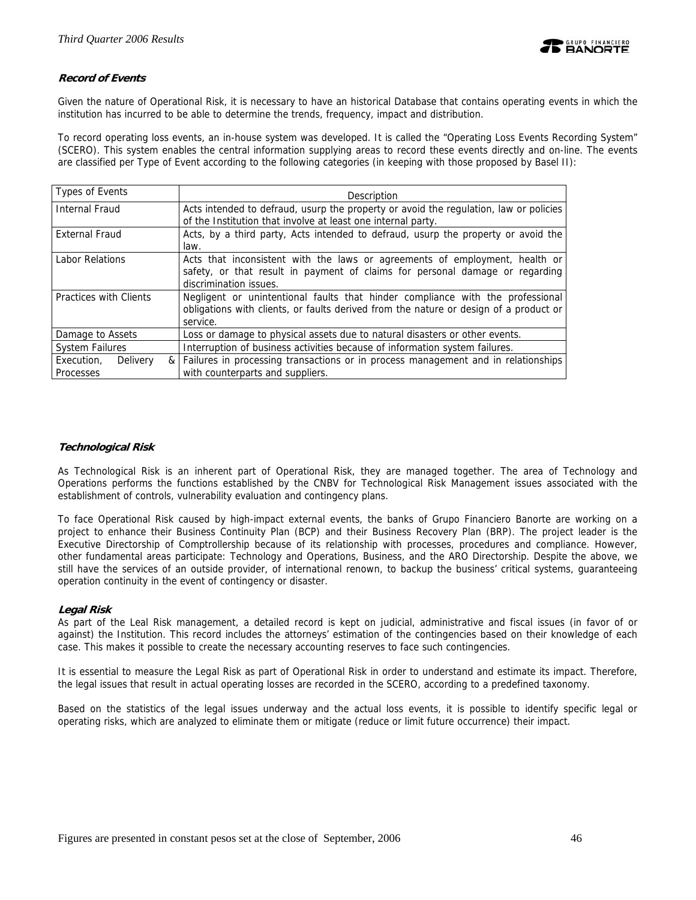

# **Record of Events**

Given the nature of Operational Risk, it is necessary to have an historical Database that contains operating events in which the institution has incurred to be able to determine the trends, frequency, impact and distribution.

To record operating loss events, an in-house system was developed. It is called the "Operating Loss Events Recording System" (SCERO). This system enables the central information supplying areas to record these events directly and on-line. The events are classified per Type of Event according to the following categories (in keeping with those proposed by Basel II):

| Types of Events        | Description                                                                           |  |  |  |  |  |  |
|------------------------|---------------------------------------------------------------------------------------|--|--|--|--|--|--|
| <b>Internal Fraud</b>  | Acts intended to defraud, usurp the property or avoid the regulation, law or policies |  |  |  |  |  |  |
|                        | of the Institution that involve at least one internal party.                          |  |  |  |  |  |  |
| <b>External Fraud</b>  | Acts, by a third party, Acts intended to defraud, usurp the property or avoid the     |  |  |  |  |  |  |
|                        | law.                                                                                  |  |  |  |  |  |  |
| Labor Relations        | Acts that inconsistent with the laws or agreements of employment, health or           |  |  |  |  |  |  |
|                        | safety, or that result in payment of claims for personal damage or regarding          |  |  |  |  |  |  |
|                        | discrimination issues.                                                                |  |  |  |  |  |  |
| Practices with Clients | Negligent or unintentional faults that hinder compliance with the professional        |  |  |  |  |  |  |
|                        | obligations with clients, or faults derived from the nature or design of a product or |  |  |  |  |  |  |
|                        | service.                                                                              |  |  |  |  |  |  |
| Damage to Assets       | Loss or damage to physical assets due to natural disasters or other events.           |  |  |  |  |  |  |
| <b>System Failures</b> | Interruption of business activities because of information system failures.           |  |  |  |  |  |  |
| Execution,<br>Delivery | Failures in processing transactions or in process management and in relationships     |  |  |  |  |  |  |
| <b>Processes</b>       | with counterparts and suppliers.                                                      |  |  |  |  |  |  |

### **Technological Risk**

As Technological Risk is an inherent part of Operational Risk, they are managed together. The area of Technology and Operations performs the functions established by the CNBV for Technological Risk Management issues associated with the establishment of controls, vulnerability evaluation and contingency plans.

To face Operational Risk caused by high-impact external events, the banks of Grupo Financiero Banorte are working on a project to enhance their Business Continuity Plan (BCP) and their Business Recovery Plan (BRP). The project leader is the Executive Directorship of Comptrollership because of its relationship with processes, procedures and compliance. However, other fundamental areas participate: Technology and Operations, Business, and the ARO Directorship. Despite the above, we still have the services of an outside provider, of international renown, to backup the business' critical systems, guaranteeing operation continuity in the event of contingency or disaster.

# **Legal Risk**

As part of the Leal Risk management, a detailed record is kept on judicial, administrative and fiscal issues (in favor of or against) the Institution. This record includes the attorneys' estimation of the contingencies based on their knowledge of each case. This makes it possible to create the necessary accounting reserves to face such contingencies.

It is essential to measure the Legal Risk as part of Operational Risk in order to understand and estimate its impact. Therefore, the legal issues that result in actual operating losses are recorded in the SCERO, according to a predefined taxonomy.

Based on the statistics of the legal issues underway and the actual loss events, it is possible to identify specific legal or operating risks, which are analyzed to eliminate them or mitigate (reduce or limit future occurrence) their impact.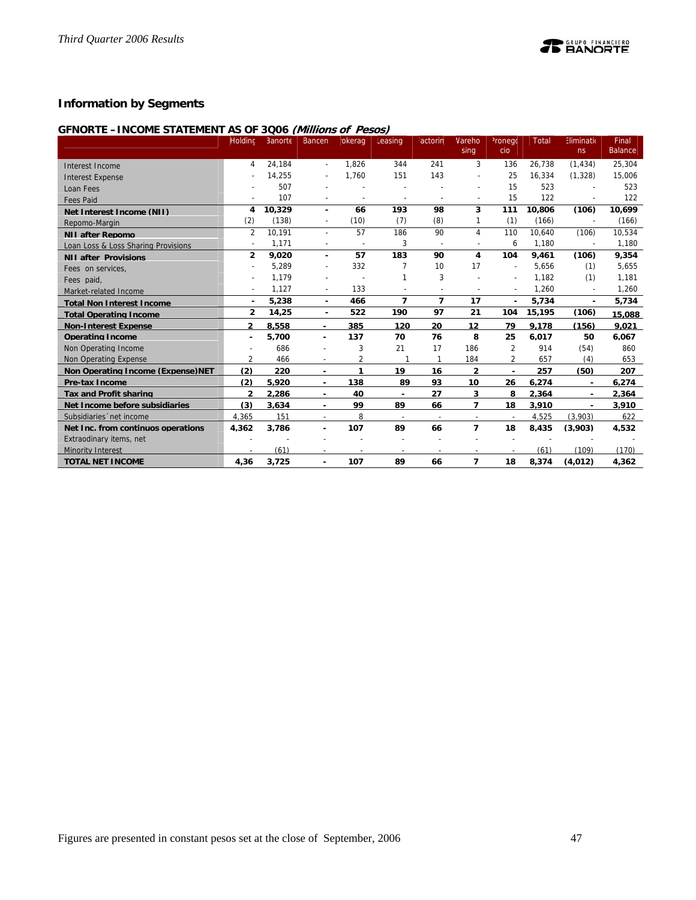# **Information by Segments**

# **GFNORTE –INCOME STATEMENT AS OF 3Q06 (Millions of Pesos)**

|                                     | Holding                  | Banorte | Bancen                   | okerag                   | Leasing                  | <sup>:</sup> actorin     | Mareho         | <sup>2</sup> ronego      | <b>Total</b> | Eliminatio               | Final<br><b>Balance</b> |
|-------------------------------------|--------------------------|---------|--------------------------|--------------------------|--------------------------|--------------------------|----------------|--------------------------|--------------|--------------------------|-------------------------|
|                                     |                          |         |                          |                          |                          |                          | sing           | cio                      |              | ns                       |                         |
| Interest Income                     | 4                        | 24.184  | $\overline{a}$           | 1.826                    | 344                      | 241                      | 3              | 136                      | 26.738       | (1, 434)                 | 25,304                  |
| <b>Interest Expense</b>             |                          | 14,255  |                          | 1,760                    | 151                      | 143                      |                | 25                       | 16.334       | (1, 328)                 | 15,006                  |
| Loan Fees                           |                          | 507     |                          |                          |                          |                          |                | 15                       | 523          |                          | 523                     |
| <b>Fees Paid</b>                    |                          | 107     |                          | $\overline{\phantom{a}}$ | $\overline{\phantom{a}}$ | $\overline{a}$           |                | 15                       | 122          |                          | 122                     |
| Net Interest Income (NII)           | 4                        | 10,329  | ۰                        | 66                       | 193                      | 98                       | 3              | 111                      | 10,806       | (106)                    | 10,699                  |
| Repomo-Margin                       | (2)                      | (138)   | $\overline{\phantom{a}}$ | (10)                     | (7)                      | (8)                      |                | (1)                      | (166)        |                          | (166)                   |
| <b>NII after Repomo</b>             | $\overline{2}$           | 10,191  | $\overline{\phantom{a}}$ | 57                       | 186                      | 90                       | 4              | 110                      | 10.640       | (106)                    | 10,534                  |
| Loan Loss & Loss Sharing Provisions | $\overline{a}$           | 1.171   |                          |                          | 3                        | $\overline{a}$           |                | 6                        | 1.180        | $\overline{a}$           | 1,180                   |
| <b>NII after Provisions</b>         | $\overline{2}$           | 9,020   | $\overline{\phantom{a}}$ | 57                       | 183                      | 90                       | 4              | 104                      | 9,461        | (106)                    | 9,354                   |
| Fees on services,                   |                          | 5,289   |                          | 332                      | 7                        | 10                       | 17             | $\overline{\phantom{a}}$ | 5.656        | (1)                      | 5,655                   |
| Fees paid.                          | $\overline{\phantom{a}}$ | 1,179   |                          |                          |                          | 3                        |                | $\overline{\phantom{a}}$ | 1,182        | (1)                      | 1,181                   |
| Market-related Income               |                          | 1.127   |                          | 133                      |                          |                          |                |                          | 1,260        |                          | 1,260                   |
| <b>Total Non Interest Income</b>    | ٠                        | 5,238   | $\blacksquare$           | 466                      | 7                        | $\overline{ }$           | 17             | ä,                       | 5,734        | ä,                       | 5,734                   |
| <b>Total Operating Income</b>       | $\overline{2}$           | 14,25   | $\blacksquare$           | 522                      | 190                      | 97                       | 21             | 104                      | 15,195       | (106)                    | 15,088                  |
| <b>Non-Interest Expense</b>         | $\overline{2}$           | 8.558   | ٠                        | 385                      | 120                      | 20                       | 12             | 79                       | 9.178        | (156)                    | 9.021                   |
| <b>Operating Income</b>             | ٠                        | 5.700   | ٠                        | 137                      | 70                       | 76                       | 8              | 25                       | 6.017        | 50                       | 6.067                   |
| Non Operating Income                |                          | 686     |                          | 3                        | 21                       | 17                       | 186            | $\overline{2}$           | 914          | (54)                     | 860                     |
| <b>Non Operating Expense</b>        | $\overline{2}$           | 466     |                          | $\overline{2}$           |                          | $\mathbf{1}$             | 184            | $\overline{2}$           | 657          | (4)                      | 653                     |
| Non Operating Income (Expense)NET   | (2)                      | 220     | ٠                        | 1                        | 19                       | 16                       | $\mathbf{2}$   | ٠                        | 257          | (50)                     | 207                     |
| <b>Pre-tax Income</b>               | (2)                      | 5.920   | ٠                        | 138                      | 89                       | 93                       | 10             | 26                       | 6.274        | $\overline{\phantom{a}}$ | 6.274                   |
| <b>Tax and Profit sharing</b>       | $\mathfrak{p}$           | 2.286   | ٠                        | 40                       | $\blacksquare$           | 27                       | 3              | 8                        | 2.364        |                          | 2.364                   |
| Net Income before subsidiaries      | (3)                      | 3.634   | ٠                        | 99                       | 89                       | 66                       | $\overline{ }$ | 18                       | 3,910        |                          | 3,910                   |
| Subsidiaries 'net income            | 4.365                    | 151     | $\overline{\phantom{a}}$ | 8                        | $\sim$                   | $\overline{\phantom{a}}$ |                | $\overline{\phantom{a}}$ | 4.525        | (3.903)                  | 622                     |
| Net Inc. from continuos operations  | 4.362                    | 3.786   | ٠                        | 107                      | 89                       | 66                       | $\overline{ }$ | 18                       | 8.435        | (3.903)                  | 4.532                   |
| Extraodinary items, net             |                          |         |                          |                          |                          |                          |                |                          |              |                          |                         |
| <b>Minority Interest</b>            |                          | (61)    |                          |                          |                          |                          |                |                          | (61)         | (109)                    | (170)                   |
| <b>TOTAL NET INCOME</b>             | 4.36                     | 3,725   |                          | 107                      | 89                       | 66                       | $\overline{ }$ | 18                       | 8,374        | (4.012)                  | 4,362                   |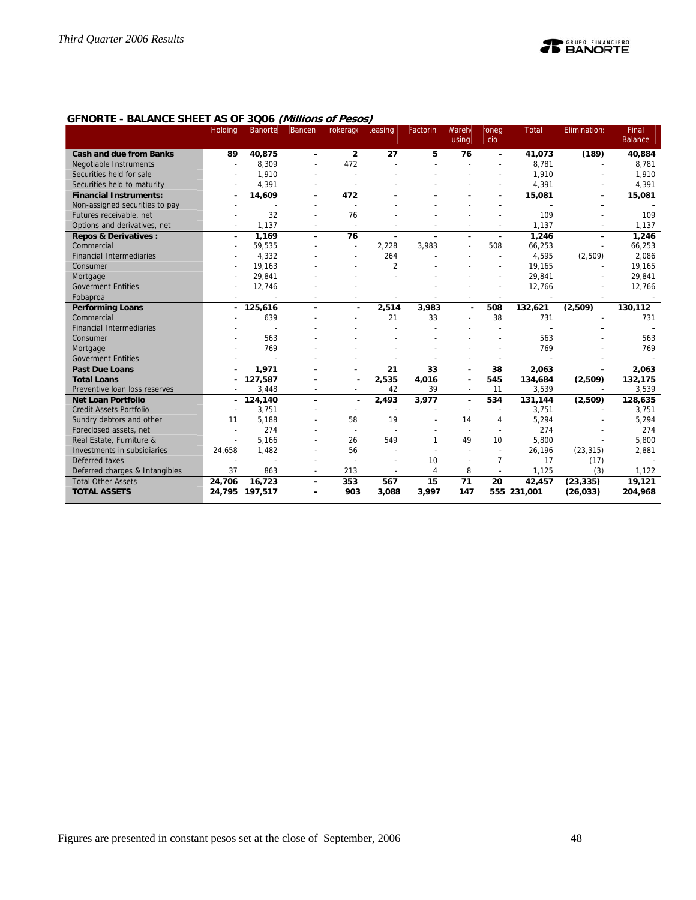# **GFNORTE - BALANCE SHEET AS OF 3Q06 (Millions of Pesos)**

|                                 | Holding                  | Banorte        | Bancen                   | rokerage                 | .easing        | Factorino      | <b>Nareh</b><br>using    | roneg<br>cio             | <b>Total</b> | <b>Eliminations</b> | Final<br><b>Balance</b> |
|---------------------------------|--------------------------|----------------|--------------------------|--------------------------|----------------|----------------|--------------------------|--------------------------|--------------|---------------------|-------------------------|
| <b>Cash and due from Banks</b>  | 89                       | 40,875         | ٠                        | $\overline{2}$           | 27             | 5              | 76                       | ٠                        | 41.073       | (189)               | 40,884                  |
| Negotiable Instruments          |                          | 8,309          | $\overline{a}$           | 472                      | $\overline{a}$ |                |                          |                          | 8,781        |                     | 8,781                   |
| Securities held for sale        |                          | 1,910          |                          |                          |                |                |                          |                          | 1,910        |                     | 1,910                   |
| Securities held to maturity     |                          | 4,391          |                          | $\overline{\phantom{a}}$ |                |                |                          |                          | 4,391        |                     | 4,391                   |
| <b>Financial Instruments:</b>   | ٠                        | 14,609         | ÷                        | 472                      |                |                |                          |                          | 15,081       | $\blacksquare$      | 15,081                  |
| Non-assigned securities to pay  |                          |                |                          |                          |                |                |                          |                          |              |                     |                         |
| Futures receivable, net         |                          | 32             |                          | 76                       |                |                |                          |                          | 109          |                     | 109                     |
| Options and derivatives, net    |                          | 1.137          |                          | $\overline{\phantom{a}}$ |                |                |                          |                          | 1.137        |                     | 1.137                   |
| <b>Repos &amp; Derivatives:</b> |                          | 1,169          | $\blacksquare$           | 76                       | ä,             |                |                          |                          | 1,246        | $\blacksquare$      | 1,246                   |
| Commercial                      | $\overline{\phantom{a}}$ | 59,535         |                          | $\overline{\phantom{a}}$ | 2,228          | 3,983          |                          | 508                      | 66,253       |                     | 66,253                  |
| <b>Financial Intermediaries</b> |                          | 4,332          |                          |                          | 264            |                |                          |                          | 4,595        | (2,509)             | 2,086                   |
| Consumer                        |                          | 19,163         |                          |                          | $\overline{2}$ |                |                          |                          | 19,165       |                     | 19,165                  |
| Mortgage                        |                          | 29,841         |                          |                          |                |                |                          |                          | 29,841       |                     | 29,841                  |
| <b>Goverment Entities</b>       |                          | 12,746         |                          |                          |                |                |                          |                          | 12,766       |                     | 12,766                  |
| Fobaproa                        |                          |                |                          |                          |                |                |                          |                          |              |                     |                         |
| <b>Performing Loans</b>         | ٠                        | 125,616        | ٠                        | $\blacksquare$           | 2,514          | 3,983          | $\blacksquare$           | 508                      | 132,621      | (2,509)             | 130,112                 |
| Commercial                      |                          | 639            |                          |                          | 21             | 33             |                          | 38                       | 731          |                     | 731                     |
| <b>Financial Intermediaries</b> |                          |                |                          |                          |                |                |                          |                          |              |                     |                         |
| Consumer                        |                          | 563            |                          |                          |                |                |                          |                          | 563          |                     | 563                     |
| Mortgage                        |                          | 769            |                          |                          |                |                |                          |                          | 769          |                     | 769                     |
| <b>Goverment Entities</b>       | $\overline{\phantom{a}}$ |                |                          |                          |                |                |                          | $\overline{\phantom{a}}$ |              |                     |                         |
| <b>Past Due Loans</b>           | ÷                        | 1,971          | $\blacksquare$           | $\blacksquare$           | 21             | 33             | $\blacksquare$           | 38                       | 2,063        | ÷,                  | 2,063                   |
| <b>Total Loans</b>              | ٠                        | 127,587        | ٠                        | $\overline{\phantom{a}}$ | 2,535          | 4,016          | $\blacksquare$           | 545                      | 134,684      | (2,509)             | 132,175                 |
| Preventive loan loss reserves   |                          | 3,448          | $\overline{\phantom{a}}$ | $\overline{a}$           | 42             | 39             | $\overline{\phantom{a}}$ | 11                       | 3,539        |                     | 3,539                   |
| <b>Net Loan Portfolio</b>       | ٠                        | 124,140        | ٠                        | $\blacksquare$           | 2,493          | 3,977          | $\blacksquare$           | 534                      | 131,144      | (2,509)             | 128,635                 |
| <b>Credit Assets Portfolio</b>  |                          | 3,751          |                          |                          |                |                |                          |                          | 3,751        |                     | 3,751                   |
| Sundry debtors and other        | 11                       | 5,188          |                          | 58                       | 19             |                | 14                       | 4                        | 5,294        |                     | 5,294                   |
| Foreclosed assets, net          |                          | 274            |                          | $\overline{\phantom{a}}$ |                |                |                          |                          | 274          |                     | 274                     |
| Real Estate, Furniture &        |                          | 5,166          |                          | 26                       | 549            | $\mathbf{1}$   | 49                       | 10                       | 5.800        |                     | 5,800                   |
| Investments in subsidiaries     | 24,658                   | 1,482          |                          | 56                       |                |                |                          | $\overline{a}$           | 26,196       | (23, 315)           | 2,881                   |
| Deferred taxes                  |                          |                |                          |                          |                | 10             |                          | 7                        | 17           | (17)                |                         |
| Deferred charges & Intangibles  | 37                       | 863            |                          | 213                      |                | $\overline{4}$ | 8                        |                          | 1.125        | (3)                 | 1,122                   |
| <b>Total Other Assets</b>       | 24,706                   | 16.723         | $\blacksquare$           | 353                      | 567            | 15             | 71                       | 20                       | 42.457       | (23, 335)           | 19.121                  |
| <b>TOTAL ASSETS</b>             |                          | 24,795 197,517 |                          | 903                      | 3,088          | 3,997          | 147                      |                          | 555 231,001  | (26, 033)           | 204,968                 |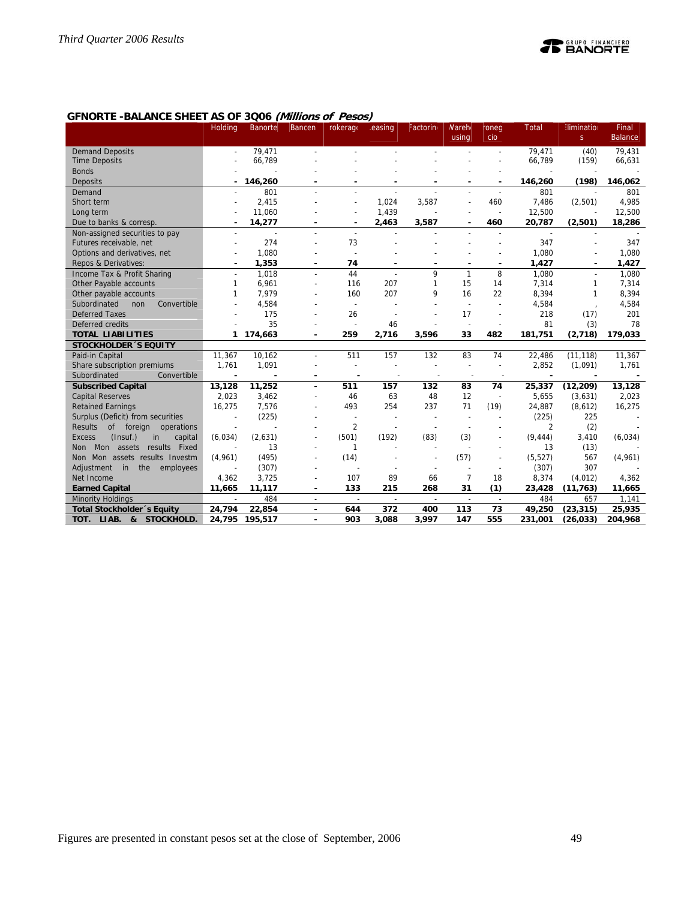# **GFNORTE -BALANCE SHEET AS OF 3Q06 (Millions of Pesos)**

|                                               | Holding                  | <b>Banorte</b>           | <b>Bancen</b>            | rokerage       | easing                   | Factorin                 | <b>Nareh</b><br>using    | roneg<br>cio             | <b>Total</b> | <b>Elimination</b><br>S | Final<br><b>Balance</b> |
|-----------------------------------------------|--------------------------|--------------------------|--------------------------|----------------|--------------------------|--------------------------|--------------------------|--------------------------|--------------|-------------------------|-------------------------|
| <b>Demand Deposits</b>                        |                          | 79.471                   |                          |                |                          |                          |                          | ÷,                       | 79.471       | (40)                    | 79,431                  |
| <b>Time Deposits</b>                          |                          | 66,789                   |                          |                |                          |                          |                          |                          | 66,789       | (159)                   | 66,631                  |
| <b>Bonds</b>                                  |                          |                          |                          |                |                          |                          |                          |                          |              |                         |                         |
| Deposits                                      |                          | 146,260                  |                          |                |                          |                          |                          |                          | 146,260      | (198)                   | 146,062                 |
| Demand                                        |                          | 801                      |                          |                |                          |                          |                          |                          | 801          | $\overline{a}$          | 801                     |
| Short term                                    |                          | 2.415                    |                          |                | 1.024                    | 3,587                    |                          | 460                      | 7.486        | (2,501)                 | 4,985                   |
| Long term                                     |                          | 11,060                   |                          |                | 1,439                    |                          |                          |                          | 12,500       | J.                      | 12,500                  |
| Due to banks & corresp.                       |                          | 14,277                   | ٠                        | $\blacksquare$ | 2,463                    | 3,587                    | ٠                        | 460                      | 20,787       | (2,501)                 | 18,286                  |
| Non-assigned securities to pay                | $\sim$                   | $\overline{\phantom{a}}$ | $\overline{a}$           | $\overline{a}$ | $\overline{\phantom{a}}$ |                          | $\overline{a}$           | $\overline{a}$           | $\sim$       | $\sim$                  |                         |
| Futures receivable, net                       |                          | 274                      |                          | 73             |                          |                          |                          |                          | 347          |                         | 347                     |
| Options and derivatives, net                  |                          | 1,080                    |                          |                |                          |                          |                          |                          | 1,080        |                         | 1,080                   |
| Repos & Derivatives:                          |                          | 1,353                    |                          | 74             |                          |                          |                          |                          | 1,427        |                         | 1,427                   |
| Income Tax & Profit Sharing                   |                          | 1,018                    |                          | 44             |                          | 9                        | 1                        | 8                        | 1,080        |                         | 1,080                   |
| Other Payable accounts                        | 1                        | 6,961                    | $\overline{a}$           | 116            | 207                      | $\mathbf{1}$             | 15                       | 14                       | 7,314        | 1                       | 7,314                   |
| Other payable accounts                        |                          | 7,979                    |                          | 160            | 207                      | 9                        | 16                       | 22                       | 8,394        | 1                       | 8,394                   |
| Subordinated<br>non<br>Convertible            |                          | 4,584                    |                          | $\sim$         |                          |                          |                          |                          | 4,584        |                         | 4,584                   |
| <b>Deferred Taxes</b>                         |                          | 175                      |                          | 26             |                          |                          | 17                       |                          | 218          | (17)                    | 201                     |
| Deferred credits                              |                          | 35                       |                          | $\overline{a}$ | 46                       |                          | $\overline{\phantom{a}}$ |                          | 81           | (3)                     | 78                      |
| <b>TOTAL LIABILITIES</b>                      |                          | 1 174,663                | $\overline{\phantom{a}}$ | 259            | 2,716                    | 3,596                    | 33                       | 482                      | 181,751      | (2,718)                 | 179,033                 |
| <b>STOCKHOLDER 'S EQUITY</b>                  |                          |                          |                          |                |                          |                          |                          |                          |              |                         |                         |
| Paid-in Capital                               | 11,367                   | 10.162                   |                          | 511            | 157                      | 132                      | 83                       | 74                       | 22,486       | (11, 118)               | 11,367                  |
| Share subscription premiums                   | 1,761                    | 1,091                    |                          | $\overline{a}$ |                          |                          |                          |                          | 2,852        | (1,091)                 | 1,761                   |
| Subordinated<br>Convertible                   |                          |                          |                          |                |                          |                          |                          |                          |              |                         |                         |
| <b>Subscribed Capital</b>                     | 13,128                   | 11,252                   |                          | 511            | 157                      | 132                      | 83                       | 74                       | 25,337       | (12, 209)               | 13,128                  |
| <b>Capital Reserves</b>                       | 2,023                    | 3,462                    |                          | 46             | 63                       | 48                       | 12                       | $\overline{\phantom{a}}$ | 5,655        | (3,631)                 | 2,023                   |
| <b>Retained Earnings</b>                      | 16,275                   | 7,576                    |                          | 493            | 254                      | 237                      | 71                       | (19)                     | 24,887       | (8,612)                 | 16,275                  |
| Surplus (Deficit) from securities             |                          | (225)                    |                          | $\overline{a}$ |                          |                          |                          |                          | (225)        | 225                     |                         |
| <b>Results</b><br>of foreign operations       | $\overline{\phantom{a}}$ |                          |                          | $\overline{2}$ |                          |                          | $\overline{\phantom{a}}$ |                          | 2            | (2)                     |                         |
| (Insuf.)<br>capital<br><b>Excess</b><br>in    | (6,034)                  | (2,631)                  |                          | (501)          | (192)                    | (83)                     | (3)                      |                          | (9, 444)     | 3,410                   | (6,034)                 |
| Mon assets results Fixed<br><b>Non</b>        |                          | 13                       |                          | 1              |                          |                          |                          |                          | 13           | (13)                    |                         |
| Non Mon assets results Investm                | (4,961)                  | (495)                    |                          | (14)           |                          |                          | (57)                     | $\overline{\phantom{a}}$ | (5, 527)     | 567                     | (4,961)                 |
| Adjustment<br>in<br>the<br>employees          |                          | (307)                    |                          |                |                          |                          |                          |                          | (307)        | 307                     |                         |
| Net Income                                    | 4,362                    | 3,725                    |                          | 107            | 89                       | 66                       | 7                        | 18                       | 8,374        | (4, 012)                | 4,362                   |
| <b>Earned Capital</b>                         | 11,665                   | 11,117                   | ٠                        | 133            | 215                      | 268                      | 31                       | (1)                      | 23,428       | (11, 763)               | 11,665                  |
| <b>Minority Holdings</b>                      | -                        | 484                      | $\overline{\phantom{a}}$ | $\sim$         | $\overline{\phantom{a}}$ | $\overline{\phantom{a}}$ | $\overline{\phantom{a}}$ | $\overline{\phantom{a}}$ | 484          | 657                     | 1.141                   |
| Total Stockholder 's Equity                   | 24,794                   | 22,854                   | $\overline{\phantom{a}}$ | 644            | 372                      | 400                      | 113                      | 73                       | 49,250       | (23, 315)               | 25,935                  |
| TOT.<br>LIAB.<br>8 <sub>k</sub><br>STOCKHOLD. | 24,795                   | 195,517                  |                          | 903            | 3,088                    | 3,997                    | 147                      | 555                      | 231,001      | (26, 033)               | 204,968                 |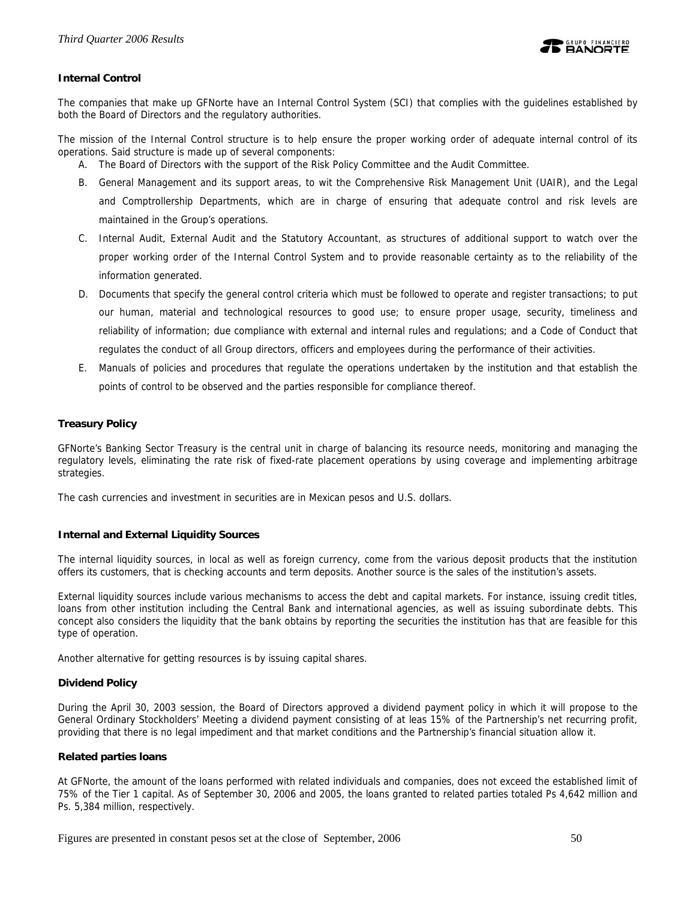

# **Internal Control**

The companies that make up GFNorte have an Internal Control System (SCI) that complies with the guidelines established by both the Board of Directors and the regulatory authorities.

The mission of the Internal Control structure is to help ensure the proper working order of adequate internal control of its operations. Said structure is made up of several components:

A. The Board of Directors with the support of the Risk Policy Committee and the Audit Committee.

- B. General Management and its support areas, to wit the Comprehensive Risk Management Unit (UAIR), and the Legal and Comptrollership Departments, which are in charge of ensuring that adequate control and risk levels are maintained in the Group's operations.
- C. Internal Audit, External Audit and the Statutory Accountant, as structures of additional support to watch over the proper working order of the Internal Control System and to provide reasonable certainty as to the reliability of the information generated.
- D. Documents that specify the general control criteria which must be followed to operate and register transactions; to put our human, material and technological resources to good use; to ensure proper usage, security, timeliness and reliability of information; due compliance with external and internal rules and regulations; and a Code of Conduct that regulates the conduct of all Group directors, officers and employees during the performance of their activities.
- E. Manuals of policies and procedures that regulate the operations undertaken by the institution and that establish the points of control to be observed and the parties responsible for compliance thereof.

# **Treasury Policy**

GFNorte's Banking Sector Treasury is the central unit in charge of balancing its resource needs, monitoring and managing the regulatory levels, eliminating the rate risk of fixed-rate placement operations by using coverage and implementing arbitrage strategies.

The cash currencies and investment in securities are in Mexican pesos and U.S. dollars.

### **Internal and External Liquidity Sources**

The internal liquidity sources, in local as well as foreign currency, come from the various deposit products that the institution offers its customers, that is checking accounts and term deposits. Another source is the sales of the institution's assets.

External liquidity sources include various mechanisms to access the debt and capital markets. For instance, issuing credit titles, loans from other institution including the Central Bank and international agencies, as well as issuing subordinate debts. This concept also considers the liquidity that the bank obtains by reporting the securities the institution has that are feasible for this type of operation.

Another alternative for getting resources is by issuing capital shares.

### **Dividend Policy**

During the April 30, 2003 session, the Board of Directors approved a dividend payment policy in which it will propose to the General Ordinary Stockholders' Meeting a dividend payment consisting of at leas 15% of the Partnership's net recurring profit, providing that there is no legal impediment and that market conditions and the Partnership's financial situation allow it.

### **Related parties loans**

At GFNorte, the amount of the loans performed with related individuals and companies, does not exceed the established limit of 75% of the Tier 1 capital. As of September 30, 2006 and 2005, the loans granted to related parties totaled Ps 4,642 million and Ps. 5,384 million, respectively.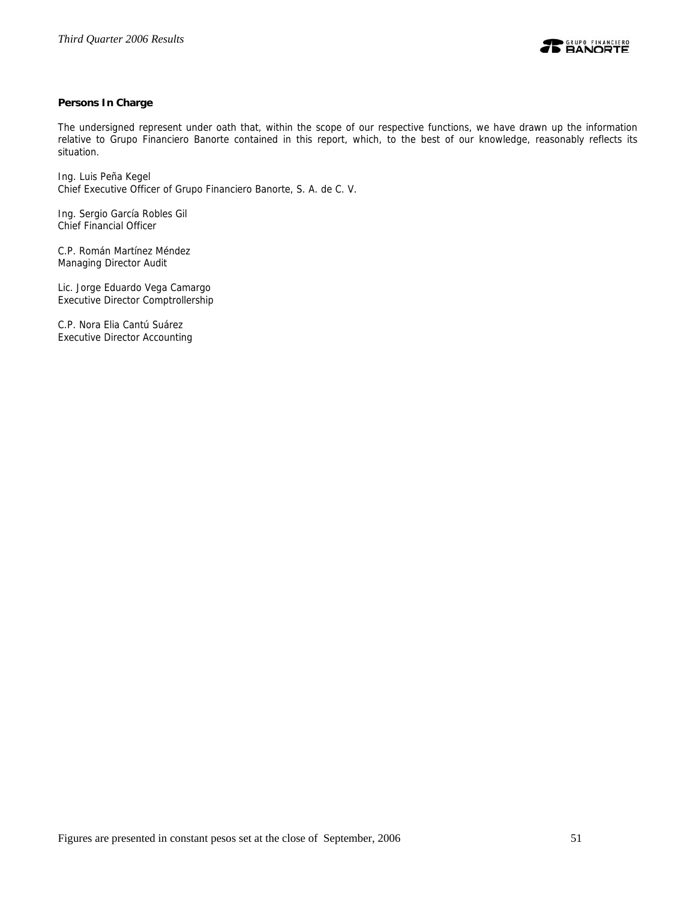

# **Persons In Charge**

The undersigned represent under oath that, within the scope of our respective functions, we have drawn up the information relative to Grupo Financiero Banorte contained in this report, which, to the best of our knowledge, reasonably reflects its situation.

Ing. Luis Peña Kegel Chief Executive Officer of Grupo Financiero Banorte, S. A. de C. V.

Ing. Sergio García Robles Gil Chief Financial Officer

C.P. Román Martínez Méndez Managing Director Audit

Lic. Jorge Eduardo Vega Camargo Executive Director Comptrollership

C.P. Nora Elia Cantú Suárez Executive Director Accounting